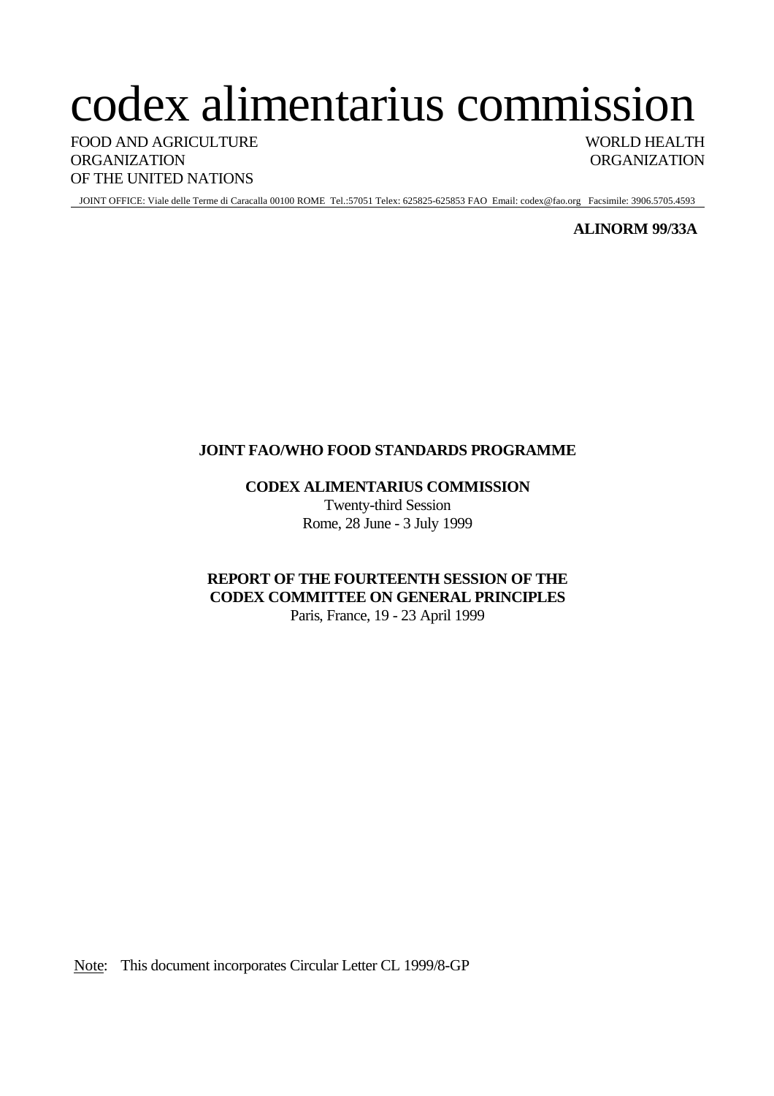# codex alimentarius commission

FOOD AND AGRICULTURE WORLD HEALTH ORGANIZATION ORGANIZATION OF THE UNITED NATIONS

JOINT OFFICE: Viale delle Terme di Caracalla 00100 ROME Tel.:57051 Telex: 625825-625853 FAO Email: codex@fao.org Facsimile: 3906.5705.4593

#### **ALINORM 99/33A**

# **JOINT FAO/WHO FOOD STANDARDS PROGRAMME**

**CODEX ALIMENTARIUS COMMISSION**

Twenty-third Session Rome, 28 June - 3 July 1999

# **REPORT OF THE FOURTEENTH SESSION OF THE CODEX COMMITTEE ON GENERAL PRINCIPLES**

Paris, France, 19 - 23 April 1999

Note: This document incorporates Circular Letter CL 1999/8-GP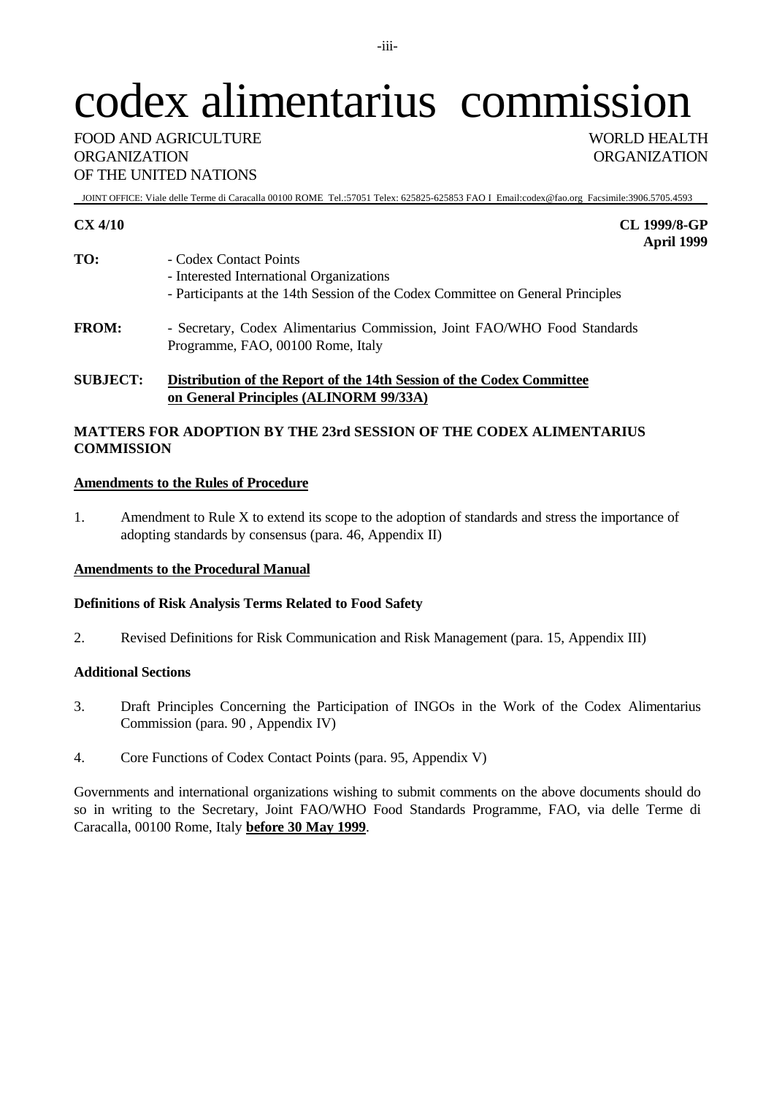# codex alimentarius commission

JOINT OFFICE: Viale delle Terme di Caracalla 00100 ROME Tel.:57051 Telex: 625825-625853 FAO I Email:codex@fao.org Facsimile:3906.5705.4593

**CX 4/10 CL 1999/8-GP April 1999**

- **TO:** Codex Contact Points - Interested International Organizations - Participants at the 14th Session of the Codex Committee on General Principles
- **FROM:** Secretary, Codex Alimentarius Commission, Joint FAO/WHO Food Standards Programme, FAO, 00100 Rome, Italy

#### **SUBJECT: Distribution of the Report of the 14th Session of the Codex Committee on General Principles (ALINORM 99/33A)**

#### **MATTERS FOR ADOPTION BY THE 23rd SESSION OF THE CODEX ALIMENTARIUS COMMISSION**

#### **Amendments to the Rules of Procedure**

1. Amendment to Rule X to extend its scope to the adoption of standards and stress the importance of adopting standards by consensus (para. 46, Appendix II)

#### **Amendments to the Procedural Manual**

#### **Definitions of Risk Analysis Terms Related to Food Safety**

2. Revised Definitions for Risk Communication and Risk Management (para. 15, Appendix III)

#### **Additional Sections**

- 3. Draft Principles Concerning the Participation of INGOs in the Work of the Codex Alimentarius Commission (para. 90 , Appendix IV)
- 4. Core Functions of Codex Contact Points (para. 95, Appendix V)

Governments and international organizations wishing to submit comments on the above documents should do so in writing to the Secretary, Joint FAO/WHO Food Standards Programme, FAO, via delle Terme di Caracalla, 00100 Rome, Italy **before 30 May 1999**.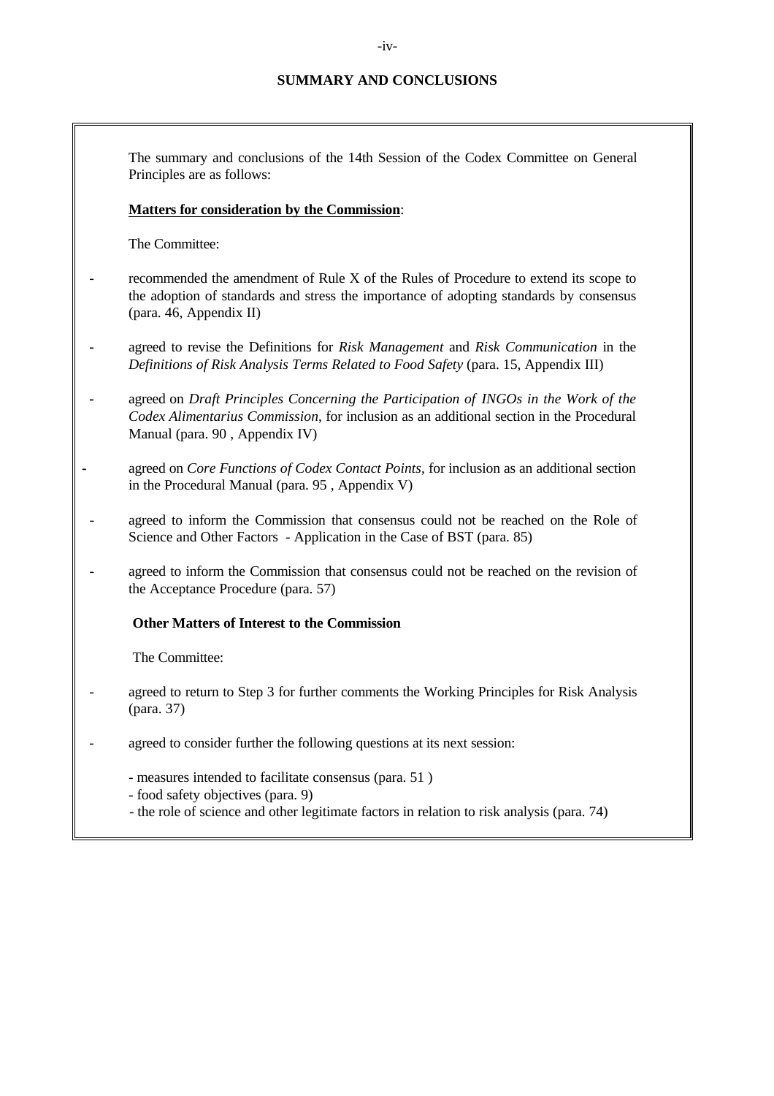The summary and conclusions of the 14th Session of the Codex Committee on General Principles are as follows:

#### **Matters for consideration by the Commission**:

The Committee:

- recommended the amendment of Rule X of the Rules of Procedure to extend its scope to the adoption of standards and stress the importance of adopting standards by consensus (para. 46, Appendix II)
- **-** agreed to revise the Definitions for *Risk Management* and *Risk Communication* in the *Definitions of Risk Analysis Terms Related to Food Safety* (para. 15, Appendix III)
- **-** agreed on *Draft Principles Concerning the Participation of INGOs in the Work of the Codex Alimentarius Commission*, for inclusion as an additional section in the Procedural Manual (para. 90 , Appendix IV)
- **-** agreed on *Core Functions of Codex Contact Points*, for inclusion as an additional section in the Procedural Manual (para. 95 , Appendix V)
- agreed to inform the Commission that consensus could not be reached on the Role of Science and Other Factors - Application in the Case of BST (para. 85)
- agreed to inform the Commission that consensus could not be reached on the revision of the Acceptance Procedure (para. 57)

#### **Other Matters of Interest to the Commission**

The Committee:

- agreed to return to Step 3 for further comments the Working Principles for Risk Analysis (para. 37)
- agreed to consider further the following questions at its next session:
	- measures intended to facilitate consensus (para. 51 )
	- food safety objectives (para. 9)
	- the role of science and other legitimate factors in relation to risk analysis (para. 74)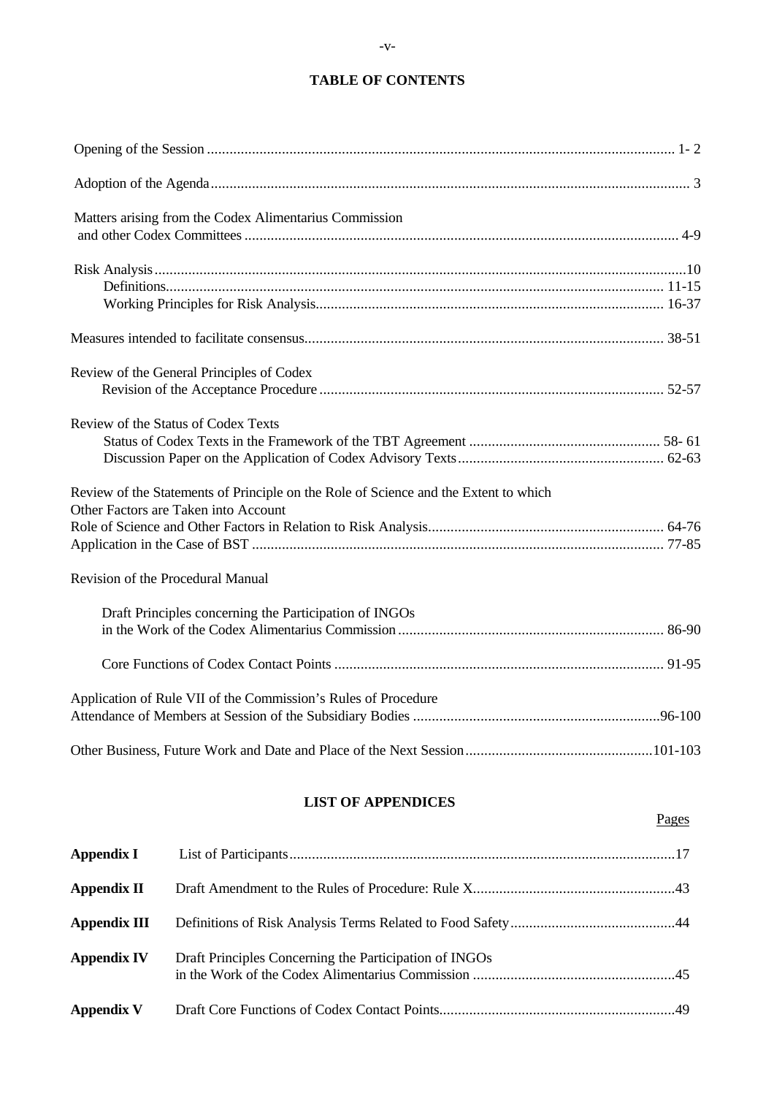# **TABLE OF CONTENTS**

| Matters arising from the Codex Alimentarius Commission                               |
|--------------------------------------------------------------------------------------|
|                                                                                      |
|                                                                                      |
|                                                                                      |
|                                                                                      |
| Review of the General Principles of Codex                                            |
|                                                                                      |
| Review of the Status of Codex Texts                                                  |
|                                                                                      |
|                                                                                      |
| Review of the Statements of Principle on the Role of Science and the Extent to which |
| Other Factors are Taken into Account                                                 |
|                                                                                      |
|                                                                                      |
| Revision of the Procedural Manual                                                    |
| Draft Principles concerning the Participation of INGOs                               |
|                                                                                      |
|                                                                                      |
| Application of Rule VII of the Commission's Rules of Procedure                       |
|                                                                                      |
|                                                                                      |

## **LIST OF APPENDICES**

Pages

| Appendix I         |                                                        |  |
|--------------------|--------------------------------------------------------|--|
| <b>Appendix II</b> |                                                        |  |
| Appendix III       |                                                        |  |
| <b>Appendix IV</b> | Draft Principles Concerning the Participation of INGOs |  |
| <b>Appendix V</b>  |                                                        |  |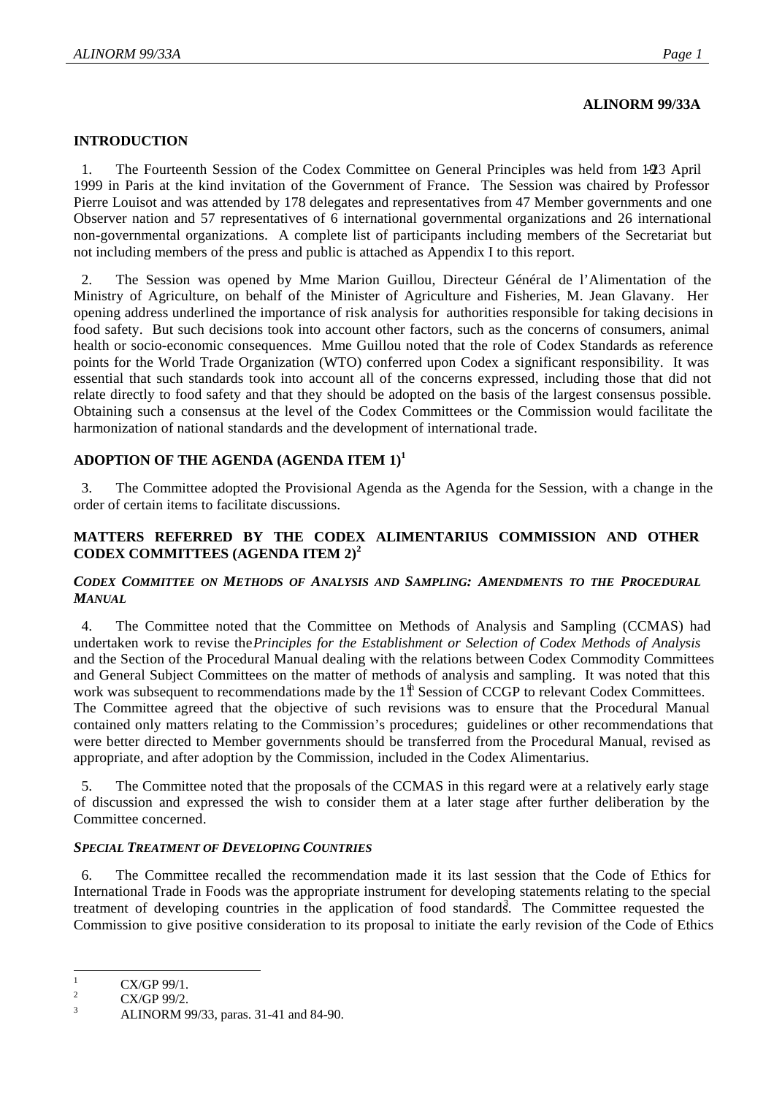#### **ALINORM 99/33A**

#### **INTRODUCTION**

1. The Fourteenth Session of the Codex Committee on General Principles was held from 1-23 April 1999 in Paris at the kind invitation of the Government of France. The Session was chaired by Professor Pierre Louisot and was attended by 178 delegates and representatives from 47 Member governments and one Observer nation and 57 representatives of 6 international governmental organizations and 26 international non-governmental organizations. A complete list of participants including members of the Secretariat but not including members of the press and public is attached as Appendix I to this report.

2. The Session was opened by Mme Marion Guillou, Directeur Général de l'Alimentation of the Ministry of Agriculture, on behalf of the Minister of Agriculture and Fisheries, M. Jean Glavany. Her opening address underlined the importance of risk analysis for authorities responsible for taking decisions in food safety. But such decisions took into account other factors, such as the concerns of consumers, animal health or socio-economic consequences. Mme Guillou noted that the role of Codex Standards as reference points for the World Trade Organization (WTO) conferred upon Codex a significant responsibility. It was essential that such standards took into account all of the concerns expressed, including those that did not relate directly to food safety and that they should be adopted on the basis of the largest consensus possible. Obtaining such a consensus at the level of the Codex Committees or the Commission would facilitate the harmonization of national standards and the development of international trade.

#### **ADOPTION OF THE AGENDA (AGENDA ITEM 1)<sup>1</sup>**

3. The Committee adopted the Provisional Agenda as the Agenda for the Session, with a change in the order of certain items to facilitate discussions.

#### **MATTERS REFERRED BY THE CODEX ALIMENTARIUS COMMISSION AND OTHER CODEX COMMITTEES (AGENDA ITEM 2)<sup>2</sup>**

#### *CODEX COMMITTEE ON METHODS OF ANALYSIS AND SAMPLING: AMENDMENTS TO THE PROCEDURAL MANUAL*

4. The Committee noted that the Committee on Methods of Analysis and Sampling (CCMAS) had undertaken work to revise the *Principles for the Establishment or Selection of Codex Methods of Analysis* and the Section of the Procedural Manual dealing with the relations between Codex Commodity Committees and General Subject Committees on the matter of methods of analysis and sampling. It was noted that this work was subsequent to recommendations made by the  $1<sup>th</sup>$  Session of CCGP to relevant Codex Committees. The Committee agreed that the objective of such revisions was to ensure that the Procedural Manual contained only matters relating to the Commission's procedures; guidelines or other recommendations that were better directed to Member governments should be transferred from the Procedural Manual, revised as appropriate, and after adoption by the Commission, included in the Codex Alimentarius.

The Committee noted that the proposals of the CCMAS in this regard were at a relatively early stage of discussion and expressed the wish to consider them at a later stage after further deliberation by the Committee concerned.

#### *SPECIAL TREATMENT OF DEVELOPING COUNTRIES*

6. The Committee recalled the recommendation made it its last session that the Code of Ethics for International Trade in Foods was the appropriate instrument for developing statements relating to the special treatment of developing countries in the application of food standards. The Committee requested the Commission to give positive consideration to its proposal to initiate the early revision of the Code of Ethics

 $\mathbf{1}$  $\frac{1}{2}$  CX/GP 99/1.

<sup>&</sup>lt;sup>2</sup> CX/GP 99/2.

<sup>3</sup> ALINORM 99/33, paras. 31-41 and 84-90.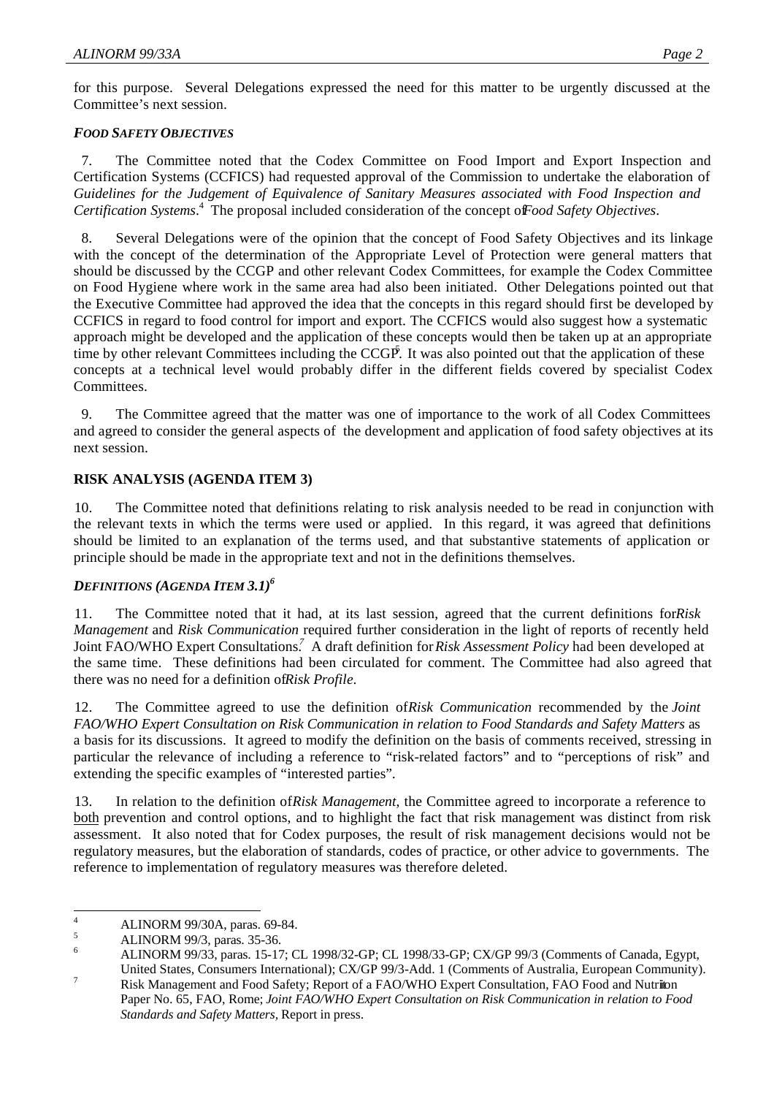for this purpose. Several Delegations expressed the need for this matter to be urgently discussed at the Committee's next session.

#### *FOOD SAFETY OBJECTIVES*

7. The Committee noted that the Codex Committee on Food Import and Export Inspection and Certification Systems (CCFICS) had requested approval of the Commission to undertake the elaboration of *Guidelines for the Judgement of Equivalence of Sanitary Measures associated with Food Inspection and* Certification Systems.<sup>4</sup> The proposal included consideration of the concept of *Food Safety Objectives*.

8. Several Delegations were of the opinion that the concept of Food Safety Objectives and its linkage with the concept of the determination of the Appropriate Level of Protection were general matters that should be discussed by the CCGP and other relevant Codex Committees, for example the Codex Committee on Food Hygiene where work in the same area had also been initiated. Other Delegations pointed out that the Executive Committee had approved the idea that the concepts in this regard should first be developed by CCFICS in regard to food control for import and export. The CCFICS would also suggest how a systematic approach might be developed and the application of these concepts would then be taken up at an appropriate time by other relevant Committees including the  $CCGP$ . It was also pointed out that the application of these concepts at a technical level would probably differ in the different fields covered by specialist Codex Committees.

9. The Committee agreed that the matter was one of importance to the work of all Codex Committees and agreed to consider the general aspects of the development and application of food safety objectives at its next session.

#### **RISK ANALYSIS (AGENDA ITEM 3)**

10. The Committee noted that definitions relating to risk analysis needed to be read in conjunction with the relevant texts in which the terms were used or applied. In this regard, it was agreed that definitions should be limited to an explanation of the terms used, and that substantive statements of application or principle should be made in the appropriate text and not in the definitions themselves.

#### *DEFINITIONS (AGENDA ITEM 3.1)<sup>6</sup>*

11. The Committee noted that it had, at its last session, agreed that the current definitions for*Risk Management* and *Risk Communication* required further consideration in the light of reports of recently held Joint FAO/WHO Expert Consultations.<sup>7</sup> A draft definition for Risk Assessment Policy had been developed at the same time. These definitions had been circulated for comment. The Committee had also agreed that there was no need for a definition of *Risk Profile*.

12. The Committee agreed to use the definition of*Risk Communication* recommended by the *Joint FAO/WHO Expert Consultation on Risk Communication in relation to Food Standards and Safety Matters* as a basis for its discussions. It agreed to modify the definition on the basis of comments received, stressing in particular the relevance of including a reference to "risk-related factors" and to "perceptions of risk" and extending the specific examples of "interested parties".

13. In relation to the definition of *Risk Management*, the Committee agreed to incorporate a reference to both prevention and control options, and to highlight the fact that risk management was distinct from risk assessment. It also noted that for Codex purposes, the result of risk management decisions would not be regulatory measures, but the elaboration of standards, codes of practice, or other advice to governments. The reference to implementation of regulatory measures was therefore deleted.

 $\overline{4}$  $4 \qquad \text{ALINORM 99/30A, paras. 69-84.}$ 

 $\frac{5}{6}$  ALINORM 99/3, paras. 35-36.

<sup>6</sup> ALINORM 99/33, paras. 15-17; CL 1998/32-GP; CL 1998/33-GP; CX/GP 99/3 (Comments of Canada, Egypt, United States, Consumers International); CX/GP 99/3-Add. 1 (Comments of Australia, European Community).

<sup>&</sup>lt;sup>7</sup><br>Risk Management and Food Safety; Report of a FAO/WHO Expert Consultation, FAO Food and Nutrition Paper No. 65, FAO, Rome; *Joint FAO/WHO Expert Consultation on Risk Communication in relation to Food Standards and Safety Matters,* Report in press.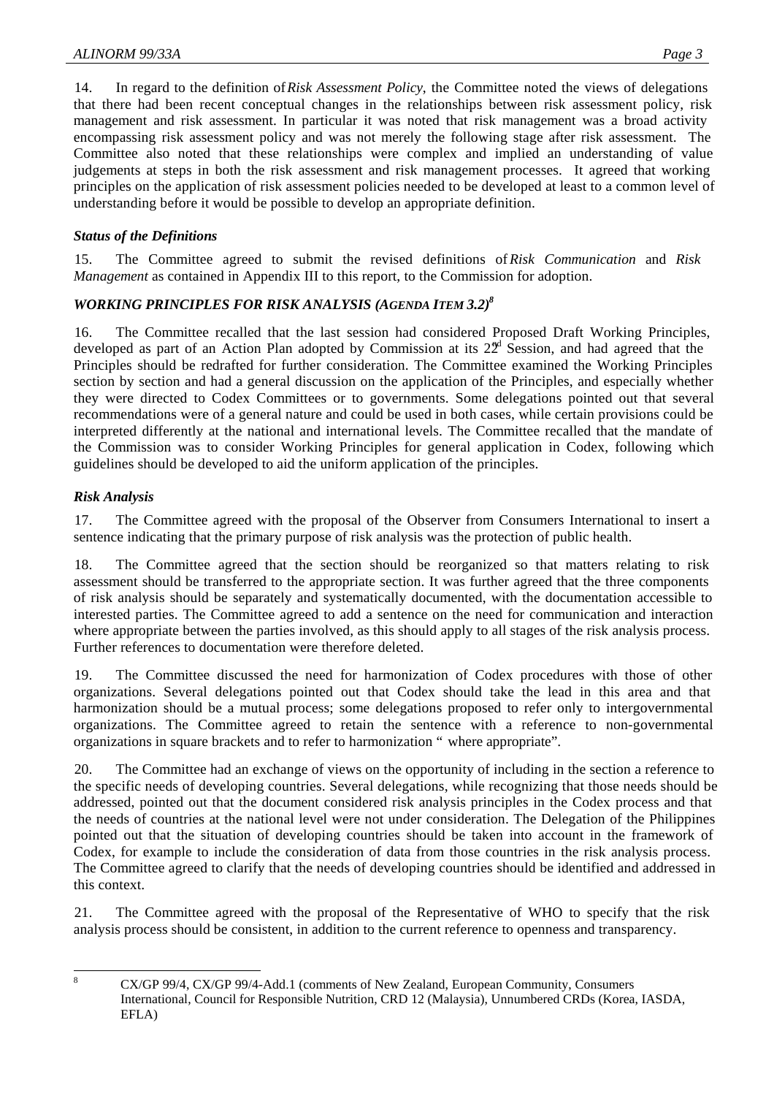14. In regard to the definition of *Risk Assessment Policy*, the Committee noted the views of delegations that there had been recent conceptual changes in the relationships between risk assessment policy, risk management and risk assessment. In particular it was noted that risk management was a broad activity encompassing risk assessment policy and was not merely the following stage after risk assessment. The Committee also noted that these relationships were complex and implied an understanding of value judgements at steps in both the risk assessment and risk management processes. It agreed that working principles on the application of risk assessment policies needed to be developed at least to a common level of understanding before it would be possible to develop an appropriate definition.

# *Status of the Definitions*

15. The Committee agreed to submit the revised definitions of *Risk Communication* and *Risk Management* as contained in Appendix III to this report, to the Commission for adoption.

# *WORKING PRINCIPLES FOR RISK ANALYSIS (AGENDA ITEM 3.2)<sup>8</sup>*

16. The Committee recalled that the last session had considered Proposed Draft Working Principles, developed as part of an Action Plan adopted by Commission at its  $22<sup>d</sup>$  Session, and had agreed that the Principles should be redrafted for further consideration. The Committee examined the Working Principles section by section and had a general discussion on the application of the Principles, and especially whether they were directed to Codex Committees or to governments. Some delegations pointed out that several recommendations were of a general nature and could be used in both cases, while certain provisions could be interpreted differently at the national and international levels. The Committee recalled that the mandate of the Commission was to consider Working Principles for general application in Codex, following which guidelines should be developed to aid the uniform application of the principles.

# *Risk Analysis*

17. The Committee agreed with the proposal of the Observer from Consumers International to insert a sentence indicating that the primary purpose of risk analysis was the protection of public health.

18. The Committee agreed that the section should be reorganized so that matters relating to risk assessment should be transferred to the appropriate section. It was further agreed that the three components of risk analysis should be separately and systematically documented, with the documentation accessible to interested parties. The Committee agreed to add a sentence on the need for communication and interaction where appropriate between the parties involved, as this should apply to all stages of the risk analysis process. Further references to documentation were therefore deleted.

19. The Committee discussed the need for harmonization of Codex procedures with those of other organizations. Several delegations pointed out that Codex should take the lead in this area and that harmonization should be a mutual process; some delegations proposed to refer only to intergovernmental organizations. The Committee agreed to retain the sentence with a reference to non-governmental organizations in square brackets and to refer to harmonization " where appropriate".

20. The Committee had an exchange of views on the opportunity of including in the section a reference to the specific needs of developing countries. Several delegations, while recognizing that those needs should be addressed, pointed out that the document considered risk analysis principles in the Codex process and that the needs of countries at the national level were not under consideration. The Delegation of the Philippines pointed out that the situation of developing countries should be taken into account in the framework of Codex, for example to include the consideration of data from those countries in the risk analysis process. The Committee agreed to clarify that the needs of developing countries should be identified and addressed in this context.

21. The Committee agreed with the proposal of the Representative of WHO to specify that the risk analysis process should be consistent, in addition to the current reference to openness and transparency.

 $\overline{8}$ 

<sup>8</sup> CX/GP 99/4, CX/GP 99/4-Add.1 (comments of New Zealand, European Community, Consumers International, Council for Responsible Nutrition, CRD 12 (Malaysia), Unnumbered CRDs (Korea, IASDA, EFLA)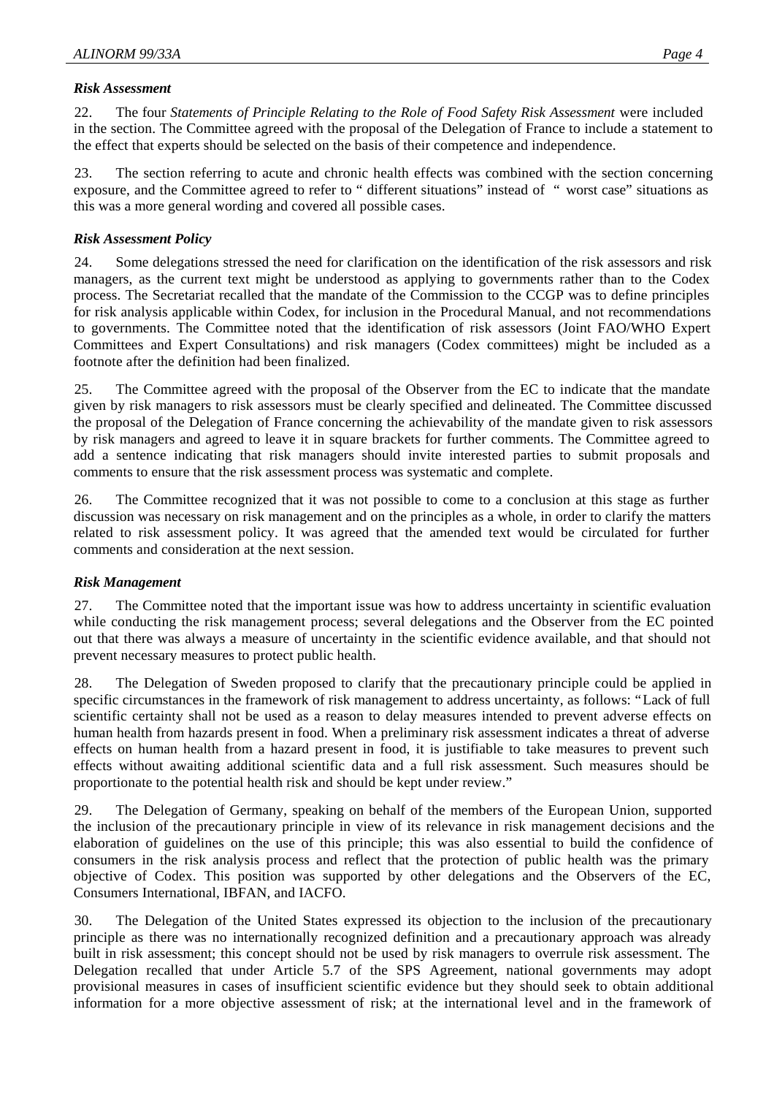#### *Risk Assessment*

22. The four *Statements of Principle Relating to the Role of Food Safety Risk Assessment* were included in the section. The Committee agreed with the proposal of the Delegation of France to include a statement to the effect that experts should be selected on the basis of their competence and independence.

23. The section referring to acute and chronic health effects was combined with the section concerning exposure, and the Committee agreed to refer to " different situations" instead of " worst case" situations as this was a more general wording and covered all possible cases.

#### *Risk Assessment Policy*

24. Some delegations stressed the need for clarification on the identification of the risk assessors and risk managers, as the current text might be understood as applying to governments rather than to the Codex process. The Secretariat recalled that the mandate of the Commission to the CCGP was to define principles for risk analysis applicable within Codex, for inclusion in the Procedural Manual, and not recommendations to governments. The Committee noted that the identification of risk assessors (Joint FAO/WHO Expert Committees and Expert Consultations) and risk managers (Codex committees) might be included as a footnote after the definition had been finalized.

25. The Committee agreed with the proposal of the Observer from the EC to indicate that the mandate given by risk managers to risk assessors must be clearly specified and delineated. The Committee discussed the proposal of the Delegation of France concerning the achievability of the mandate given to risk assessors by risk managers and agreed to leave it in square brackets for further comments. The Committee agreed to add a sentence indicating that risk managers should invite interested parties to submit proposals and comments to ensure that the risk assessment process was systematic and complete.

26. The Committee recognized that it was not possible to come to a conclusion at this stage as further discussion was necessary on risk management and on the principles as a whole, in order to clarify the matters related to risk assessment policy. It was agreed that the amended text would be circulated for further comments and consideration at the next session.

#### *Risk Management*

27. The Committee noted that the important issue was how to address uncertainty in scientific evaluation while conducting the risk management process; several delegations and the Observer from the EC pointed out that there was always a measure of uncertainty in the scientific evidence available, and that should not prevent necessary measures to protect public health.

28. The Delegation of Sweden proposed to clarify that the precautionary principle could be applied in specific circumstances in the framework of risk management to address uncertainty, as follows: "Lack of full scientific certainty shall not be used as a reason to delay measures intended to prevent adverse effects on human health from hazards present in food. When a preliminary risk assessment indicates a threat of adverse effects on human health from a hazard present in food, it is justifiable to take measures to prevent such effects without awaiting additional scientific data and a full risk assessment. Such measures should be proportionate to the potential health risk and should be kept under review."

29. The Delegation of Germany, speaking on behalf of the members of the European Union, supported the inclusion of the precautionary principle in view of its relevance in risk management decisions and the elaboration of guidelines on the use of this principle; this was also essential to build the confidence of consumers in the risk analysis process and reflect that the protection of public health was the primary objective of Codex. This position was supported by other delegations and the Observers of the EC, Consumers International, IBFAN, and IACFO.

30. The Delegation of the United States expressed its objection to the inclusion of the precautionary principle as there was no internationally recognized definition and a precautionary approach was already built in risk assessment; this concept should not be used by risk managers to overrule risk assessment. The Delegation recalled that under Article 5.7 of the SPS Agreement, national governments may adopt provisional measures in cases of insufficient scientific evidence but they should seek to obtain additional information for a more objective assessment of risk; at the international level and in the framework of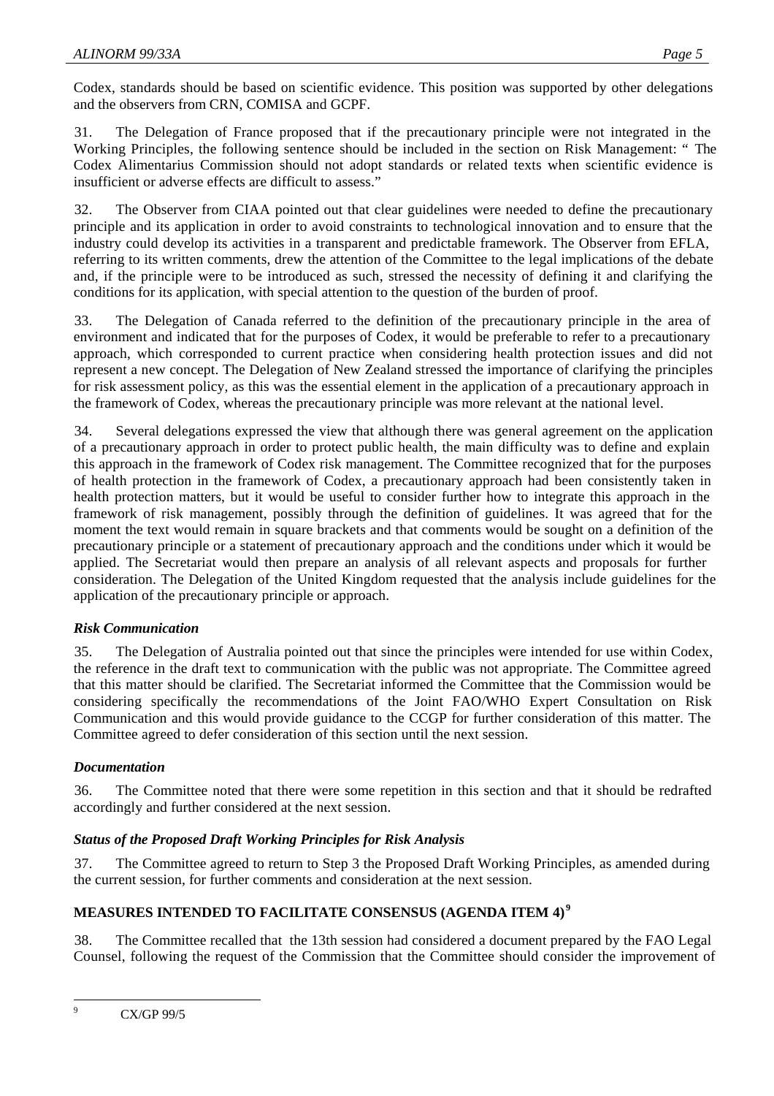Codex, standards should be based on scientific evidence. This position was supported by other delegations and the observers from CRN, COMISA and GCPF.

31. The Delegation of France proposed that if the precautionary principle were not integrated in the Working Principles, the following sentence should be included in the section on Risk Management: " The Codex Alimentarius Commission should not adopt standards or related texts when scientific evidence is insufficient or adverse effects are difficult to assess."

32. The Observer from CIAA pointed out that clear guidelines were needed to define the precautionary principle and its application in order to avoid constraints to technological innovation and to ensure that the industry could develop its activities in a transparent and predictable framework. The Observer from EFLA, referring to its written comments, drew the attention of the Committee to the legal implications of the debate and, if the principle were to be introduced as such, stressed the necessity of defining it and clarifying the conditions for its application, with special attention to the question of the burden of proof.

33. The Delegation of Canada referred to the definition of the precautionary principle in the area of environment and indicated that for the purposes of Codex, it would be preferable to refer to a precautionary approach, which corresponded to current practice when considering health protection issues and did not represent a new concept. The Delegation of New Zealand stressed the importance of clarifying the principles for risk assessment policy, as this was the essential element in the application of a precautionary approach in the framework of Codex, whereas the precautionary principle was more relevant at the national level.

34. Several delegations expressed the view that although there was general agreement on the application of a precautionary approach in order to protect public health, the main difficulty was to define and explain this approach in the framework of Codex risk management. The Committee recognized that for the purposes of health protection in the framework of Codex, a precautionary approach had been consistently taken in health protection matters, but it would be useful to consider further how to integrate this approach in the framework of risk management, possibly through the definition of guidelines. It was agreed that for the moment the text would remain in square brackets and that comments would be sought on a definition of the precautionary principle or a statement of precautionary approach and the conditions under which it would be applied. The Secretariat would then prepare an analysis of all relevant aspects and proposals for further consideration. The Delegation of the United Kingdom requested that the analysis include guidelines for the application of the precautionary principle or approach.

# *Risk Communication*

35. The Delegation of Australia pointed out that since the principles were intended for use within Codex, the reference in the draft text to communication with the public was not appropriate. The Committee agreed that this matter should be clarified. The Secretariat informed the Committee that the Commission would be considering specifically the recommendations of the Joint FAO/WHO Expert Consultation on Risk Communication and this would provide guidance to the CCGP for further consideration of this matter. The Committee agreed to defer consideration of this section until the next session.

#### *Documentation*

36. The Committee noted that there were some repetition in this section and that it should be redrafted accordingly and further considered at the next session.

#### *Status of the Proposed Draft Working Principles for Risk Analysis*

37. The Committee agreed to return to Step 3 the Proposed Draft Working Principles, as amended during the current session, for further comments and consideration at the next session.

# **MEASURES INTENDED TO FACILITATE CONSENSUS (AGENDA ITEM 4) <sup>9</sup>**

38. The Committee recalled that the 13th session had considered a document prepared by the FAO Legal Counsel, following the request of the Commission that the Committee should consider the improvement of

 $\overline{9}$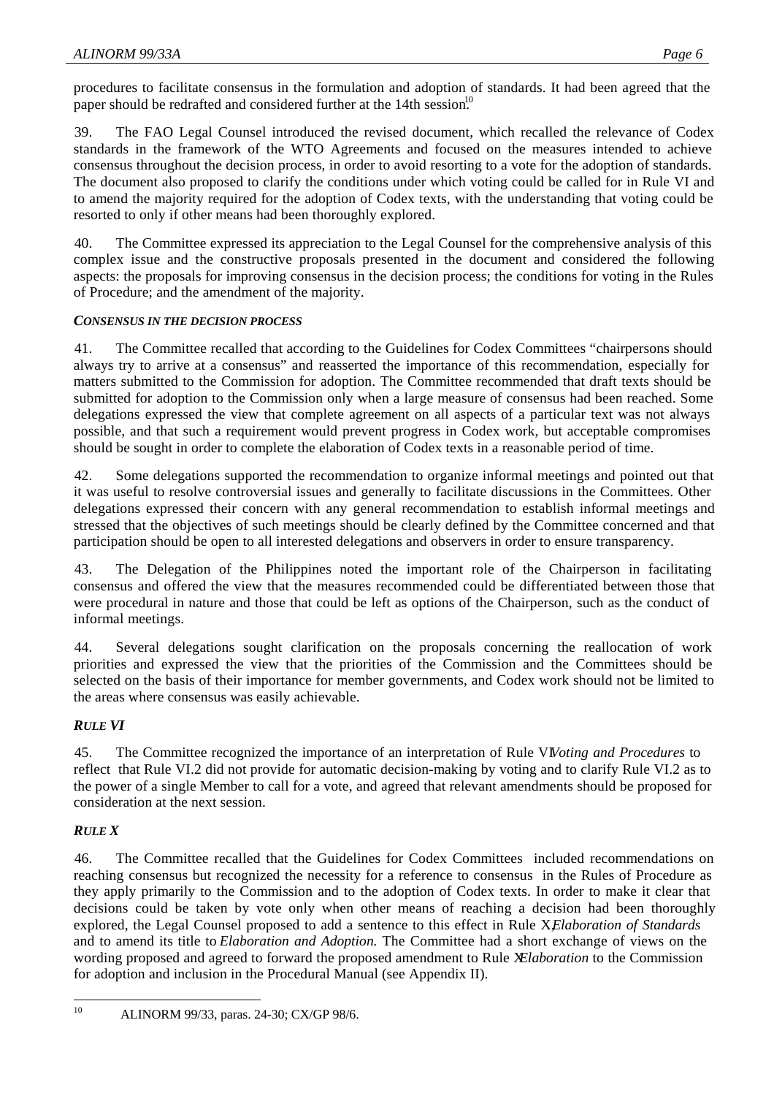procedures to facilitate consensus in the formulation and adoption of standards. It had been agreed that the paper should be redrafted and considered further at the 14th session.<sup>10</sup>

39. The FAO Legal Counsel introduced the revised document, which recalled the relevance of Codex standards in the framework of the WTO Agreements and focused on the measures intended to achieve consensus throughout the decision process, in order to avoid resorting to a vote for the adoption of standards. The document also proposed to clarify the conditions under which voting could be called for in Rule VI and to amend the majority required for the adoption of Codex texts, with the understanding that voting could be resorted to only if other means had been thoroughly explored.

40. The Committee expressed its appreciation to the Legal Counsel for the comprehensive analysis of this complex issue and the constructive proposals presented in the document and considered the following aspects: the proposals for improving consensus in the decision process; the conditions for voting in the Rules of Procedure; and the amendment of the majority.

#### *CONSENSUS IN THE DECISION PROCESS*

41. The Committee recalled that according to the Guidelines for Codex Committees "chairpersons should always try to arrive at a consensus" and reasserted the importance of this recommendation, especially for matters submitted to the Commission for adoption. The Committee recommended that draft texts should be submitted for adoption to the Commission only when a large measure of consensus had been reached. Some delegations expressed the view that complete agreement on all aspects of a particular text was not always possible, and that such a requirement would prevent progress in Codex work, but acceptable compromises should be sought in order to complete the elaboration of Codex texts in a reasonable period of time.

42. Some delegations supported the recommendation to organize informal meetings and pointed out that it was useful to resolve controversial issues and generally to facilitate discussions in the Committees. Other delegations expressed their concern with any general recommendation to establish informal meetings and stressed that the objectives of such meetings should be clearly defined by the Committee concerned and that participation should be open to all interested delegations and observers in order to ensure transparency.

43. The Delegation of the Philippines noted the important role of the Chairperson in facilitating consensus and offered the view that the measures recommended could be differentiated between those that were procedural in nature and those that could be left as options of the Chairperson, such as the conduct of informal meetings.

44. Several delegations sought clarification on the proposals concerning the reallocation of work priorities and expressed the view that the priorities of the Commission and the Committees should be selected on the basis of their importance for member governments, and Codex work should not be limited to the areas where consensus was easily achievable.

# *RULE VI*

45. The Committee recognized the importance of an interpretation of Rule VI *Voting and Procedures* to reflect that Rule VI.2 did not provide for automatic decision-making by voting and to clarify Rule VI.2 as to the power of a single Member to call for a vote, and agreed that relevant amendments should be proposed for consideration at the next session.

# *RULE X*

46. The Committee recalled that the Guidelines for Codex Committees included recommendations on reaching consensus but recognized the necessity for a reference to consensus in the Rules of Procedure as they apply primarily to the Commission and to the adoption of Codex texts. In order to make it clear that decisions could be taken by vote only when other means of reaching a decision had been thoroughly explored, the Legal Counsel proposed to add a sentence to this effect in Rule X*Elaboration of Standards* and to amend its title to *Elaboration and Adoption.* The Committee had a short exchange of views on the wording proposed and agreed to forward the proposed amendment to Rule *XElaboration* to the Commission for adoption and inclusion in the Procedural Manual (see Appendix II).

 $10$ <sup>10</sup> ALINORM 99/33, paras. 24-30; CX/GP 98/6.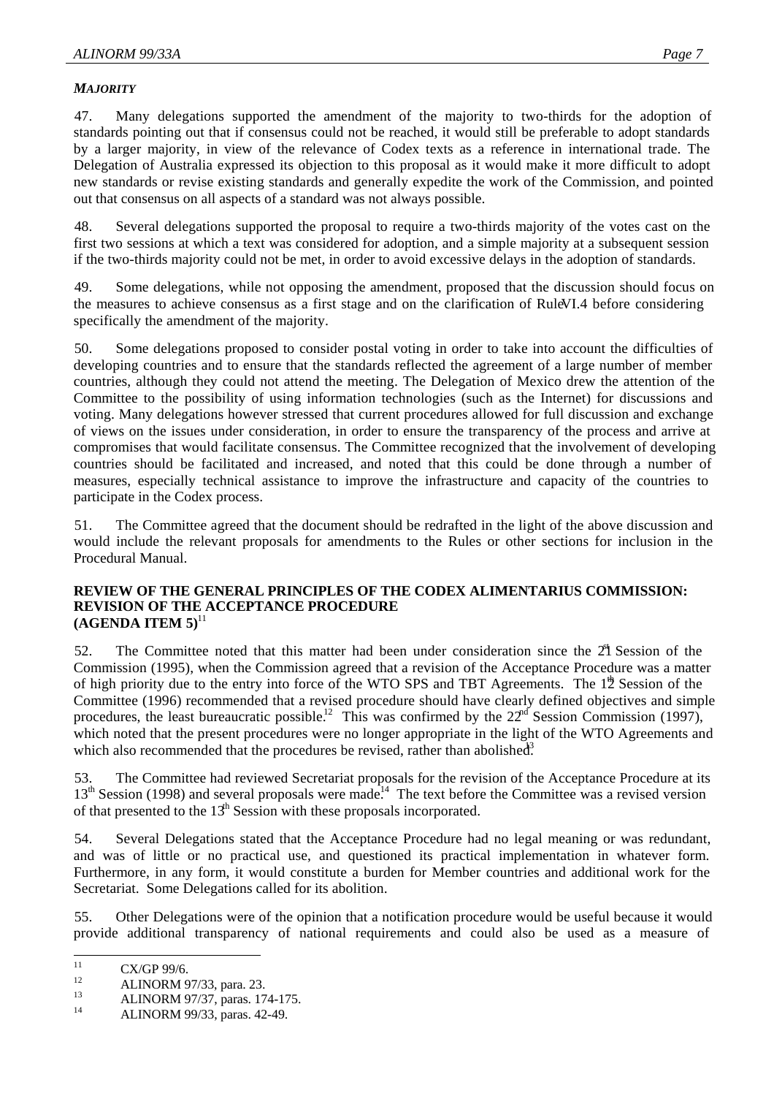#### *MAJORITY*

47. Many delegations supported the amendment of the majority to two-thirds for the adoption of standards pointing out that if consensus could not be reached, it would still be preferable to adopt standards by a larger majority, in view of the relevance of Codex texts as a reference in international trade. The Delegation of Australia expressed its objection to this proposal as it would make it more difficult to adopt new standards or revise existing standards and generally expedite the work of the Commission, and pointed out that consensus on all aspects of a standard was not always possible.

48. Several delegations supported the proposal to require a two-thirds majority of the votes cast on the first two sessions at which a text was considered for adoption, and a simple majority at a subsequent session if the two-thirds majority could not be met, in order to avoid excessive delays in the adoption of standards.

49. Some delegations, while not opposing the amendment, proposed that the discussion should focus on the measures to achieve consensus as a first stage and on the clarification of RuleVI.4 before considering specifically the amendment of the majority.

50. Some delegations proposed to consider postal voting in order to take into account the difficulties of developing countries and to ensure that the standards reflected the agreement of a large number of member countries, although they could not attend the meeting. The Delegation of Mexico drew the attention of the Committee to the possibility of using information technologies (such as the Internet) for discussions and voting. Many delegations however stressed that current procedures allowed for full discussion and exchange of views on the issues under consideration, in order to ensure the transparency of the process and arrive at compromises that would facilitate consensus. The Committee recognized that the involvement of developing countries should be facilitated and increased, and noted that this could be done through a number of measures, especially technical assistance to improve the infrastructure and capacity of the countries to participate in the Codex process.

51. The Committee agreed that the document should be redrafted in the light of the above discussion and would include the relevant proposals for amendments to the Rules or other sections for inclusion in the Procedural Manual.

#### **REVIEW OF THE GENERAL PRINCIPLES OF THE CODEX ALIMENTARIUS COMMISSION: REVISION OF THE ACCEPTANCE PROCEDURE (AGENDA ITEM 5)**<sup>11</sup>

52. The Committee noted that this matter had been under consideration since the  $2<sup>1</sup>$  Session of the Commission (1995), when the Commission agreed that a revision of the Acceptance Procedure was a matter of high priority due to the entry into force of the WTO SPS and TBT Agreements. The  $12$ <sup>th</sup> Session of the Committee (1996) recommended that a revised procedure should have clearly defined objectives and simple procedures, the least bureaucratic possible.<sup>12</sup> This was confirmed by the  $22<sup>nd</sup>$  Session Commission (1997), which noted that the present procedures were no longer appropriate in the light of the WTO Agreements and which also recommended that the procedures be revised, rather than abolished.<sup>3</sup>

53. The Committee had reviewed Secretariat proposals for the revision of the Acceptance Procedure at its  $13<sup>th</sup>$  Session (1998) and several proposals were made.<sup>14</sup> The text before the Committee was a revised version of that presented to the  $13<sup>th</sup>$  Session with these proposals incorporated.

54. Several Delegations stated that the Acceptance Procedure had no legal meaning or was redundant, and was of little or no practical use, and questioned its practical implementation in whatever form. Furthermore, in any form, it would constitute a burden for Member countries and additional work for the Secretariat. Some Delegations called for its abolition.

55. Other Delegations were of the opinion that a notification procedure would be useful because it would provide additional transparency of national requirements and could also be used as a measure of

 $11$  $\frac{11}{12}$  CX/GP 99/6.

 $12$  ALINORM 97/33, para. 23.

<sup>&</sup>lt;sup>13</sup> ALINORM 97/37, paras. 174-175.

<sup>14</sup> ALINORM 99/33, paras. 42-49.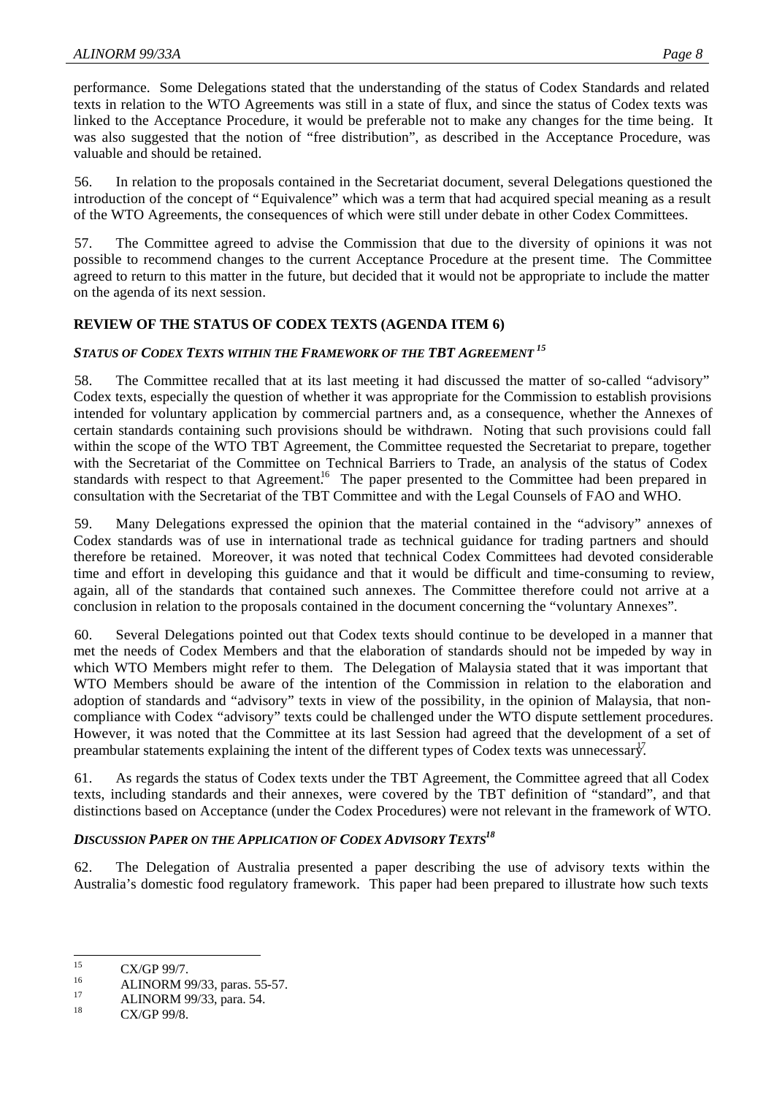performance. Some Delegations stated that the understanding of the status of Codex Standards and related texts in relation to the WTO Agreements was still in a state of flux, and since the status of Codex texts was linked to the Acceptance Procedure, it would be preferable not to make any changes for the time being. It was also suggested that the notion of "free distribution", as described in the Acceptance Procedure, was valuable and should be retained.

56. In relation to the proposals contained in the Secretariat document, several Delegations questioned the introduction of the concept of "Equivalence" which was a term that had acquired special meaning as a result of the WTO Agreements, the consequences of which were still under debate in other Codex Committees.

57. The Committee agreed to advise the Commission that due to the diversity of opinions it was not possible to recommend changes to the current Acceptance Procedure at the present time. The Committee agreed to return to this matter in the future, but decided that it would not be appropriate to include the matter on the agenda of its next session.

#### **REVIEW OF THE STATUS OF CODEX TEXTS (AGENDA ITEM 6)**

### *STATUS OF CODEX TEXTS WITHIN THE FRAMEWORK OF THE TBT AGREEMENT <sup>15</sup>*

58. The Committee recalled that at its last meeting it had discussed the matter of so-called "advisory" Codex texts, especially the question of whether it was appropriate for the Commission to establish provisions intended for voluntary application by commercial partners and, as a consequence, whether the Annexes of certain standards containing such provisions should be withdrawn. Noting that such provisions could fall within the scope of the WTO TBT Agreement, the Committee requested the Secretariat to prepare, together with the Secretariat of the Committee on Technical Barriers to Trade, an analysis of the status of Codex standards with respect to that Agreement.<sup>16</sup> The paper presented to the Committee had been prepared in consultation with the Secretariat of the TBT Committee and with the Legal Counsels of FAO and WHO.

59. Many Delegations expressed the opinion that the material contained in the "advisory" annexes of Codex standards was of use in international trade as technical guidance for trading partners and should therefore be retained. Moreover, it was noted that technical Codex Committees had devoted considerable time and effort in developing this guidance and that it would be difficult and time-consuming to review, again, all of the standards that contained such annexes. The Committee therefore could not arrive at a conclusion in relation to the proposals contained in the document concerning the "voluntary Annexes".

60. Several Delegations pointed out that Codex texts should continue to be developed in a manner that met the needs of Codex Members and that the elaboration of standards should not be impeded by way in which WTO Members might refer to them. The Delegation of Malaysia stated that it was important that WTO Members should be aware of the intention of the Commission in relation to the elaboration and adoption of standards and "advisory" texts in view of the possibility, in the opinion of Malaysia, that noncompliance with Codex "advisory" texts could be challenged under the WTO dispute settlement procedures. However, it was noted that the Committee at its last Session had agreed that the development of a set of preambular statements explaining the intent of the different types of Codex texts was unnecessary.

61. As regards the status of Codex texts under the TBT Agreement, the Committee agreed that all Codex texts, including standards and their annexes, were covered by the TBT definition of "standard", and that distinctions based on Acceptance (under the Codex Procedures) were not relevant in the framework of WTO.

#### *DISCUSSION PAPER ON THE APPLICATION OF CODEX ADVISORY TEXTS<sup>18</sup>*

62. The Delegation of Australia presented a paper describing the use of advisory texts within the Australia's domestic food regulatory framework. This paper had been prepared to illustrate how such texts

 $15$  $\frac{15}{16}$  CX/GP 99/7.

<sup>&</sup>lt;sup>16</sup> ALINORM 99/33, paras. 55-57.

 $17$  ALINORM 99/33, para. 54.

CX/GP 99/8.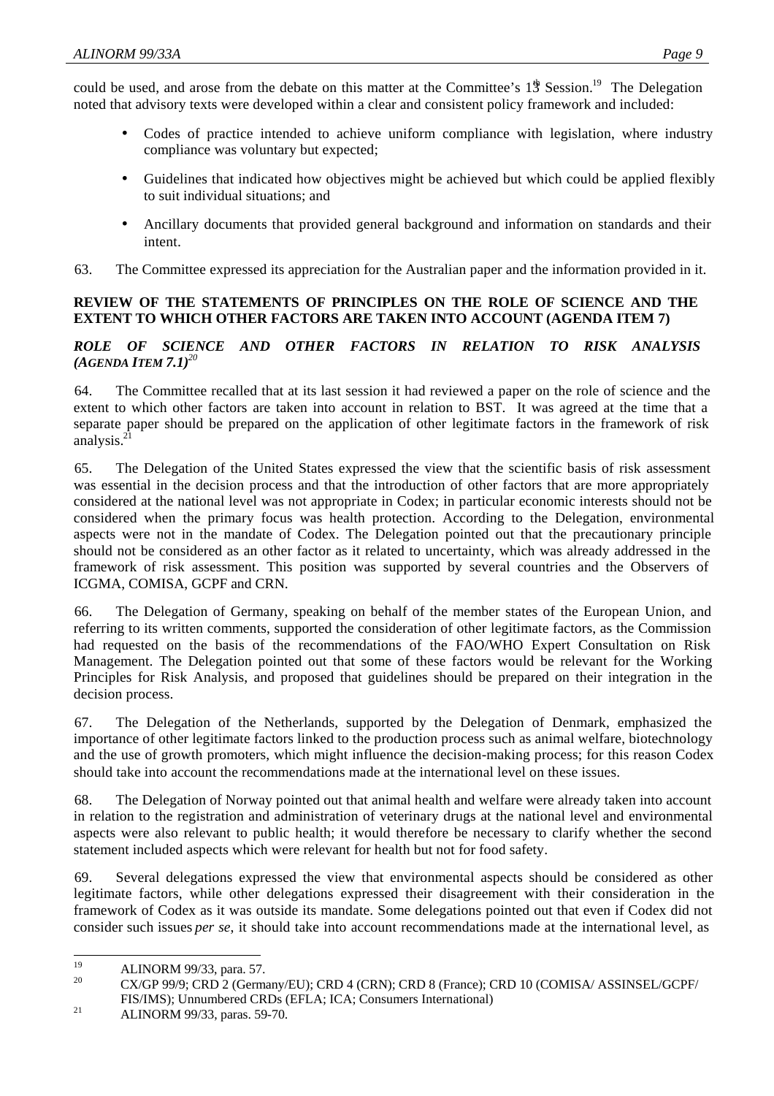could be used, and arose from the debate on this matter at the Committee's 1<sup>th</sup> Session.<sup>19</sup> The Delegation noted that advisory texts were developed within a clear and consistent policy framework and included:

- Codes of practice intended to achieve uniform compliance with legislation, where industry compliance was voluntary but expected;
- Guidelines that indicated how objectives might be achieved but which could be applied flexibly to suit individual situations; and
- Ancillary documents that provided general background and information on standards and their intent.
- 63. The Committee expressed its appreciation for the Australian paper and the information provided in it.

#### **REVIEW OF THE STATEMENTS OF PRINCIPLES ON THE ROLE OF SCIENCE AND THE EXTENT TO WHICH OTHER FACTORS ARE TAKEN INTO ACCOUNT (AGENDA ITEM 7)**

# *ROLE OF SCIENCE AND OTHER FACTORS IN RELATION TO RISK ANALYSIS*  $(AGENDA \, ITEM \, 7.1)^{20}$

64. The Committee recalled that at its last session it had reviewed a paper on the role of science and the extent to which other factors are taken into account in relation to BST. It was agreed at the time that a separate paper should be prepared on the application of other legitimate factors in the framework of risk analysis. $21$ 

65. The Delegation of the United States expressed the view that the scientific basis of risk assessment was essential in the decision process and that the introduction of other factors that are more appropriately considered at the national level was not appropriate in Codex; in particular economic interests should not be considered when the primary focus was health protection. According to the Delegation, environmental aspects were not in the mandate of Codex. The Delegation pointed out that the precautionary principle should not be considered as an other factor as it related to uncertainty, which was already addressed in the framework of risk assessment. This position was supported by several countries and the Observers of ICGMA, COMISA, GCPF and CRN.

66. The Delegation of Germany, speaking on behalf of the member states of the European Union, and referring to its written comments, supported the consideration of other legitimate factors, as the Commission had requested on the basis of the recommendations of the FAO/WHO Expert Consultation on Risk Management. The Delegation pointed out that some of these factors would be relevant for the Working Principles for Risk Analysis, and proposed that guidelines should be prepared on their integration in the decision process.

67. The Delegation of the Netherlands, supported by the Delegation of Denmark, emphasized the importance of other legitimate factors linked to the production process such as animal welfare, biotechnology and the use of growth promoters, which might influence the decision-making process; for this reason Codex should take into account the recommendations made at the international level on these issues.

68. The Delegation of Norway pointed out that animal health and welfare were already taken into account in relation to the registration and administration of veterinary drugs at the national level and environmental aspects were also relevant to public health; it would therefore be necessary to clarify whether the second statement included aspects which were relevant for health but not for food safety.

69. Several delegations expressed the view that environmental aspects should be considered as other legitimate factors, while other delegations expressed their disagreement with their consideration in the framework of Codex as it was outside its mandate. Some delegations pointed out that even if Codex did not consider such issues *per se*, it should take into account recommendations made at the international level, as

<sup>19</sup>  $^{19}$  ALINORM 99/33, para. 57.

<sup>20</sup> CX/GP 99/9; CRD 2 (Germany/EU); CRD 4 (CRN); CRD 8 (France); CRD 10 (COMISA/ ASSINSEL/GCPF/ FIS/IMS); Unnumbered CRDs (EFLA; ICA; Consumers International)

<sup>21</sup> ALINORM 99/33, paras. 59-70.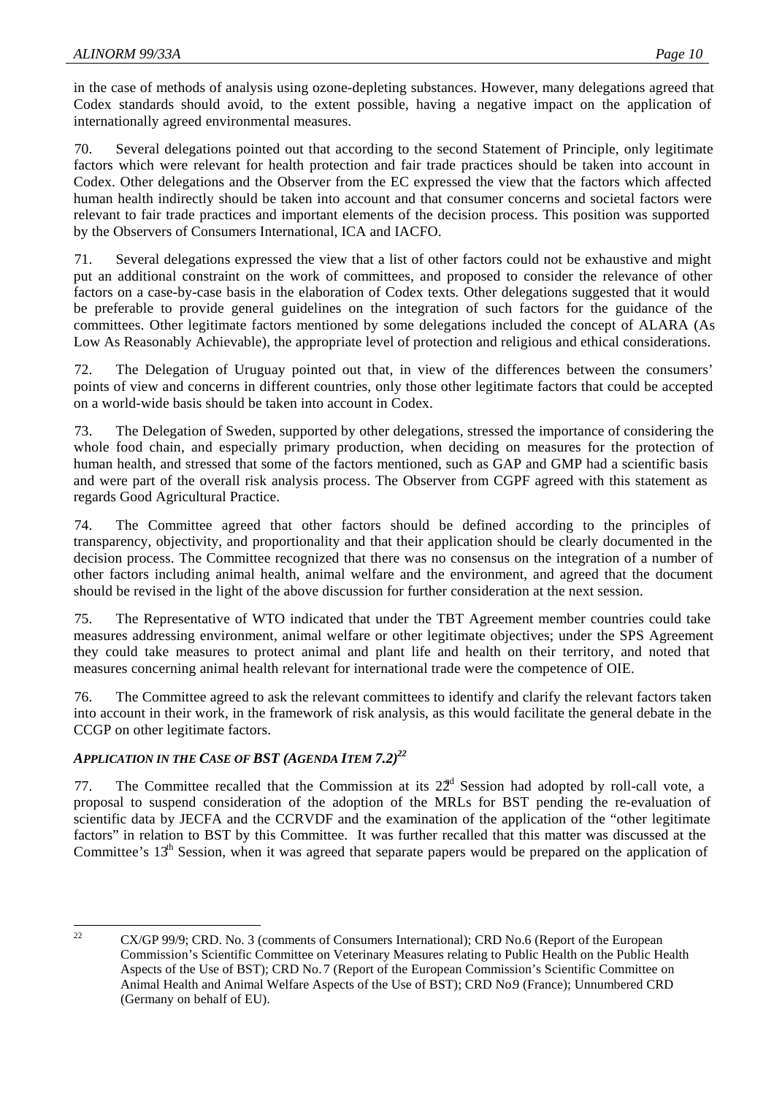in the case of methods of analysis using ozone-depleting substances. However, many delegations agreed that Codex standards should avoid, to the extent possible, having a negative impact on the application of internationally agreed environmental measures.

70. Several delegations pointed out that according to the second Statement of Principle, only legitimate factors which were relevant for health protection and fair trade practices should be taken into account in Codex. Other delegations and the Observer from the EC expressed the view that the factors which affected human health indirectly should be taken into account and that consumer concerns and societal factors were relevant to fair trade practices and important elements of the decision process. This position was supported by the Observers of Consumers International, ICA and IACFO.

71. Several delegations expressed the view that a list of other factors could not be exhaustive and might put an additional constraint on the work of committees, and proposed to consider the relevance of other factors on a case-by-case basis in the elaboration of Codex texts. Other delegations suggested that it would be preferable to provide general guidelines on the integration of such factors for the guidance of the committees. Other legitimate factors mentioned by some delegations included the concept of ALARA (As Low As Reasonably Achievable), the appropriate level of protection and religious and ethical considerations.

72. The Delegation of Uruguay pointed out that, in view of the differences between the consumers' points of view and concerns in different countries, only those other legitimate factors that could be accepted on a world-wide basis should be taken into account in Codex.

73. The Delegation of Sweden, supported by other delegations, stressed the importance of considering the whole food chain, and especially primary production, when deciding on measures for the protection of human health, and stressed that some of the factors mentioned, such as GAP and GMP had a scientific basis and were part of the overall risk analysis process. The Observer from CGPF agreed with this statement as regards Good Agricultural Practice.

74. The Committee agreed that other factors should be defined according to the principles of transparency, objectivity, and proportionality and that their application should be clearly documented in the decision process. The Committee recognized that there was no consensus on the integration of a number of other factors including animal health, animal welfare and the environment, and agreed that the document should be revised in the light of the above discussion for further consideration at the next session.

75. The Representative of WTO indicated that under the TBT Agreement member countries could take measures addressing environment, animal welfare or other legitimate objectives; under the SPS Agreement they could take measures to protect animal and plant life and health on their territory, and noted that measures concerning animal health relevant for international trade were the competence of OIE.

76. The Committee agreed to ask the relevant committees to identify and clarify the relevant factors taken into account in their work, in the framework of risk analysis, as this would facilitate the general debate in the CCGP on other legitimate factors.

# *APPLICATION IN THE CASE OF BST (AGENDA ITEM 7.2)<sup>22</sup>*

77. The Committee recalled that the Commission at its  $22<sup>d</sup>$  Session had adopted by roll-call vote, a proposal to suspend consideration of the adoption of the MRLs for BST pending the re-evaluation of scientific data by JECFA and the CCRVDF and the examination of the application of the "other legitimate" factors" in relation to BST by this Committee. It was further recalled that this matter was discussed at the Committee's  $13<sup>th</sup>$  Session, when it was agreed that separate papers would be prepared on the application of

 $22$ <sup>22</sup> CX/GP 99/9; CRD. No. 3 (comments of Consumers International); CRD No.6 (Report of the European Commission's Scientific Committee on Veterinary Measures relating to Public Health on the Public Health Aspects of the Use of BST); CRD No. 7 (Report of the European Commission's Scientific Committee on Animal Health and Animal Welfare Aspects of the Use of BST); CRD No.9 (France); Unnumbered CRD (Germany on behalf of EU).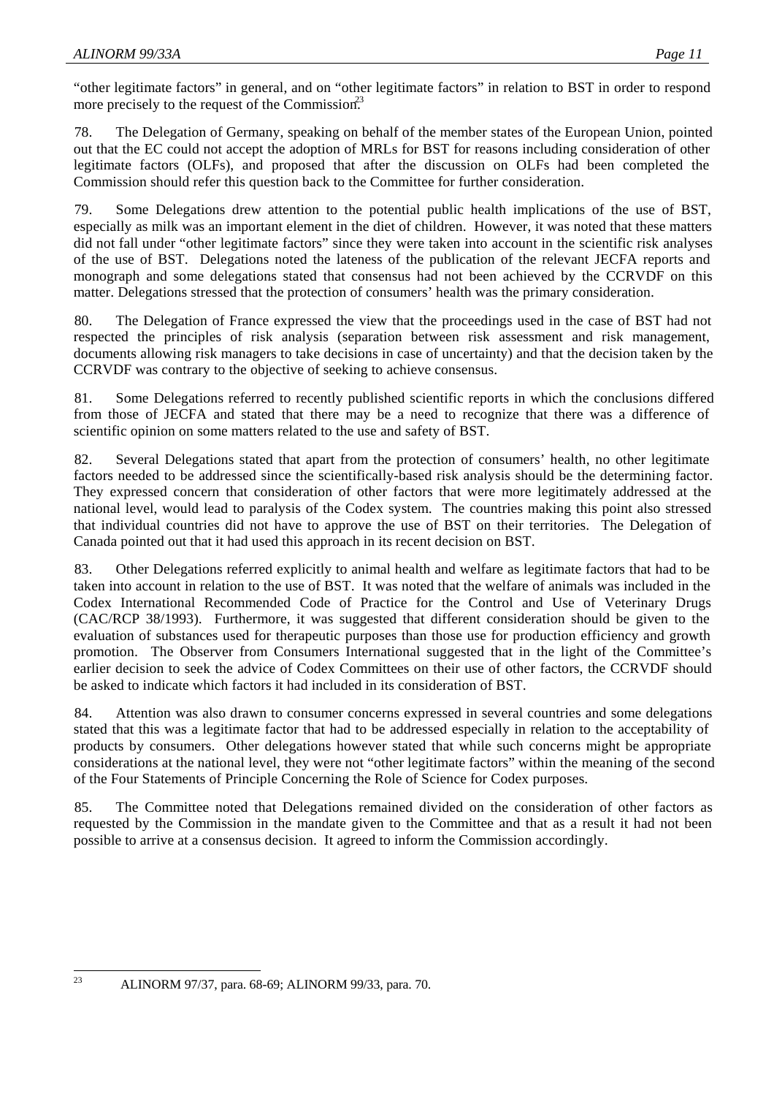"other legitimate factors" in general, and on "other legitimate factors" in relation to BST in order to respond more precisely to the request of the Commission.<sup>23</sup>

78. The Delegation of Germany, speaking on behalf of the member states of the European Union, pointed out that the EC could not accept the adoption of MRLs for BST for reasons including consideration of other legitimate factors (OLFs), and proposed that after the discussion on OLFs had been completed the Commission should refer this question back to the Committee for further consideration.

79. Some Delegations drew attention to the potential public health implications of the use of BST, especially as milk was an important element in the diet of children. However, it was noted that these matters did not fall under "other legitimate factors" since they were taken into account in the scientific risk analyses of the use of BST. Delegations noted the lateness of the publication of the relevant JECFA reports and monograph and some delegations stated that consensus had not been achieved by the CCRVDF on this matter. Delegations stressed that the protection of consumers' health was the primary consideration.

80. The Delegation of France expressed the view that the proceedings used in the case of BST had not respected the principles of risk analysis (separation between risk assessment and risk management, documents allowing risk managers to take decisions in case of uncertainty) and that the decision taken by the CCRVDF was contrary to the objective of seeking to achieve consensus.

81. Some Delegations referred to recently published scientific reports in which the conclusions differed from those of JECFA and stated that there may be a need to recognize that there was a difference of scientific opinion on some matters related to the use and safety of BST.

82. Several Delegations stated that apart from the protection of consumers' health, no other legitimate factors needed to be addressed since the scientifically-based risk analysis should be the determining factor. They expressed concern that consideration of other factors that were more legitimately addressed at the national level, would lead to paralysis of the Codex system. The countries making this point also stressed that individual countries did not have to approve the use of BST on their territories. The Delegation of Canada pointed out that it had used this approach in its recent decision on BST.

83. Other Delegations referred explicitly to animal health and welfare as legitimate factors that had to be taken into account in relation to the use of BST. It was noted that the welfare of animals was included in the Codex International Recommended Code of Practice for the Control and Use of Veterinary Drugs (CAC/RCP 38/1993). Furthermore, it was suggested that different consideration should be given to the evaluation of substances used for therapeutic purposes than those use for production efficiency and growth promotion. The Observer from Consumers International suggested that in the light of the Committee's earlier decision to seek the advice of Codex Committees on their use of other factors, the CCRVDF should be asked to indicate which factors it had included in its consideration of BST.

84. Attention was also drawn to consumer concerns expressed in several countries and some delegations stated that this was a legitimate factor that had to be addressed especially in relation to the acceptability of products by consumers. Other delegations however stated that while such concerns might be appropriate considerations at the national level, they were not "other legitimate factors" within the meaning of the second of the Four Statements of Principle Concerning the Role of Science for Codex purposes.

85. The Committee noted that Delegations remained divided on the consideration of other factors as requested by the Commission in the mandate given to the Committee and that as a result it had not been possible to arrive at a consensus decision. It agreed to inform the Commission accordingly.

23

<sup>23</sup> ALINORM 97/37, para. 68-69; ALINORM 99/33, para. 70.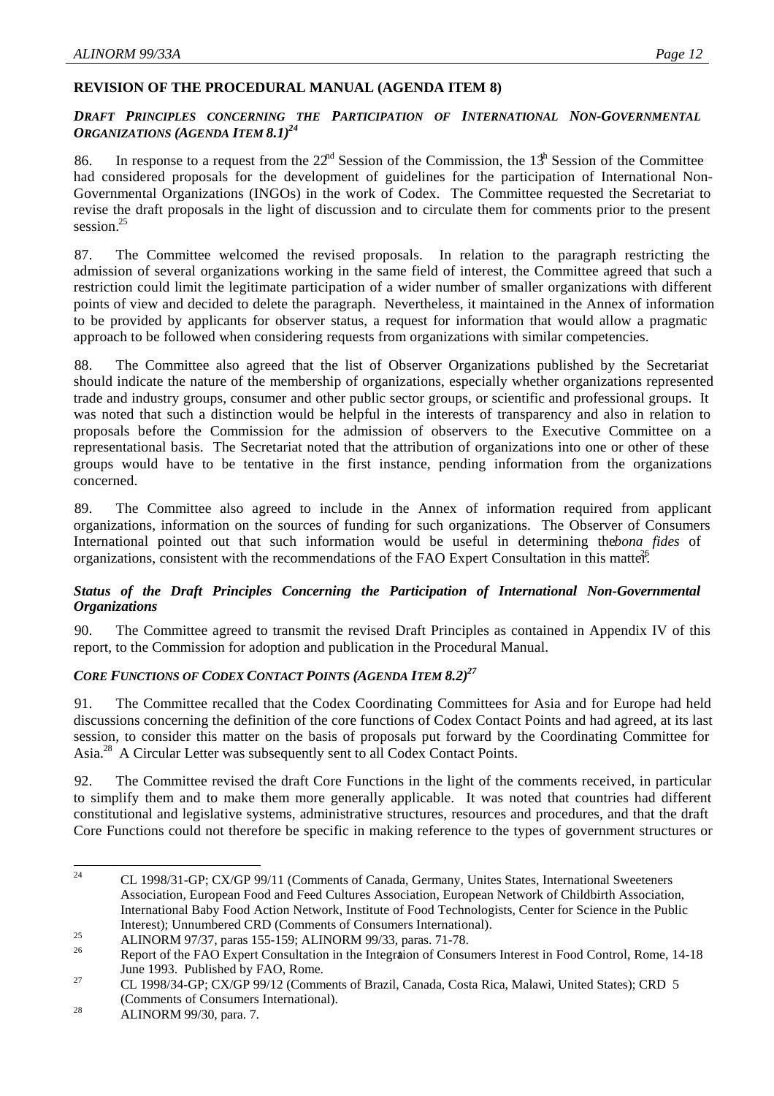#### **REVISION OF THE PROCEDURAL MANUAL (AGENDA ITEM 8)**

#### *DRAFT PRINCIPLES CONCERNING THE PARTICIPATION OF INTERNATIONAL NON-GOVERNMENTAL ORGANIZATIONS (AGENDA ITEM 8.1)<sup>24</sup>*

86. In response to a request from the  $22<sup>nd</sup>$  Session of the Commission, the  $13<sup>th</sup>$  Session of the Committee had considered proposals for the development of guidelines for the participation of International Non-Governmental Organizations (INGOs) in the work of Codex. The Committee requested the Secretariat to revise the draft proposals in the light of discussion and to circulate them for comments prior to the present session.<sup>25</sup>

87. The Committee welcomed the revised proposals. In relation to the paragraph restricting the admission of several organizations working in the same field of interest, the Committee agreed that such a restriction could limit the legitimate participation of a wider number of smaller organizations with different points of view and decided to delete the paragraph. Nevertheless, it maintained in the Annex of information to be provided by applicants for observer status, a request for information that would allow a pragmatic approach to be followed when considering requests from organizations with similar competencies.

88. The Committee also agreed that the list of Observer Organizations published by the Secretariat should indicate the nature of the membership of organizations, especially whether organizations represented trade and industry groups, consumer and other public sector groups, or scientific and professional groups. It was noted that such a distinction would be helpful in the interests of transparency and also in relation to proposals before the Commission for the admission of observers to the Executive Committee on a representational basis. The Secretariat noted that the attribution of organizations into one or other of these groups would have to be tentative in the first instance, pending information from the organizations concerned.

89. The Committee also agreed to include in the Annex of information required from applicant organizations, information on the sources of funding for such organizations. The Observer of Consumers International pointed out that such information would be useful in determining the*bona fides* of organizations, consistent with the recommendations of the FAO Expert Consultation in this matter.

# *Status of the Draft Principles Concerning the Participation of International Non-Governmental Organizations*

90. The Committee agreed to transmit the revised Draft Principles as contained in Appendix IV of this report, to the Commission for adoption and publication in the Procedural Manual.

#### *CORE FUNCTIONS OF CODEX CONTACT POINTS (AGENDA ITEM 8.2)<sup>27</sup>*

91. The Committee recalled that the Codex Coordinating Committees for Asia and for Europe had held discussions concerning the definition of the core functions of Codex Contact Points and had agreed, at its last session, to consider this matter on the basis of proposals put forward by the Coordinating Committee for Asia.<sup>28</sup> A Circular Letter was subsequently sent to all Codex Contact Points.

92. The Committee revised the draft Core Functions in the light of the comments received, in particular to simplify them and to make them more generally applicable. It was noted that countries had different constitutional and legislative systems, administrative structures, resources and procedures, and that the draft Core Functions could not therefore be specific in making reference to the types of government structures or

 $24$ <sup>24</sup> CL 1998/31-GP; CX/GP 99/11 (Comments of Canada, Germany, Unites States, International Sweeteners Association, European Food and Feed Cultures Association, European Network of Childbirth Association, International Baby Food Action Network, Institute of Food Technologists, Center for Science in the Public Interest); Unnumbered CRD (Comments of Consumers International).

<sup>25</sup> ALINORM 97/37, paras 155-159; ALINORM 99/33, paras. 71-78.

<sup>26</sup> Report of the FAO Expert Consultation in the Integration of Consumers Interest in Food Control, Rome, 14-18 June 1993. Published by FAO, Rome.

<sup>27</sup> CL 1998/34-GP; CX/GP 99/12 (Comments of Brazil, Canada, Costa Rica, Malawi, United States); CRD 5 (Comments of Consumers International).

<sup>28</sup> ALINORM 99/30, para. 7.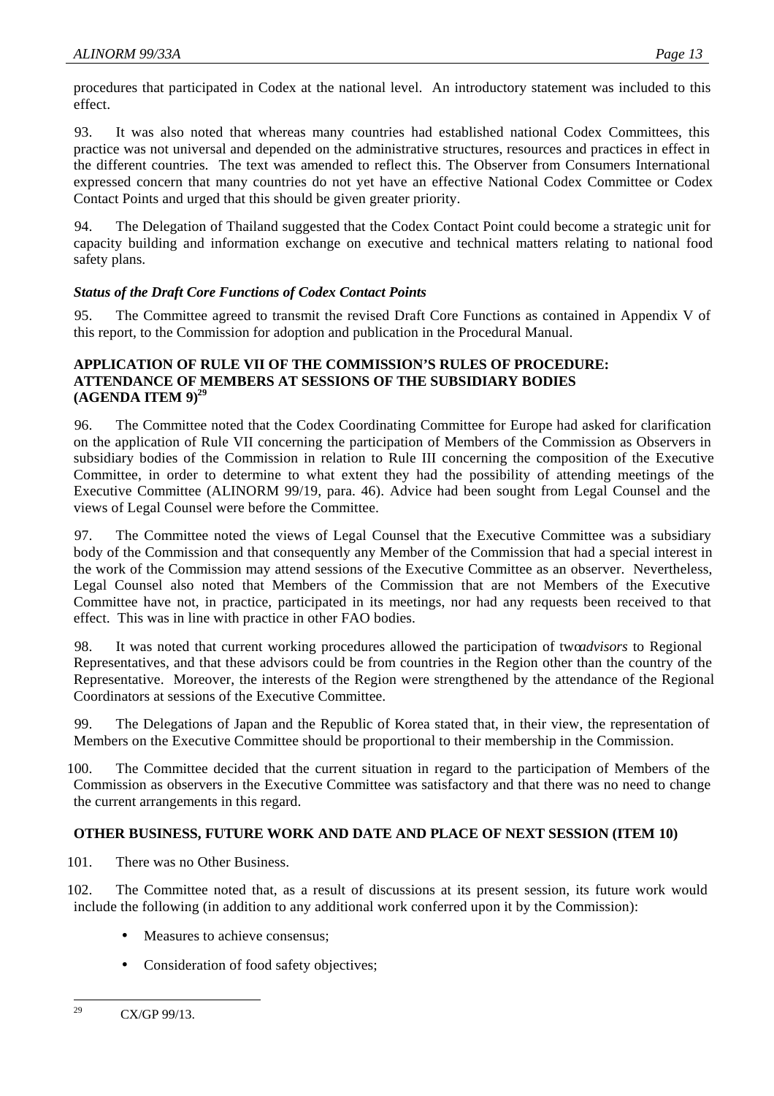procedures that participated in Codex at the national level. An introductory statement was included to this effect.

93. It was also noted that whereas many countries had established national Codex Committees, this practice was not universal and depended on the administrative structures, resources and practices in effect in the different countries. The text was amended to reflect this. The Observer from Consumers International expressed concern that many countries do not yet have an effective National Codex Committee or Codex Contact Points and urged that this should be given greater priority.

94. The Delegation of Thailand suggested that the Codex Contact Point could become a strategic unit for capacity building and information exchange on executive and technical matters relating to national food safety plans.

# *Status of the Draft Core Functions of Codex Contact Points*

95. The Committee agreed to transmit the revised Draft Core Functions as contained in Appendix V of this report, to the Commission for adoption and publication in the Procedural Manual.

#### **APPLICATION OF RULE VII OF THE COMMISSION'S RULES OF PROCEDURE: ATTENDANCE OF MEMBERS AT SESSIONS OF THE SUBSIDIARY BODIES (AGENDA ITEM 9)<sup>29</sup>**

96. The Committee noted that the Codex Coordinating Committee for Europe had asked for clarification on the application of Rule VII concerning the participation of Members of the Commission as Observers in subsidiary bodies of the Commission in relation to Rule III concerning the composition of the Executive Committee, in order to determine to what extent they had the possibility of attending meetings of the Executive Committee (ALINORM 99/19, para. 46). Advice had been sought from Legal Counsel and the views of Legal Counsel were before the Committee.

97. The Committee noted the views of Legal Counsel that the Executive Committee was a subsidiary body of the Commission and that consequently any Member of the Commission that had a special interest in the work of the Commission may attend sessions of the Executive Committee as an observer. Nevertheless, Legal Counsel also noted that Members of the Commission that are not Members of the Executive Committee have not, in practice, participated in its meetings, nor had any requests been received to that effect. This was in line with practice in other FAO bodies.

98. It was noted that current working procedures allowed the participation of two*advisors* to Regional Representatives, and that these advisors could be from countries in the Region other than the country of the Representative. Moreover, the interests of the Region were strengthened by the attendance of the Regional Coordinators at sessions of the Executive Committee.

99. The Delegations of Japan and the Republic of Korea stated that, in their view, the representation of Members on the Executive Committee should be proportional to their membership in the Commission.

100. The Committee decided that the current situation in regard to the participation of Members of the Commission as observers in the Executive Committee was satisfactory and that there was no need to change the current arrangements in this regard.

#### **OTHER BUSINESS, FUTURE WORK AND DATE AND PLACE OF NEXT SESSION (ITEM 10)**

101. There was no Other Business.

102. The Committee noted that, as a result of discussions at its present session, its future work would include the following (in addition to any additional work conferred upon it by the Commission):

- Measures to achieve consensus:
- Consideration of food safety objectives;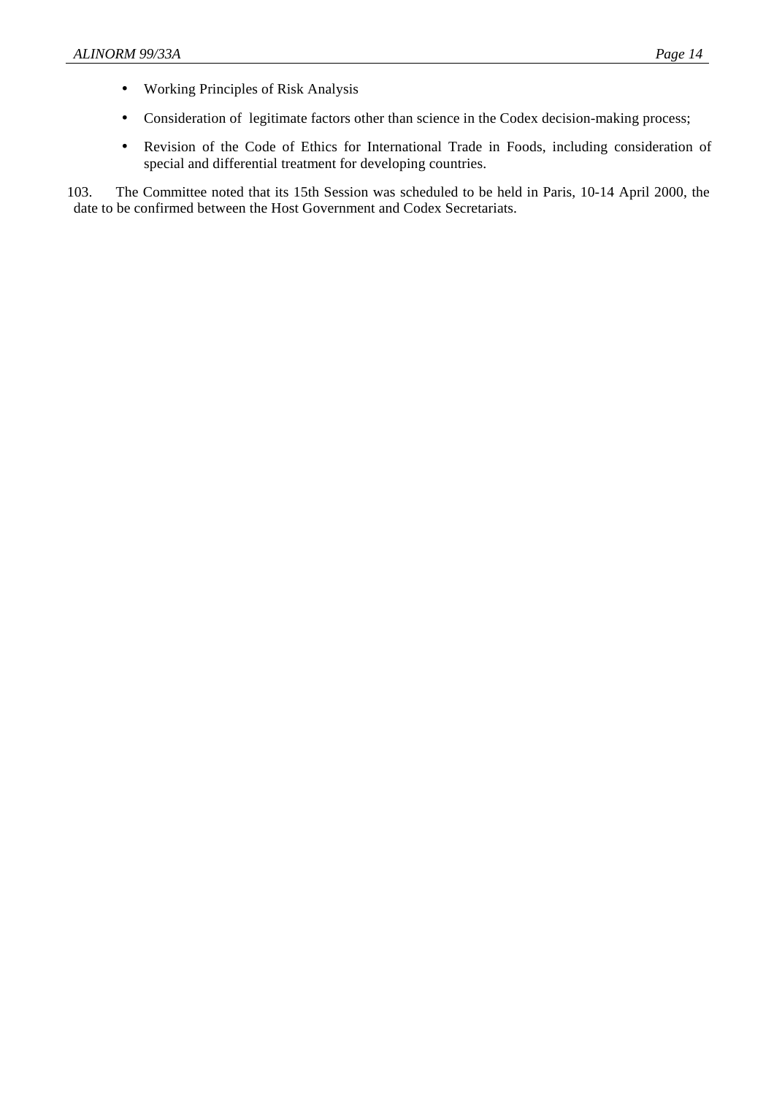- Working Principles of Risk Analysis
- Consideration of legitimate factors other than science in the Codex decision-making process;
- Revision of the Code of Ethics for International Trade in Foods, including consideration of special and differential treatment for developing countries.

103. The Committee noted that its 15th Session was scheduled to be held in Paris, 10-14 April 2000, the date to be confirmed between the Host Government and Codex Secretariats.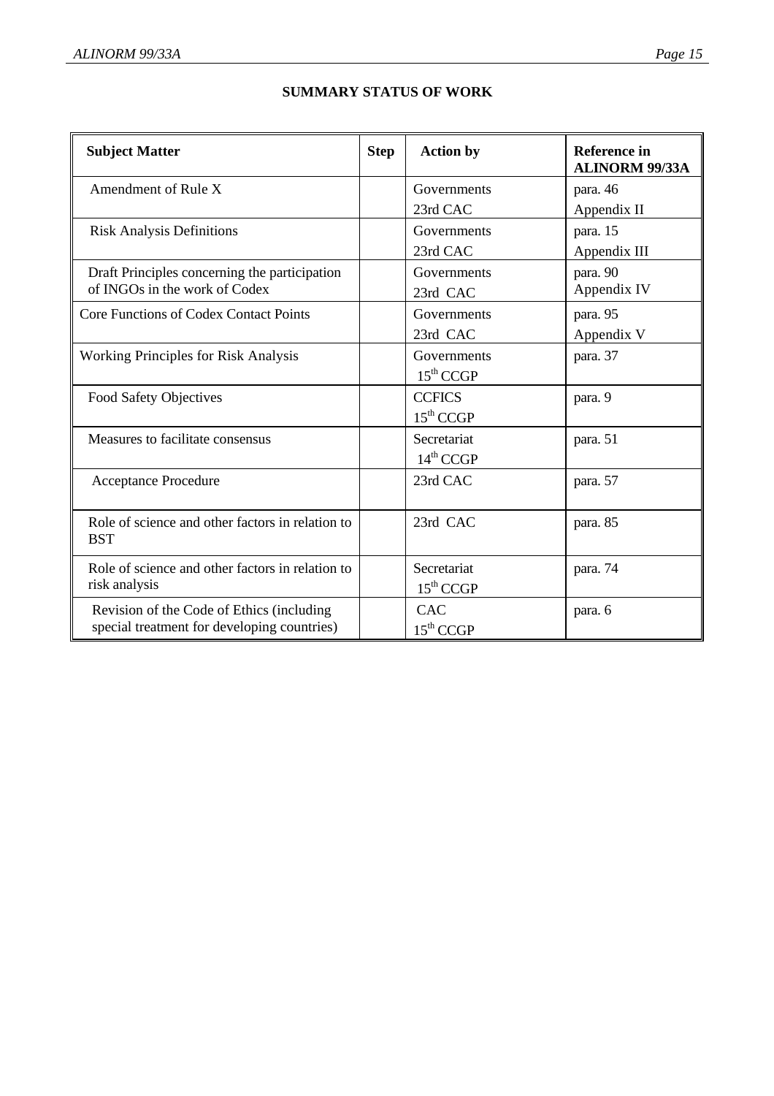| <b>Subject Matter</b>                                                          |  | <b>Action by</b>      | <b>Reference</b> in<br><b>ALINORM 99/33A</b> |
|--------------------------------------------------------------------------------|--|-----------------------|----------------------------------------------|
| Amendment of Rule X                                                            |  | Governments           | para. 46                                     |
|                                                                                |  | 23rd CAC              | Appendix II                                  |
| <b>Risk Analysis Definitions</b>                                               |  | Governments           | para. 15                                     |
|                                                                                |  | 23rd CAC              | Appendix III                                 |
| Draft Principles concerning the participation<br>of INGOs in the work of Codex |  | Governments           | para. 90                                     |
|                                                                                |  | 23rd CAC              | Appendix IV                                  |
| Core Functions of Codex Contact Points                                         |  | Governments           | para. 95                                     |
|                                                                                |  | 23rd CAC              | Appendix V                                   |
| <b>Working Principles for Risk Analysis</b>                                    |  | Governments           | para. 37                                     |
|                                                                                |  | $15^{\text{th}}$ CCGP |                                              |
| Food Safety Objectives                                                         |  | <b>CCFICS</b>         | para. 9                                      |
|                                                                                |  | $15^{\text{th}}$ CCGP |                                              |
| Measures to facilitate consensus                                               |  | Secretariat           | para. 51                                     |
|                                                                                |  | $14^{\text{th}}$ CCGP |                                              |
| Acceptance Procedure                                                           |  | 23rd CAC              | para. 57                                     |
|                                                                                |  |                       |                                              |
| Role of science and other factors in relation to                               |  | 23rd CAC              | para. 85                                     |
| <b>BST</b>                                                                     |  |                       |                                              |
| Role of science and other factors in relation to                               |  | Secretariat           | para. 74                                     |
| risk analysis                                                                  |  | $15^{\text{th}}$ CCGP |                                              |
| Revision of the Code of Ethics (including                                      |  | <b>CAC</b>            | para. 6                                      |
| special treatment for developing countries)                                    |  | $15^{\text{th}}$ CCGP |                                              |

#### **SUMMARY STATUS OF WORK**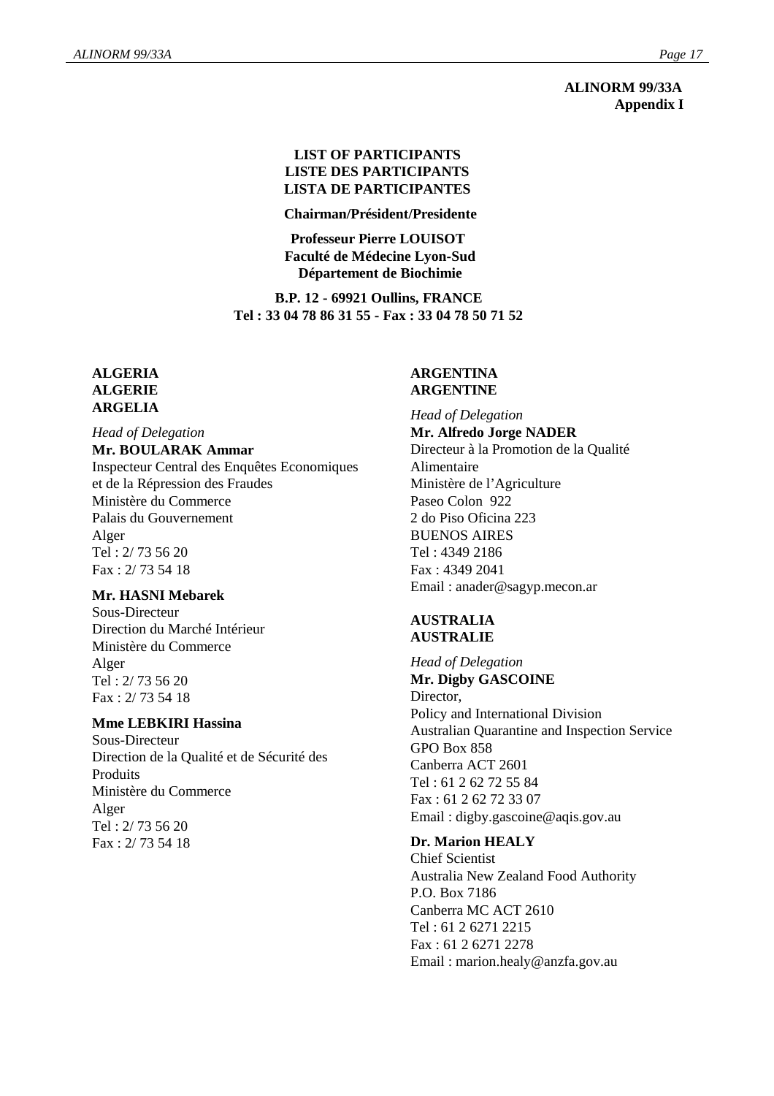**ALINORM 99/33A Appendix I**

#### **LIST OF PARTICIPANTS LISTE DES PARTICIPANTS LISTA DE PARTICIPANTES**

**Chairman/Président/Presidente**

**Professeur Pierre LOUISOT Faculté de Médecine Lyon-Sud Département de Biochimie**

**B.P. 12 - 69921 Oullins, FRANCE Tel : 33 04 78 86 31 55 - Fax : 33 04 78 50 71 52**

#### **ALGERIA ALGERIE ARGELIA**

#### *Head of Delegation*

#### **Mr. BOULARAK Ammar**

Inspecteur Central des Enquêtes Economiques et de la Répression des Fraudes Ministère du Commerce Palais du Gouvernement Alger Tel : 2/ 73 56 20 Fax : 2/ 73 54 18

#### **Mr. HASNI Mebarek**

Sous-Directeur Direction du Marché Intérieur Ministère du Commerce Alger Tel : 2/ 73 56 20 Fax : 2/ 73 54 18

#### **Mme LEBKIRI Hassina**

Sous-Directeur Direction de la Qualité et de Sécurité des Produits Ministère du Commerce Alger Tel : 2/ 73 56 20 Fax : 2/ 73 54 18

#### **ARGENTINA ARGENTINE**

*Head of Delegation* **Mr. Alfredo Jorge NADER** Directeur à la Promotion de la Qualité Alimentaire Ministère de l'Agriculture Paseo Colon 922 2 do Piso Oficina 223 BUENOS AIRES Tel : 4349 2186 Fax : 4349 2041 Email : anader@sagyp.mecon.ar

#### **AUSTRALIA AUSTRALIE**

*Head of Delegation* **Mr. Digby GASCOINE** Director. Policy and International Division Australian Quarantine and Inspection Service GPO Box 858 Canberra ACT 2601 Tel : 61 2 62 72 55 84 Fax : 61 2 62 72 33 07 Email : digby.gascoine@aqis.gov.au

# **Dr. Marion HEALY**

Chief Scientist Australia New Zealand Food Authority P.O. Box 7186 Canberra MC ACT 2610 Tel : 61 2 6271 2215 Fax : 61 2 6271 2278 Email : marion.healy@anzfa.gov.au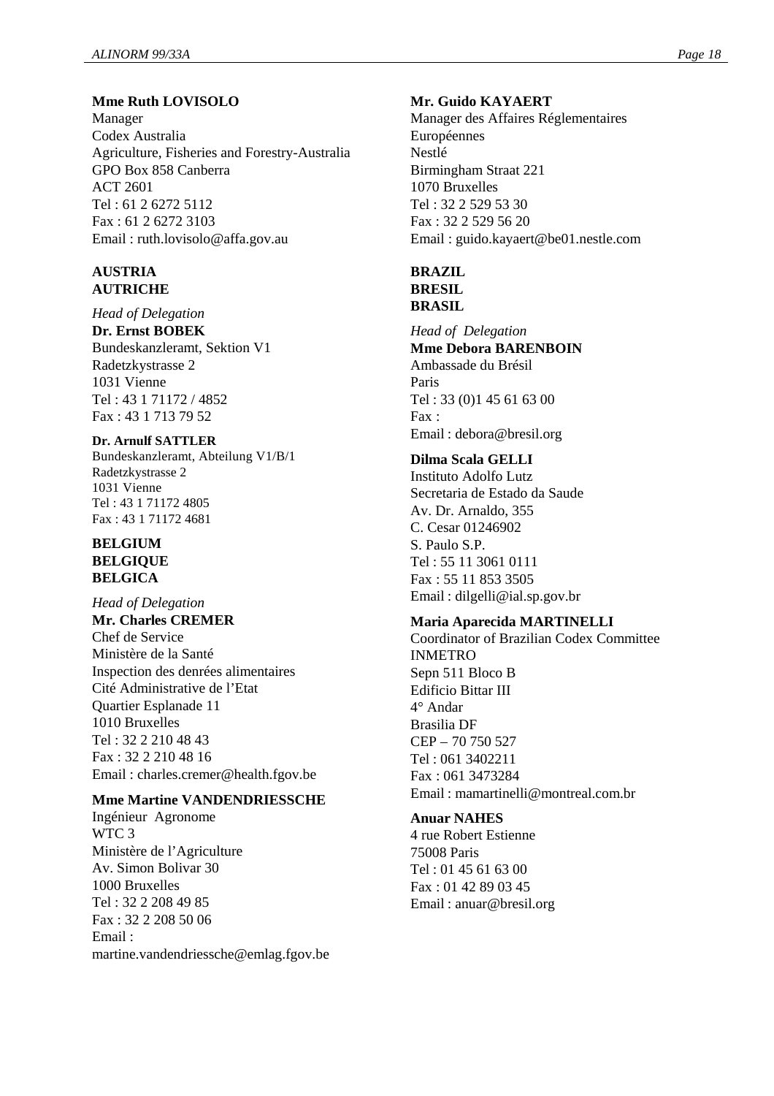# **Mme Ruth LOVISOLO**

Manager Codex Australia Agriculture, Fisheries and Forestry-Australia GPO Box 858 Canberra ACT 2601 Tel : 61 2 6272 5112 Fax : 61 2 6272 3103 Email : ruth.lovisolo@affa.gov.au

#### **AUSTRIA AUTRICHE**

*Head of Delegation* **Dr. Ernst BOBEK** Bundeskanzleramt, Sektion V1 Radetzkystrasse 2 1031 Vienne Tel : 43 1 71172 / 4852 Fax : 43 1 713 79 52

**Dr. Arnulf SATTLER** Bundeskanzleramt, Abteilung V1/B/1 Radetzkystrasse 2 1031 Vienne Tel : 43 1 71172 4805 Fax : 43 1 71172 4681

#### **BELGIUM BELGIQUE BELGICA**

*Head of Delegation* **Mr. Charles CREMER** Chef de Service Ministère de la Santé Inspection des denrées alimentaires Cité Administrative de l'Etat Quartier Esplanade 11 1010 Bruxelles Tel : 32 2 210 48 43 Fax : 32 2 210 48 16 Email : charles.cremer@health.fgov.be

#### **Mme Martine VANDENDRIESSCHE**

Ingénieur Agronome WTC 3 Ministère de l'Agriculture Av. Simon Bolivar 30 1000 Bruxelles Tel : 32 2 208 49 85 Fax : 32 2 208 50 06 Email : martine.vandendriessche@emlag.fgov.be

#### **Mr. Guido KAYAERT**

Manager des Affaires Réglementaires Européennes Nestlé Birmingham Straat 221 1070 Bruxelles Tel : 32 2 529 53 30 Fax : 32 2 529 56 20 Email : guido.kayaert@be01.nestle.com

#### **BRAZIL BRESIL**

**BRASIL**

*Head of Delegation* **Mme Debora BARENBOIN** Ambassade du Brésil Paris Tel : 33 (0)1 45 61 63 00 Fax : Email : debora@bresil.org

# **Dilma Scala GELLI**

Instituto Adolfo Lutz Secretaria de Estado da Saude Av. Dr. Arnaldo, 355 C. Cesar 01246902 S. Paulo S.P. Tel : 55 11 3061 0111 Fax : 55 11 853 3505 Email : dilgelli@ial.sp.gov.br

#### **Maria Aparecida MARTINELLI**

Coordinator of Brazilian Codex Committee INMETRO Sepn 511 Bloco B Edificio Bittar III 4° Andar Brasilia DF CEP – 70 750 527 Tel : 061 3402211 Fax : 061 3473284 Email : mamartinelli@montreal.com.br

#### **Anuar NAHES**

4 rue Robert Estienne 75008 Paris Tel : 01 45 61 63 00 Fax : 01 42 89 03 45 Email : anuar@bresil.org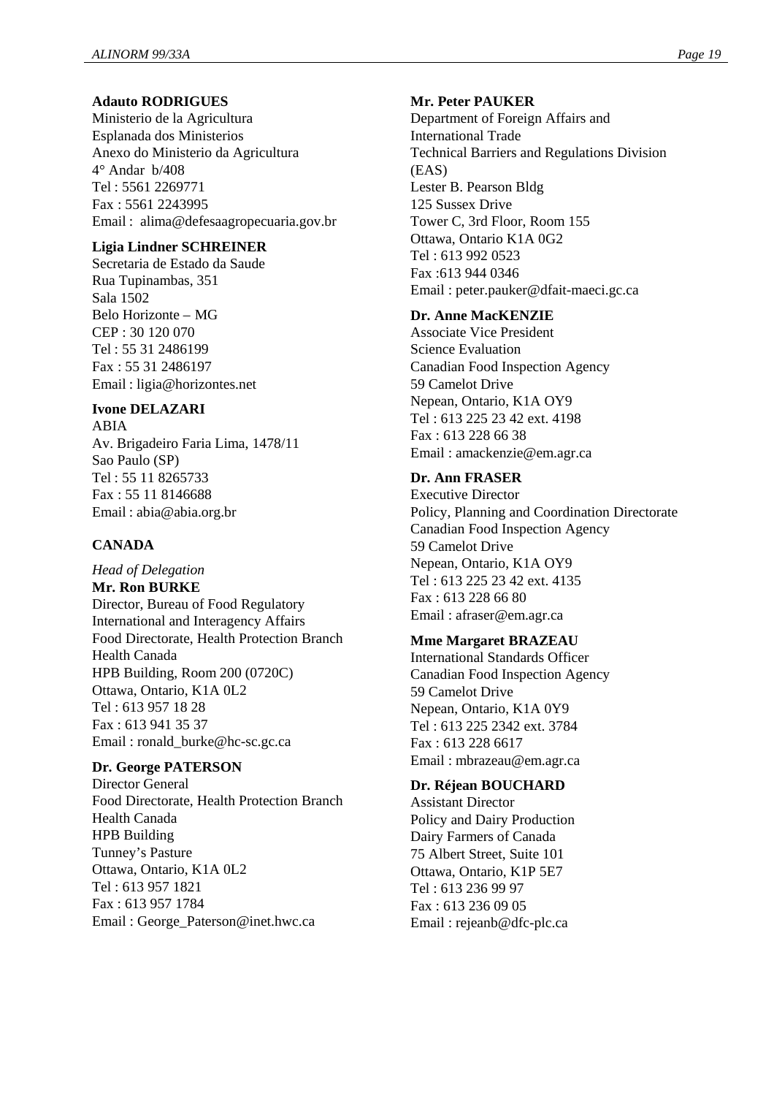#### **Adauto RODRIGUES**

Ministerio de la Agricultura Esplanada dos Ministerios Anexo do Ministerio da Agricultura 4° Andar b/408 Tel : 5561 2269771 Fax : 5561 2243995 Email : alima@defesaagropecuaria.gov.br

#### **Ligia Lindner SCHREINER**

Secretaria de Estado da Saude Rua Tupinambas, 351 Sala 1502 Belo Horizonte – MG CEP : 30 120 070 Tel : 55 31 2486199 Fax : 55 31 2486197 Email : ligia@horizontes.net

#### **Ivone DELAZARI**

ABIA Av. Brigadeiro Faria Lima, 1478/11 Sao Paulo (SP) Tel : 55 11 8265733 Fax : 55 11 8146688 Email : abia@abia.org.br

# **CANADA**

*Head of Delegation* **Mr. Ron BURKE** Director, Bureau of Food Regulatory International and Interagency Affairs Food Directorate, Health Protection Branch Health Canada HPB Building, Room 200 (0720C) Ottawa, Ontario, K1A 0L2 Tel : 613 957 18 28 Fax : 613 941 35 37 Email : ronald\_burke@hc-sc.gc.ca

#### **Dr. George PATERSON**

Director General Food Directorate, Health Protection Branch Health Canada HPB Building Tunney's Pasture Ottawa, Ontario, K1A 0L2 Tel : 613 957 1821 Fax : 613 957 1784 Email : George\_Paterson@inet.hwc.ca

#### **Mr. Peter PAUKER**

Department of Foreign Affairs and International Trade Technical Barriers and Regulations Division (EAS) Lester B. Pearson Bldg 125 Sussex Drive Tower C, 3rd Floor, Room 155 Ottawa, Ontario K1A 0G2 Tel : 613 992 0523 Fax :613 944 0346 Email : peter.pauker@dfait-maeci.gc.ca

#### **Dr. Anne MacKENZIE**

Associate Vice President Science Evaluation Canadian Food Inspection Agency 59 Camelot Drive Nepean, Ontario, K1A OY9 Tel : 613 225 23 42 ext. 4198 Fax : 613 228 66 38 Email : amackenzie@em.agr.ca

# **Dr. Ann FRASER**

Executive Director Policy, Planning and Coordination Directorate Canadian Food Inspection Agency 59 Camelot Drive Nepean, Ontario, K1A OY9 Tel : 613 225 23 42 ext. 4135 Fax : 613 228 66 80 Email : afraser@em.agr.ca

#### **Mme Margaret BRAZEAU**

International Standards Officer Canadian Food Inspection Agency 59 Camelot Drive Nepean, Ontario, K1A 0Y9 Tel : 613 225 2342 ext. 3784 Fax : 613 228 6617 Email : mbrazeau@em.agr.ca

#### **Dr. Réjean BOUCHARD**

Assistant Director Policy and Dairy Production Dairy Farmers of Canada 75 Albert Street, Suite 101 Ottawa, Ontario, K1P 5E7 Tel : 613 236 99 97 Fax : 613 236 09 05 Email : rejeanb@dfc-plc.ca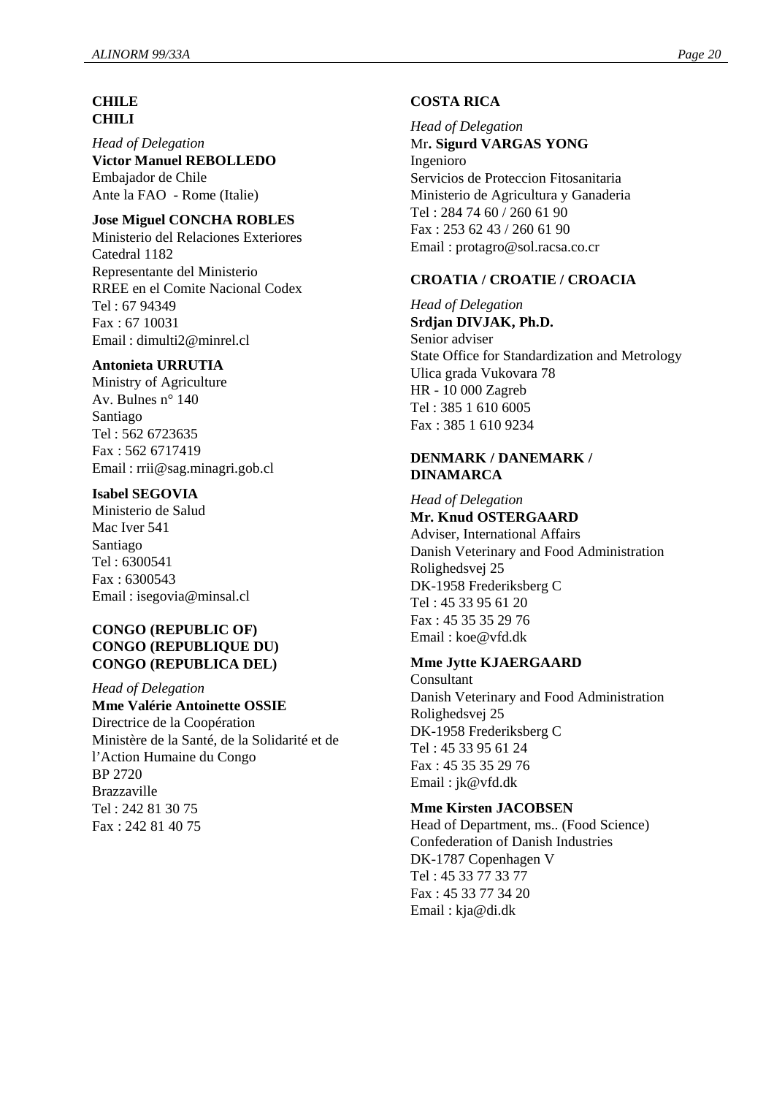#### **CHILE CHILI**

*Head of Delegation* **Victor Manuel REBOLLEDO** Embajador de Chile Ante la FAO - Rome (Italie)

# **Jose Miguel CONCHA ROBLES**

Ministerio del Relaciones Exteriores Catedral 1182 Representante del Ministerio RREE en el Comite Nacional Codex Tel : 67 94349 Fax : 67 10031 Email : dimulti2@minrel.cl

#### **Antonieta URRUTIA**

Ministry of Agriculture Av. Bulnes n° 140 Santiago Tel : 562 6723635 Fax : 562 6717419 Email : rrii@sag.minagri.gob.cl

#### **Isabel SEGOVIA**

Ministerio de Salud Mac Iver 541 Santiago Tel : 6300541 Fax : 6300543 Email : isegovia@minsal.cl

#### **CONGO (REPUBLIC OF) CONGO (REPUBLIQUE DU) CONGO (REPUBLICA DEL)**

*Head of Delegation* **Mme Valérie Antoinette OSSIE** Directrice de la Coopération Ministère de la Santé, de la Solidarité et de l'Action Humaine du Congo BP 2720 Brazzaville Tel : 242 81 30 75 Fax : 242 81 40 75

#### **COSTA RICA**

*Head of Delegation* Mr**. Sigurd VARGAS YONG** Ingenioro Servicios de Proteccion Fitosanitaria Ministerio de Agricultura y Ganaderia Tel : 284 74 60 / 260 61 90 Fax : 253 62 43 / 260 61 90 Email : protagro@sol.racsa.co.cr

# **CROATIA / CROATIE / CROACIA**

*Head of Delegation* **Srdjan DIVJAK, Ph.D.** Senior adviser State Office for Standardization and Metrology Ulica grada Vukovara 78 HR - 10 000 Zagreb Tel : 385 1 610 6005 Fax : 385 1 610 9234

#### **DENMARK / DANEMARK / DINAMARCA**

#### *Head of Delegation* **Mr. Knud OSTERGAARD**

Adviser, International Affairs Danish Veterinary and Food Administration Rolighedsvej 25 DK-1958 Frederiksberg C Tel : 45 33 95 61 20 Fax : 45 35 35 29 76 Email : koe@vfd.dk

# **Mme Jytte KJAERGAARD**

Consultant Danish Veterinary and Food Administration Rolighedsvej 25 DK-1958 Frederiksberg C Tel : 45 33 95 61 24 Fax : 45 35 35 29 76 Email : jk@vfd.dk

#### **Mme Kirsten JACOBSEN**

Head of Department, ms.. (Food Science) Confederation of Danish Industries DK-1787 Copenhagen V Tel : 45 33 77 33 77 Fax : 45 33 77 34 20 Email : kja@di.dk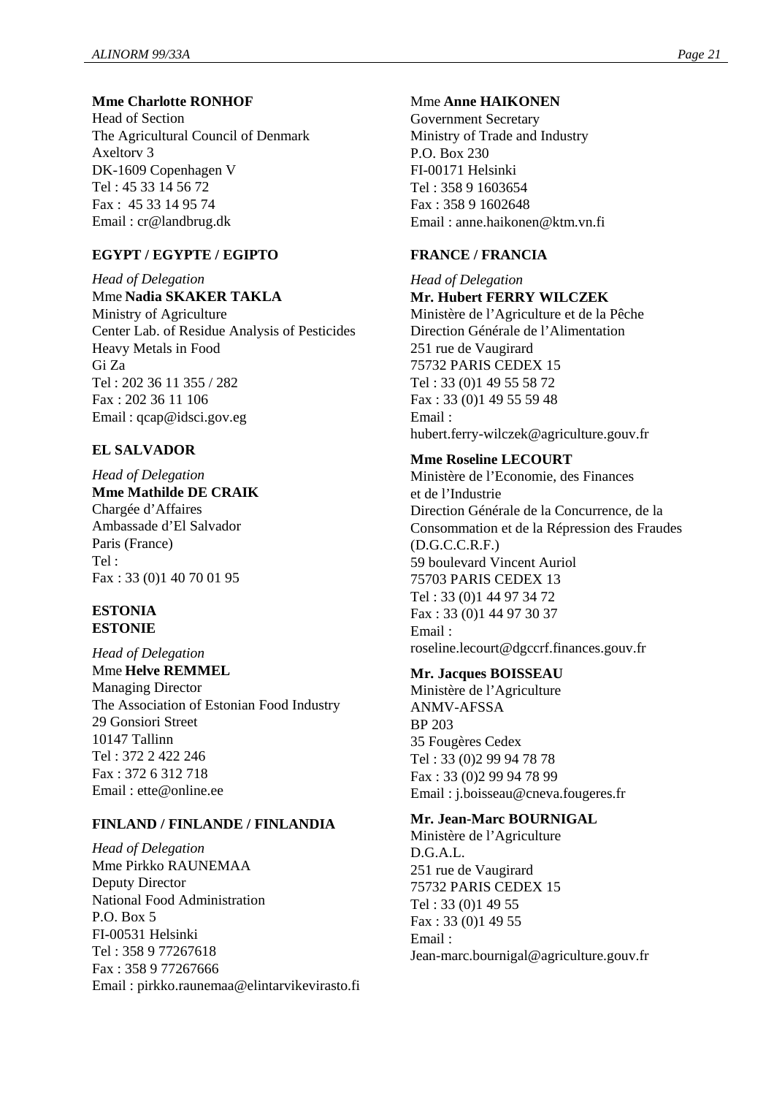# **Mme Charlotte RONHOF**

Head of Section The Agricultural Council of Denmark Axeltorv 3 DK-1609 Copenhagen V Tel : 45 33 14 56 72 Fax : 45 33 14 95 74 Email : cr@landbrug.dk

# **EGYPT / EGYPTE / EGIPTO**

*Head of Delegation* Mme **Nadia SKAKER TAKLA** Ministry of Agriculture Center Lab. of Residue Analysis of Pesticides Heavy Metals in Food Gi Za Tel : 202 36 11 355 / 282 Fax : 202 36 11 106 Email : qcap@idsci.gov.eg

# **EL SALVADOR**

#### *Head of Delegation* **Mme Mathilde DE CRAIK**

Chargée d'Affaires Ambassade d'El Salvador Paris (France) Tel : Fax : 33 (0)1 40 70 01 95

#### **ESTONIA ESTONIE**

*Head of Delegation* Mme **Helve REMMEL** Managing Director The Association of Estonian Food Industry 29 Gonsiori Street 10147 Tallinn Tel : 372 2 422 246 Fax : 372 6 312 718 Email : ette@online.ee

# **FINLAND / FINLANDE / FINLANDIA**

*Head of Delegation* Mme Pirkko RAUNEMAA Deputy Director National Food Administration P.O. Box 5 FI-00531 Helsinki Tel : 358 9 77267618 Fax : 358 9 77267666 Email : pirkko.raunemaa@elintarvikevirasto.fi

# Mme **Anne HAIKONEN**

Government Secretary Ministry of Trade and Industry P.O. Box 230 FI-00171 Helsinki Tel : 358 9 1603654 Fax : 358 9 1602648 Email : anne.haikonen@ktm.vn.fi

# **FRANCE / FRANCIA**

*Head of Delegation* **Mr. Hubert FERRY WILCZEK** Ministère de l'Agriculture et de la Pêche Direction Générale de l'Alimentation 251 rue de Vaugirard 75732 PARIS CEDEX 15 Tel : 33 (0)1 49 55 58 72 Fax : 33 (0)1 49 55 59 48 Email : hubert.ferry-wilczek@agriculture.gouv.fr

# **Mme Roseline LECOURT**

Ministère de l'Economie, des Finances et de l'Industrie Direction Générale de la Concurrence, de la Consommation et de la Répression des Fraudes (D.G.C.C.R.F.) 59 boulevard Vincent Auriol 75703 PARIS CEDEX 13 Tel : 33 (0)1 44 97 34 72 Fax : 33 (0)1 44 97 30 37 Email : roseline.lecourt@dgccrf.finances.gouv.fr

# **Mr. Jacques BOISSEAU**

Ministère de l'Agriculture ANMV-AFSSA BP 203 35 Fougères Cedex Tel : 33 (0)2 99 94 78 78 Fax : 33 (0)2 99 94 78 99 Email : j.boisseau@cneva.fougeres.fr

# **Mr. Jean-Marc BOURNIGAL**

Ministère de l'Agriculture D.G.A.L. 251 rue de Vaugirard 75732 PARIS CEDEX 15 Tel : 33 (0)1 49 55 Fax : 33 (0)1 49 55 Email : Jean-marc.bournigal@agriculture.gouv.fr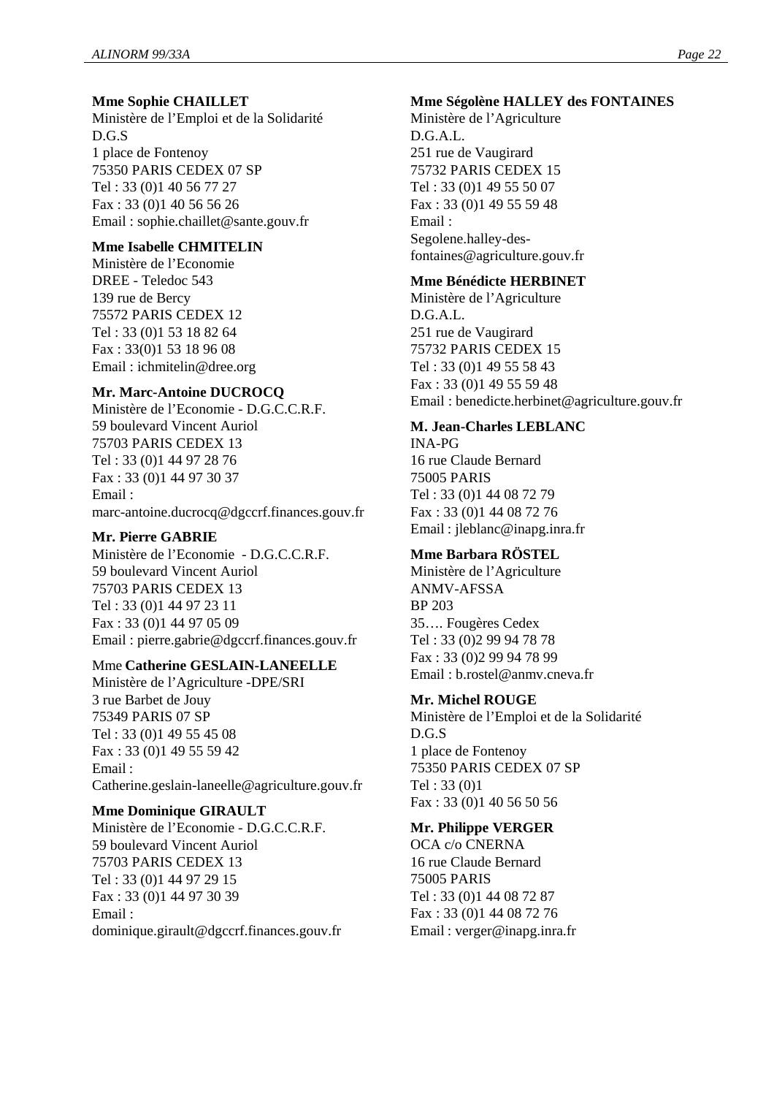#### **Mme Sophie CHAILLET**

Ministère de l'Emploi et de la Solidarité D.G.S 1 place de Fontenoy 75350 PARIS CEDEX 07 SP Tel : 33 (0)1 40 56 77 27 Fax : 33 (0)1 40 56 56 26 Email : sophie.chaillet@sante.gouv.fr

#### **Mme Isabelle CHMITELIN**

Ministère de l'Economie DREE - Teledoc 543 139 rue de Bercy 75572 PARIS CEDEX 12 Tel : 33 (0)1 53 18 82 64 Fax : 33(0)1 53 18 96 08 Email : ichmitelin@dree.org

#### **Mr. Marc-Antoine DUCROCQ**

Ministère de l'Economie - D.G.C.C.R.F. 59 boulevard Vincent Auriol 75703 PARIS CEDEX 13 Tel : 33 (0)1 44 97 28 76 Fax : 33 (0)1 44 97 30 37 Email : marc-antoine.ducrocq@dgccrf.finances.gouv.fr

#### **Mr. Pierre GABRIE**

Ministère de l'Economie - D.G.C.C.R.F. 59 boulevard Vincent Auriol 75703 PARIS CEDEX 13 Tel : 33 (0)1 44 97 23 11 Fax : 33 (0)1 44 97 05 09 Email : pierre.gabrie@dgccrf.finances.gouv.fr

# Mme **Catherine GESLAIN-LANEELLE**

Ministère de l'Agriculture -DPE/SRI 3 rue Barbet de Jouy 75349 PARIS 07 SP Tel : 33 (0)1 49 55 45 08 Fax : 33 (0)1 49 55 59 42 Email : Catherine.geslain-laneelle@agriculture.gouv.fr

#### **Mme Dominique GIRAULT**

Ministère de l'Economie - D.G.C.C.R.F. 59 boulevard Vincent Auriol 75703 PARIS CEDEX 13 Tel : 33 (0)1 44 97 29 15 Fax : 33 (0)1 44 97 30 39 Email : dominique.girault@dgccrf.finances.gouv.fr

#### **Mme Ségolène HALLEY des FONTAINES**

Ministère de l'Agriculture D.G.A.L. 251 rue de Vaugirard 75732 PARIS CEDEX 15 Tel : 33 (0)1 49 55 50 07 Fax : 33 (0)1 49 55 59 48 Email : Segolene.halley-desfontaines@agriculture.gouv.fr

#### **Mme Bénédicte HERBINET**

Ministère de l'Agriculture D.G.A.L. 251 rue de Vaugirard 75732 PARIS CEDEX 15 Tel : 33 (0)1 49 55 58 43 Fax : 33 (0)1 49 55 59 48 Email : benedicte.herbinet@agriculture.gouv.fr

#### **M. Jean-Charles LEBLANC**

INA-PG 16 rue Claude Bernard 75005 PARIS Tel : 33 (0)1 44 08 72 79 Fax : 33 (0)1 44 08 72 76 Email : jleblanc@inapg.inra.fr

# **Mme Barbara RÖSTEL**

Ministère de l'Agriculture ANMV-AFSSA BP 203 35… . Fougères Cedex Tel : 33 (0)2 99 94 78 78 Fax : 33 (0)2 99 94 78 99 Email : b.rostel@anmv.cneva.fr

#### **Mr. Michel ROUGE**

Ministère de l'Emploi et de la Solidarité D.G.S 1 place de Fontenoy 75350 PARIS CEDEX 07 SP Tel : 33 (0)1 Fax : 33 (0)1 40 56 50 56

#### **Mr. Philippe VERGER**

OCA c/o CNERNA 16 rue Claude Bernard 75005 PARIS Tel : 33 (0)1 44 08 72 87 Fax : 33 (0)1 44 08 72 76 Email : verger@inapg.inra.fr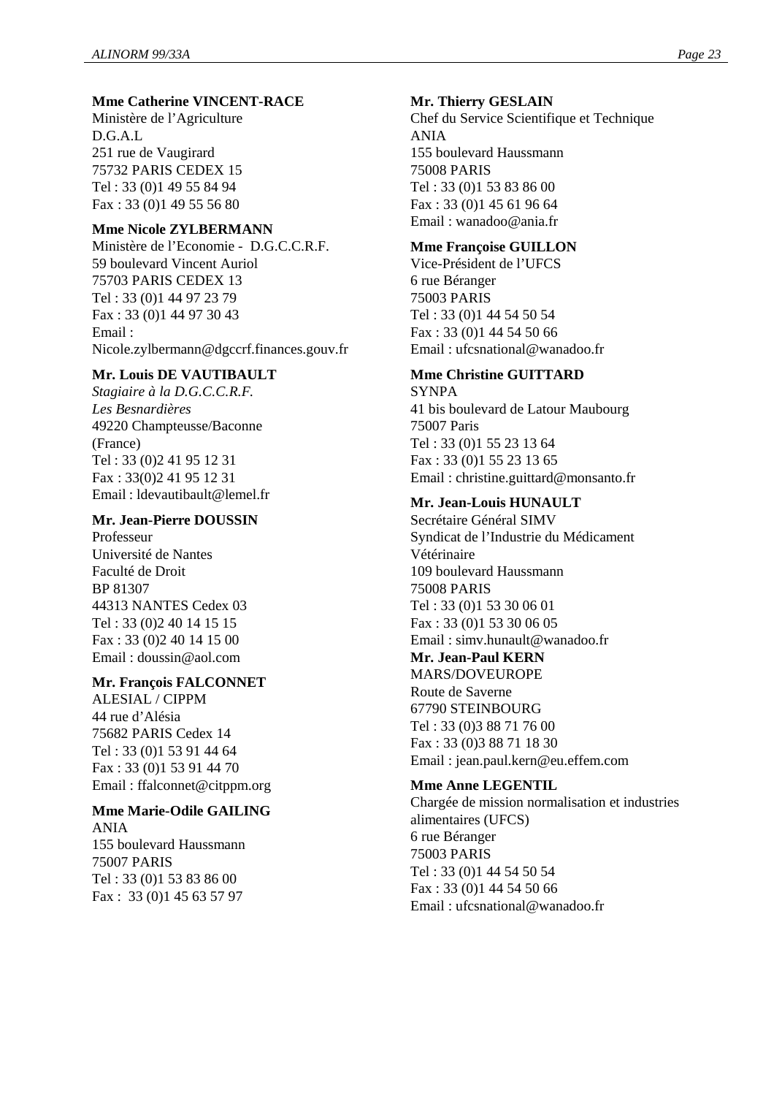#### **Mme Catherine VINCENT-RACE**

Ministère de l'Agriculture D.G.A.L 251 rue de Vaugirard 75732 PARIS CEDEX 15 Tel : 33 (0)1 49 55 84 94 Fax : 33 (0)1 49 55 56 80

#### **Mme Nicole ZYLBERMANN**

Ministère de l'Economie - D.G.C.C.R.F. 59 boulevard Vincent Auriol 75703 PARIS CEDEX 13 Tel : 33 (0)1 44 97 23 79 Fax : 33 (0)1 44 97 30 43 Email : Nicole.zylbermann@dgccrf.finances.gouv.fr

#### **Mr. Louis DE VAUTIBAULT**

*Stagiaire à la D.G.C.C.R.F. Les Besnardières* 49220 Champteusse/Baconne (France) Tel : 33 (0)2 41 95 12 31 Fax : 33(0)2 41 95 12 31 Email : ldevautibault@lemel.fr

#### **Mr. Jean-Pierre DOUSSIN**

Professeur Université de Nantes Faculté de Droit BP 81307 44313 NANTES Cedex 03 Tel : 33 (0)2 40 14 15 15 Fax : 33 (0)2 40 14 15 00 Email : doussin@aol.com

#### **Mr. François FALCONNET**

ALESIAL / CIPPM 44 rue d'Alésia 75682 PARIS Cedex 14 Tel : 33 (0)1 53 91 44 64 Fax : 33 (0)1 53 91 44 70 Email : ffalconnet@citppm.org

# **Mme Marie-Odile GAILING**

ANIA 155 boulevard Haussmann 75007 PARIS Tel : 33 (0)1 53 83 86 00 Fax : 33 (0)1 45 63 57 97

#### **Mr. Thierry GESLAIN**

Chef du Service Scientifique et Technique ANIA 155 boulevard Haussmann 75008 PARIS Tel : 33 (0)1 53 83 86 00 Fax : 33 (0)1 45 61 96 64 Email : wanadoo@ania.fr

#### **Mme Françoise GUILLON**

Vice-Président de l'UFCS 6 rue Béranger 75003 PARIS Tel : 33 (0)1 44 54 50 54 Fax : 33 (0)1 44 54 50 66 Email : ufcsnational@wanadoo.fr

# **Mme Christine GUITTARD**

**SYNPA** 41 bis boulevard de Latour Maubourg 75007 Paris Tel : 33 (0)1 55 23 13 64 Fax : 33 (0)1 55 23 13 65 Email : christine.guittard@monsanto.fr

# **Mr. Jean-Louis HUNAULT**

Secrétaire Général SIMV Syndicat de l'Industrie du Médicament Vétérinaire 109 boulevard Haussmann 75008 PARIS Tel : 33 (0)1 53 30 06 01 Fax : 33 (0)1 53 30 06 05 Email : simv.hunault@wanadoo.fr **Mr. Jean-Paul KERN**

# MARS/DOVEUROPE

Route de Saverne 67790 STEINBOURG Tel : 33 (0)3 88 71 76 00 Fax : 33 (0)3 88 71 18 30 Email : jean.paul.kern@eu.effem.com

#### **Mme Anne LEGENTIL**

Chargée de mission normalisation et industries alimentaires (UFCS) 6 rue Béranger 75003 PARIS Tel : 33 (0)1 44 54 50 54 Fax : 33 (0)1 44 54 50 66 Email : ufcsnational@wanadoo.fr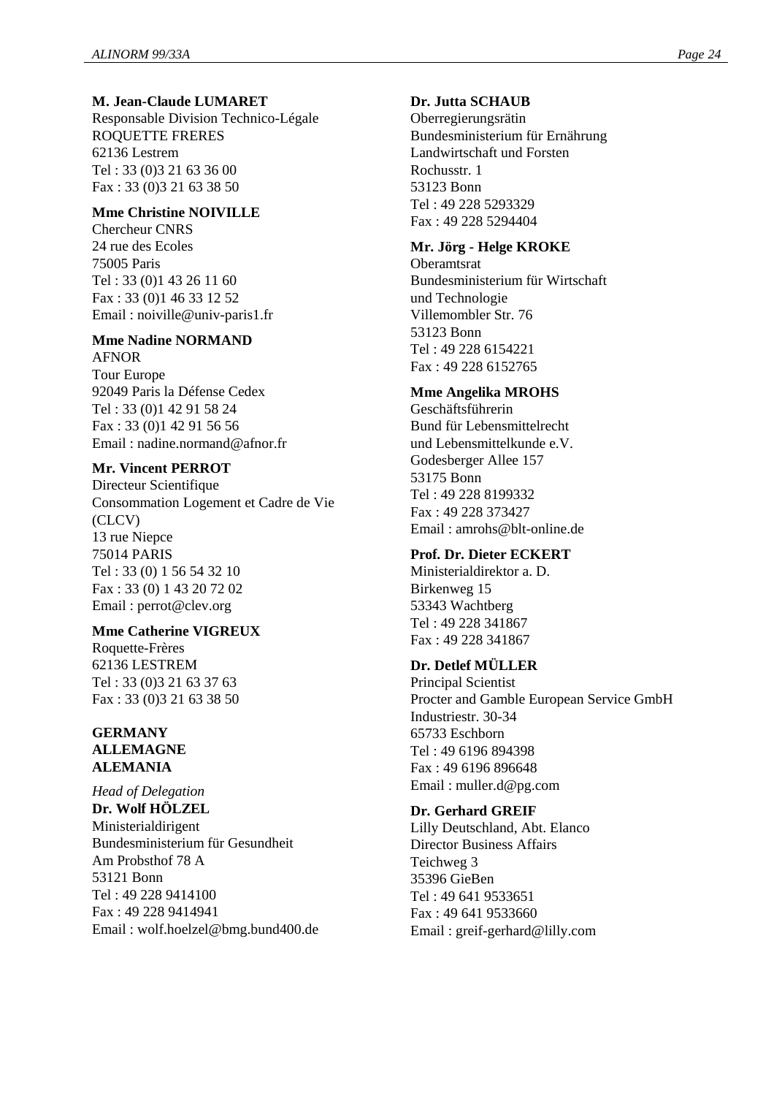#### **M. Jean-Claude LUMARET**

Responsable Division Technico-Légale ROQUETTE FRERES 62136 Lestrem Tel : 33 (0)3 21 63 36 00 Fax : 33 (0)3 21 63 38 50

# **Mme Christine NOIVILLE**

Chercheur CNRS 24 rue des Ecoles 75005 Paris Tel : 33 (0)1 43 26 11 60 Fax : 33 (0)1 46 33 12 52 Email : noiville@univ-paris1.fr

#### **Mme Nadine NORMAND** AFNOR

Tour Europe 92049 Paris la Défense Cedex Tel : 33 (0)1 42 91 58 24 Fax : 33 (0)1 42 91 56 56 Email : nadine.normand@afnor.fr

#### **Mr. Vincent PERROT**

Directeur Scientifique Consommation Logement et Cadre de Vie (CLCV) 13 rue Niepce 75014 PARIS Tel : 33 (0) 1 56 54 32 10 Fax : 33 (0) 1 43 20 72 02 Email : perrot@clev.org

#### **Mme Catherine VIGREUX**

Roquette-Frères 62136 LESTREM Tel : 33 (0)3 21 63 37 63 Fax : 33 (0)3 21 63 38 50

#### **GERMANY ALLEMAGNE ALEMANIA**

*Head of Delegation* **Dr. Wolf HÖLZEL** Ministerialdirigent Bundesministerium für Gesundheit Am Probsthof 78 A 53121 Bonn Tel : 49 228 9414100 Fax : 49 228 9414941 Email : wolf.hoelzel@bmg.bund400.de

#### **Dr. Jutta SCHAUB**

Oberregierungsrätin Bundesministerium für Ernährung Landwirtschaft und Forsten Rochusstr. 1 53123 Bonn Tel : 49 228 5293329 Fax : 49 228 5294404

#### **Mr. Jörg - Helge KROKE**

**Oberamtsrat** Bundesministerium für Wirtschaft und Technologie Villemombler Str. 76 53123 Bonn Tel : 49 228 6154221 Fax : 49 228 6152765

# **Mme Angelika MROHS**

Geschäftsführerin Bund für Lebensmittelrecht und Lebensmittelkunde e.V. Godesberger Allee 157 53175 Bonn Tel : 49 228 8199332 Fax : 49 228 373427 Email : amrohs@blt-online.de

#### **Prof. Dr. Dieter ECKERT**

Ministerialdirektor a. D. Birkenweg 15 53343 Wachtberg Tel : 49 228 341867 Fax : 49 228 341867

# **Dr. Detlef MÜLLER**

Principal Scientist Procter and Gamble European Service GmbH Industriestr. 30-34 65733 Eschborn Tel : 49 6196 894398 Fax : 49 6196 896648 Email : muller.d@pg.com

#### **Dr. Gerhard GREIF**

Lilly Deutschland, Abt. Elanco Director Business Affairs Teichweg 3 35396 GieBen Tel : 49 641 9533651 Fax : 49 641 9533660 Email : greif-gerhard@lilly.com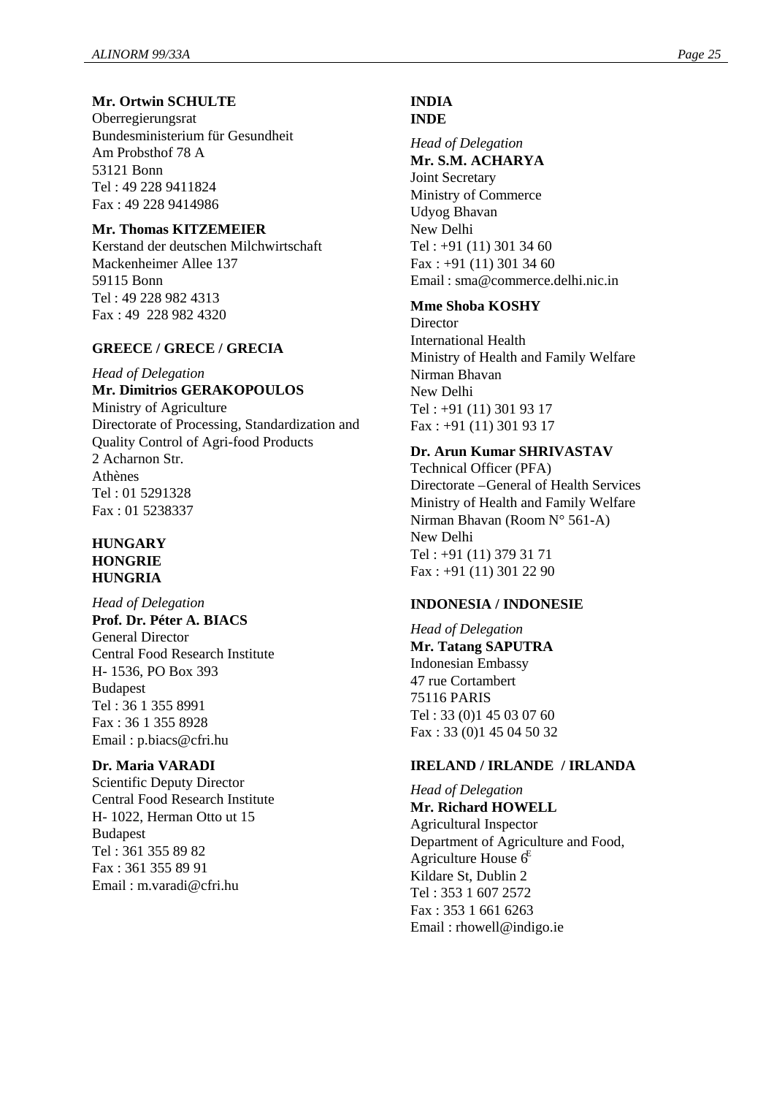# **Mr. Ortwin SCHULTE**

Oberregierungsrat Bundesministerium für Gesundheit Am Probsthof 78 A 53121 Bonn Tel : 49 228 9411824 Fax : 49 228 9414986

#### **Mr. Thomas KITZEMEIER**

Kerstand der deutschen Milchwirtschaft Mackenheimer Allee 137 59115 Bonn Tel : 49 228 982 4313 Fax : 49 228 982 4320

#### **GREECE / GRECE / GRECIA**

*Head of Delegation*

# **Mr. Dimitrios GERAKOPOULOS**

Ministry of Agriculture Directorate of Processing, Standardization and Quality Control of Agri-food Products 2 Acharnon Str. Athènes Tel : 01 5291328 Fax : 01 5238337

#### **HUNGARY HONGRIE HUNGRIA**

*Head of Delegation* **Prof. Dr. Péter A. BIACS** General Director Central Food Research Institute H- 1536, PO Box 393 Budapest Tel : 36 1 355 8991 Fax : 36 1 355 8928 Email : p.biacs@cfri.hu

#### **Dr. Maria VARADI**

Scientific Deputy Director Central Food Research Institute H- 1022, Herman Otto ut 15 Budapest Tel : 361 355 89 82 Fax : 361 355 89 91 Email : m.varadi@cfri.hu

# **INDIA**

#### **INDE**

*Head of Delegation* **Mr. S.M. ACHARYA** Joint Secretary Ministry of Commerce Udyog Bhavan New Delhi Tel : +91 (11) 301 34 60 Fax : +91 (11) 301 34 60 Email : sma@commerce.delhi.nic.in

#### **Mme Shoba KOSHY**

**Director** International Health Ministry of Health and Family Welfare Nirman Bhavan New Delhi Tel : +91 (11) 301 93 17 Fax : +91 (11) 301 93 17

# **Dr. Arun Kumar SHRIVASTAV**

Technical Officer (PFA) Directorate –General of Health Services Ministry of Health and Family Welfare Nirman Bhavan (Room N° 561-A) New Delhi Tel : +91 (11) 379 31 71 Fax : +91 (11) 301 22 90

#### **INDONESIA / INDONESIE**

*Head of Delegation* **Mr. Tatang SAPUTRA** Indonesian Embassy 47 rue Cortambert 75116 PARIS Tel : 33 (0)1 45 03 07 60 Fax : 33 (0)1 45 04 50 32

#### **IRELAND / IRLANDE / IRLANDA**

*Head of Delegation* **Mr. Richard HOWELL** Agricultural Inspector Department of Agriculture and Food, Agriculture House  $6^E$ Kildare St, Dublin 2 Tel : 353 1 607 2572 Fax : 353 1 661 6263 Email : rhowell@indigo.ie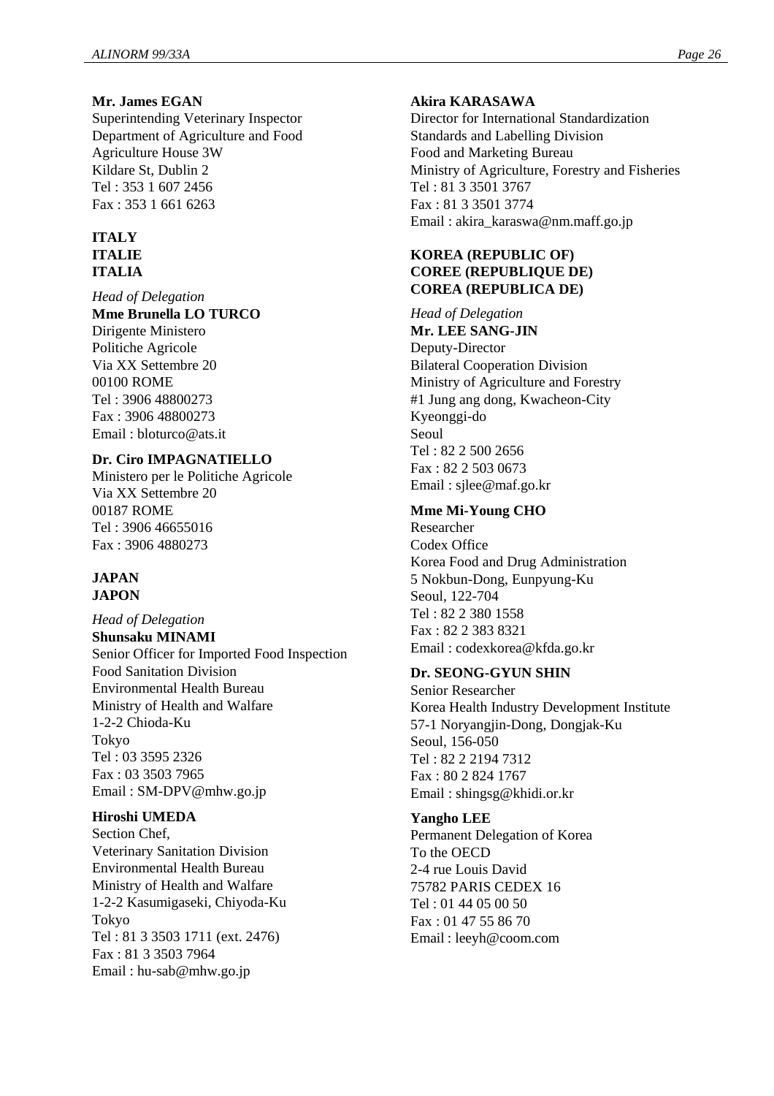#### **Mr. James EGAN**

Superintending Veterinary Inspector Department of Agriculture and Food Agriculture House 3W Kildare St, Dublin 2 Tel : 353 1 607 2456 Fax : 353 1 661 6263

#### **ITALY ITALIE**

#### **ITALIA**

*Head of Delegation* **Mme Brunella LO TURCO** Dirigente Ministero Politiche Agricole Via XX Settembre 20 00100 ROME Tel : 3906 48800273 Fax : 3906 48800273 Email : bloturco@ats.it

# **Dr. Ciro IMPAGNATIELLO**

Ministero per le Politiche Agricole Via XX Settembre 20 00187 ROME Tel : 3906 46655016 Fax : 3906 4880273

#### **JAPAN JAPON**

*Head of Delegation* **Shunsaku MINAMI** Senior Officer for Imported Food Inspection Food Sanitation Division Environmental Health Bureau Ministry of Health and Walfare 1-2-2 Chioda-Ku Tokyo Tel : 03 3595 2326 Fax : 03 3503 7965 Email : SM-DPV@mhw.go.jp

#### **Hiroshi UMEDA**

Section Chef, Veterinary Sanitation Division Environmental Health Bureau Ministry of Health and Walfare 1-2-2 Kasumigaseki, Chiyoda-Ku Tokyo Tel : 81 3 3503 1711 (ext. 2476) Fax : 81 3 3503 7964 Email : hu-sab@mhw.go.jp

#### **Akira KARASAWA**

Director for International Standardization Standards and Labelling Division Food and Marketing Bureau Ministry of Agriculture, Forestry and Fisheries Tel : 81 3 3501 3767 Fax : 81 3 3501 3774 Email : akira\_karaswa@nm.maff.go.jp

# **KOREA (REPUBLIC OF) COREE (REPUBLIQUE DE) COREA (REPUBLICA DE)**

*Head of Delegation* **Mr. LEE SANG-JIN** Deputy-Director Bilateral Cooperation Division Ministry of Agriculture and Forestry #1 Jung ang dong, Kwacheon-City Kyeonggi-do Seoul  $Tel \cdot 82.2.500.2656$ Fax : 82 2 503 0673 Email : sjlee@maf.go.kr

#### **Mme Mi-Young CHO**

Researcher Codex Office Korea Food and Drug Administration 5 Nokbun-Dong, Eunpyung-Ku Seoul, 122-704 Tel : 82 2 380 1558 Fax : 82 2 383 8321 Email : codexkorea@kfda.go.kr

#### **Dr. SEONG-GYUN SHIN**

Senior Researcher Korea Health Industry Development Institute 57-1 Noryangjin-Dong, Dongjak-Ku Seoul, 156-050 Tel : 82 2 2194 7312 Fax : 80 2 824 1767 Email : shingsg@khidi.or.kr

#### **Yangho LEE**

Permanent Delegation of Korea To the OECD 2-4 rue Louis David 75782 PARIS CEDEX 16 Tel : 01 44 05 00 50 Fax : 01 47 55 86 70 Email : leeyh@coom.com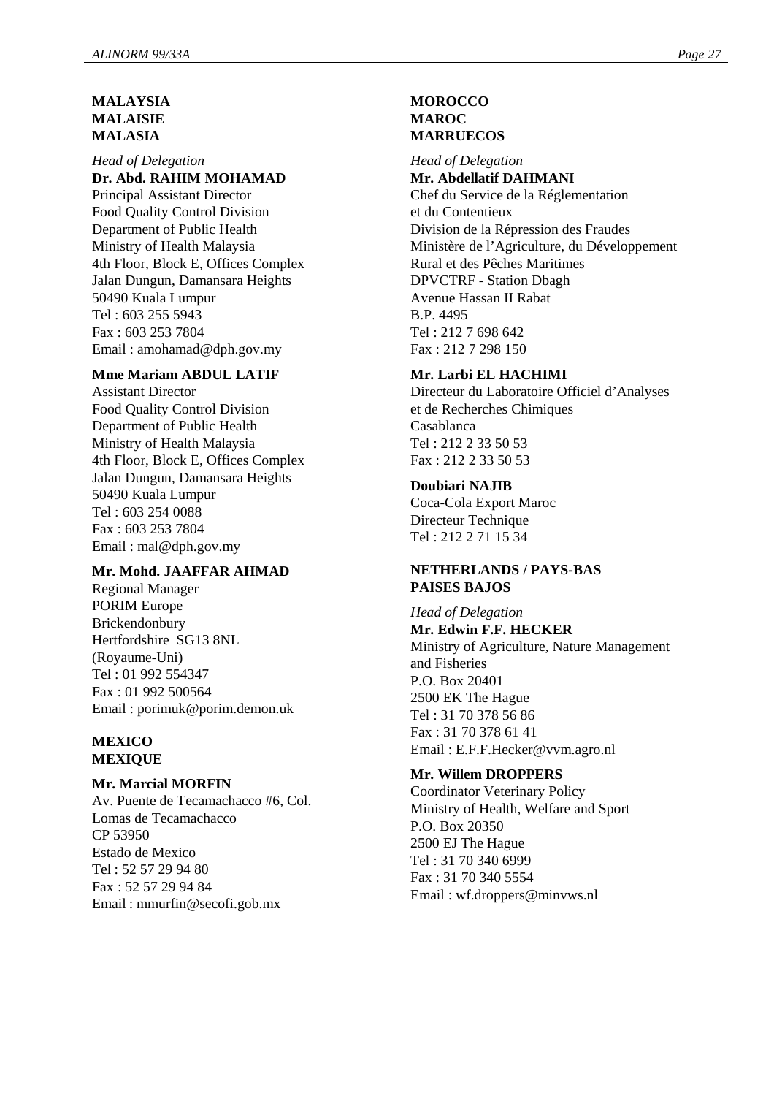#### **MALAYSIA MALAISIE MALASIA**

*Head of Delegation* **Dr. Abd. RAHIM MOHAMAD** Principal Assistant Director Food Quality Control Division Department of Public Health Ministry of Health Malaysia 4th Floor, Block E, Offices Complex Jalan Dungun, Damansara Heights 50490 Kuala Lumpur Tel : 603 255 5943 Fax : 603 253 7804 Email : amohamad@dph.gov.my

#### **Mme Mariam ABDUL LATIF**

Assistant Director Food Quality Control Division Department of Public Health Ministry of Health Malaysia 4th Floor, Block E, Offices Complex Jalan Dungun, Damansara Heights 50490 Kuala Lumpur Tel : 603 254 0088 Fax : 603 253 7804 Email : mal@dph.gov.my

#### **Mr. Mohd. JAAFFAR AHMAD**

Regional Manager PORIM Europe Brickendonbury Hertfordshire SG13 8NL (Royaume-Uni) Tel : 01 992 554347 Fax : 01 992 500564 Email : porimuk@porim.demon.uk

#### **MEXICO MEXIQUE**

#### **Mr. Marcial MORFIN**

Av. Puente de Tecamachacco #6, Col. Lomas de Tecamachacco CP 53950 Estado de Mexico Tel : 52 57 29 94 80 Fax : 52 57 29 94 84 Email : mmurfin@secofi.gob.mx

#### **MOROCCO MAROC MARRUECOS**

#### *Head of Delegation*

**Mr. Abdellatif DAHMANI** Chef du Service de la Réglementation et du Contentieux Division de la Répression des Fraudes Ministère de l'Agriculture, du Développement Rural et des Pêches Maritimes DPVCTRF - Station Dbagh Avenue Hassan II Rabat B.P. 4495 Tel : 212 7 698 642 Fax : 212 7 298 150

#### **Mr. Larbi EL HACHIMI**

Directeur du Laboratoire Officiel d'Analyses et de Recherches Chimiques Casablanca  $Tel \cdot 212$  2 33 50 53 Fax : 212 2 33 50 53

#### **Doubiari NAJIB**

Coca-Cola Export Maroc Directeur Technique Tel : 212 2 71 15 34

#### **NETHERLANDS / PAYS-BAS PAISES BAJOS**

*Head of Delegation* **Mr. Edwin F.F. HECKER** Ministry of Agriculture, Nature Management and Fisheries P.O. Box 20401 2500 EK The Hague Tel : 31 70 378 56 86 Fax : 31 70 378 61 41 Email : E.F.F.Hecker@vvm.agro.nl

#### **Mr. Willem DROPPERS**

Coordinator Veterinary Policy Ministry of Health, Welfare and Sport P.O. Box 20350 2500 EJ The Hague Tel : 31 70 340 6999 Fax : 31 70 340 5554 Email : wf.droppers@minvws.nl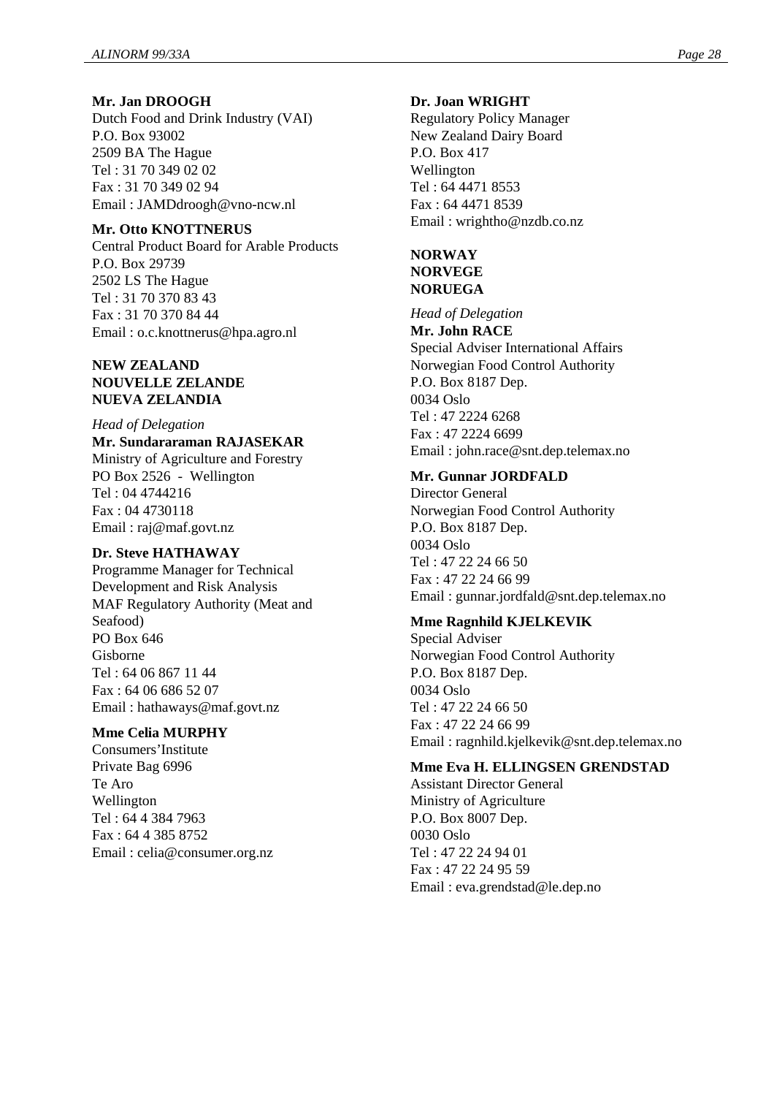#### **Mr. Jan DROOGH**

Dutch Food and Drink Industry (VAI) P.O. Box 93002 2509 BA The Hague Tel : 31 70 349 02 02 Fax : 31 70 349 02 94 Email : JAMDdroogh@vno-ncw.nl

#### **Mr. Otto KNOTTNERUS**

Central Product Board for Arable Products P.O. Box 29739 2502 LS The Hague Tel : 31 70 370 83 43 Fax : 31 70 370 84 44 Email : o.c.knottnerus@hpa.agro.nl

#### **NEW ZEALAND NOUVELLE ZELANDE NUEVA ZELANDIA**

#### *Head of Delegation*

**Mr. Sundararaman RAJASEKAR** Ministry of Agriculture and Forestry PO Box 2526 - Wellington Tel : 04 4744216 Fax : 04 4730118 Email : raj@maf.govt.nz

## **Dr. Steve HATHAWAY**

Programme Manager for Technical Development and Risk Analysis MAF Regulatory Authority (Meat and Seafood) PO Box 646 Gisborne Tel : 64 06 867 11 44 Fax : 64 06 686 52 07 Email : hathaways@maf.govt.nz

#### **Mme Celia MURPHY**

Consumers'Institute Private Bag 6996 Te Aro Wellington Tel : 64 4 384 7963 Fax : 64 4 385 8752 Email : celia@consumer.org.nz

#### **Dr. Joan WRIGHT**

Regulatory Policy Manager New Zealand Dairy Board P.O. Box 417 Wellington Tel : 64 4471 8553 Fax : 64 4471 8539 Email : wrightho@nzdb.co.nz

# **NORWAY NORVEGE NORUEGA**

*Head of Delegation* **Mr. John RACE** Special Adviser International Affairs Norwegian Food Control Authority P.O. Box 8187 Dep. 0034 Oslo Tel : 47 2224 6268 Fax : 47 2224 6699 Email : john.race@snt.dep.telemax.no

# **Mr. Gunnar JORDFALD**

Director General Norwegian Food Control Authority P.O. Box 8187 Dep. 0034 Oslo Tel : 47 22 24 66 50 Fax : 47 22 24 66 99 Email : gunnar.jordfald@snt.dep.telemax.no

#### **Mme Ragnhild KJELKEVIK**

Special Adviser Norwegian Food Control Authority P.O. Box 8187 Dep. 0034 Oslo Tel : 47 22 24 66 50 Fax : 47 22 24 66 99 Email : ragnhild.kjelkevik@snt.dep.telemax.no

#### **Mme Eva H. ELLINGSEN GRENDSTAD**

Assistant Director General Ministry of Agriculture P.O. Box 8007 Dep. 0030 Oslo Tel : 47 22 24 94 01 Fax : 47 22 24 95 59 Email : eva.grendstad@le.dep.no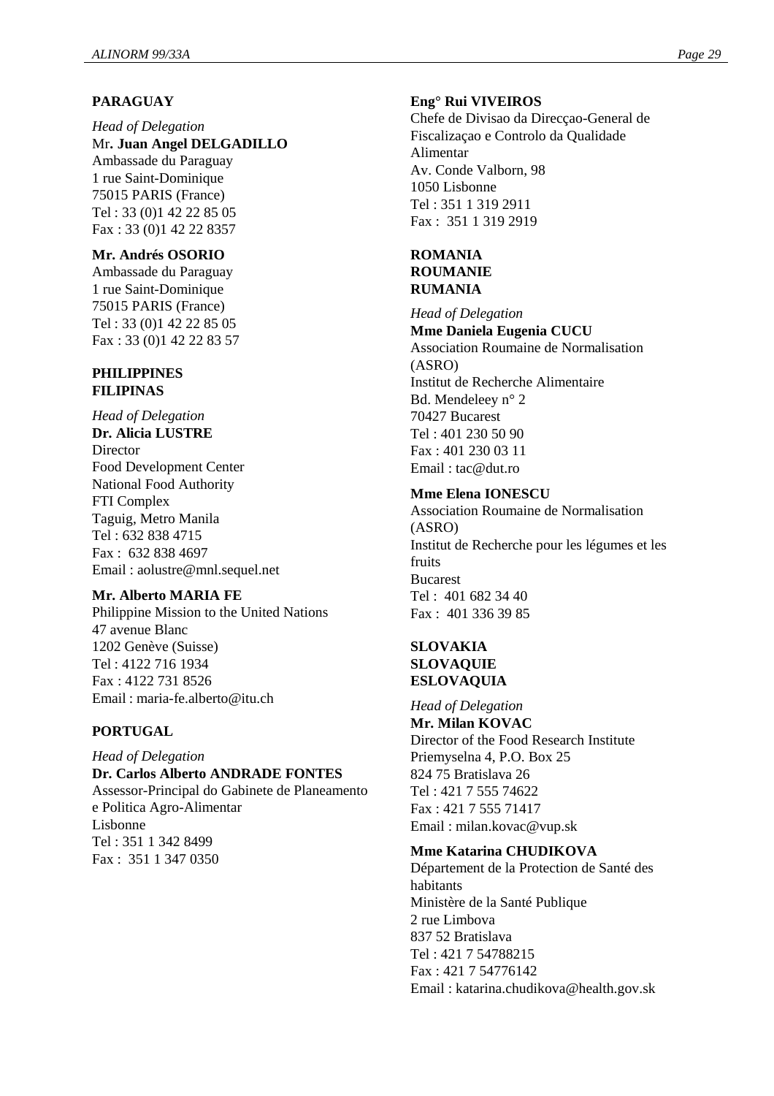# **PARAGUAY**

*Head of Delegation* Mr**. Juan Angel DELGADILLO** Ambassade du Paraguay 1 rue Saint-Dominique 75015 PARIS (France) Tel : 33 (0)1 42 22 85 05 Fax : 33 (0)1 42 22 8357

#### **Mr. Andrés OSORIO**

Ambassade du Paraguay 1 rue Saint-Dominique 75015 PARIS (France) Tel : 33 (0)1 42 22 85 05 Fax : 33 (0)1 42 22 83 57

#### **PHILIPPINES FILIPINAS**

*Head of Delegation* **Dr. Alicia LUSTRE Director** Food Development Center National Food Authority FTI Complex Taguig, Metro Manila Tel : 632 838 4715 Fax : 632 838 4697 Email : aolustre@mnl.sequel.net

#### **Mr. Alberto MARIA FE**

Philippine Mission to the United Nations 47 avenue Blanc 1202 Genève (Suisse) Tel : 4122 716 1934 Fax : 4122 731 8526 Email : maria-fe.alberto@itu.ch

#### **PORTUGAL**

*Head of Delegation* **Dr. Carlos Alberto ANDRADE FONTES** Assessor-Principal do Gabinete de Planeamento e Politica Agro-Alimentar Lisbonne Tel : 351 1 342 8499 Fax : 351 1 347 0350

# **Eng° Rui VIVEIROS**

Chefe de Divisao da Direcçao-General de Fiscalizaçao e Controlo da Qualidade Alimentar Av. Conde Valborn, 98 1050 Lisbonne Tel : 351 1 319 2911 Fax : 351 1 319 2919

# **ROMANIA ROUMANIE RUMANIA**

*Head of Delegation* **Mme Daniela Eugenia CUCU** Association Roumaine de Normalisation (ASRO) Institut de Recherche Alimentaire Bd. Mendeleey n° 2 70427 Bucarest Tel : 401 230 50 90 Fax : 401 230 03 11 Email : tac@dut.ro

#### **Mme Elena IONESCU**

Association Roumaine de Normalisation (ASRO) Institut de Recherche pour les légumes et les fruits Bucarest  $Tel \cdot 4016823440$ Fax : 401 336 39 85

#### **SLOVAKIA SLOVAQUIE ESLOVAQUIA**

*Head of Delegation* **Mr. Milan KOVAC** Director of the Food Research Institute Priemyselna 4, P.O. Box 25 824 75 Bratislava 26 Tel : 421 7 555 74622 Fax : 421 7 555 71417 Email : milan.kovac@vup.sk

#### **Mme Katarina CHUDIKOVA**

Département de la Protection de Santé des habitants Ministère de la Santé Publique 2 rue Limbova 837 52 Bratislava Tel : 421 7 54788215 Fax : 421 7 54776142 Email : katarina.chudikova@health.gov.sk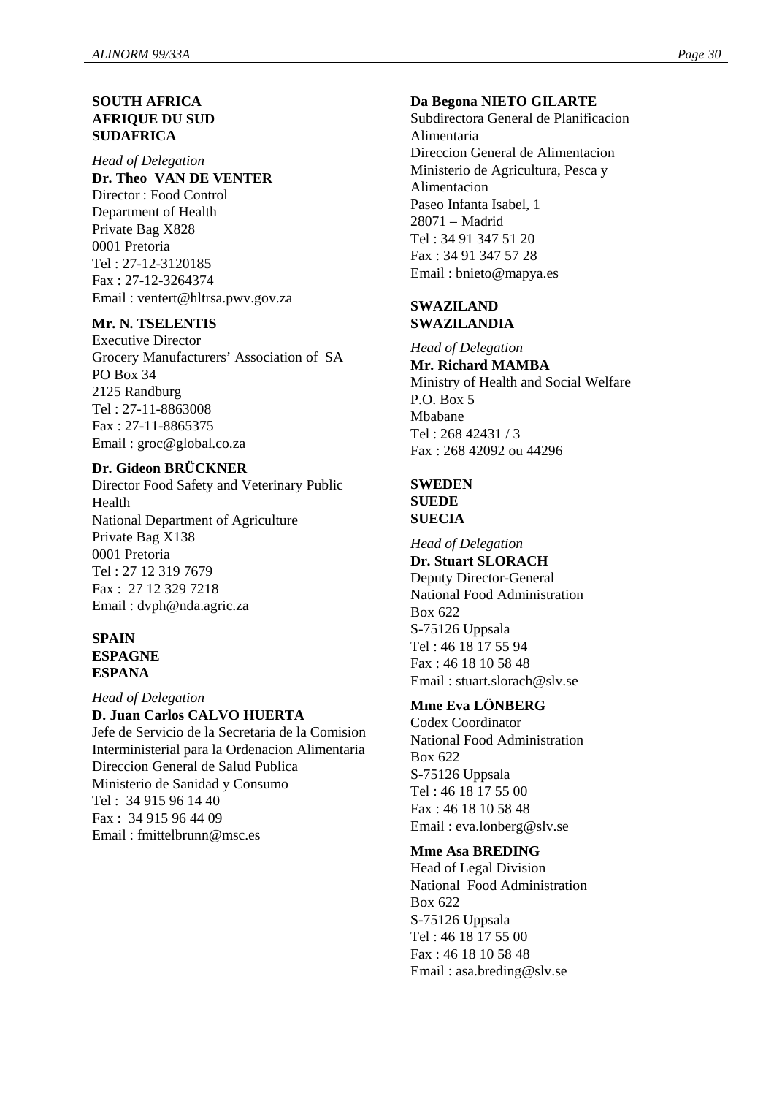# **SOUTH AFRICA AFRIQUE DU SUD SUDAFRICA**

*Head of Delegation* **Dr. Theo VAN DE VENTER** Director : Food Control Department of Health Private Bag X828 0001 Pretoria Tel : 27-12-3120185 Fax : 27-12-3264374 Email : ventert@hltrsa.pwv.gov.za

#### **Mr. N. TSELENTIS**

Executive Director Grocery Manufacturers' Association of SA PO Box 34 2125 Randburg Tel : 27-11-8863008 Fax : 27-11-8865375 Email : groc@global.co.za

#### **Dr. Gideon BRÜCKNER**

Director Food Safety and Veterinary Public Health National Department of Agriculture Private Bag X138 0001 Pretoria Tel : 27 12 319 7679 Fax : 27 12 329 7218 Email : dvph@nda.agric.za

#### **SPAIN ESPAGNE ESPANA**

*Head of Delegation*

#### **D. Juan Carlos CALVO HUERTA**

Jefe de Servicio de la Secretaria de la Comision Interministerial para la Ordenacion Alimentaria Direccion General de Salud Publica Ministerio de Sanidad y Consumo Tel : 34 915 96 14 40 Fax : 34 915 96 44 09 Email : fmittelbrunn@msc.es

#### **Da Begona NIETO GILARTE**

Subdirectora General de Planificacion Alimentaria Direccion General de Alimentacion Ministerio de Agricultura, Pesca y Alimentacion Paseo Infanta Isabel, 1 28071 – Madrid Tel : 34 91 347 51 20 Fax : 34 91 347 57 28 Email : bnieto@mapya.es

#### **SWAZILAND SWAZILANDIA**

*Head of Delegation* **Mr. Richard MAMBA** Ministry of Health and Social Welfare P.O. Box 5 Mbabane Tel : 268 42431 / 3 Fax : 268 42092 ou 44296

# **SWEDEN SUEDE SUECIA**

#### *Head of Delegation* **Dr. Stuart SLORACH**

Deputy Director-General National Food Administration Box 622 S-75126 Uppsala Tel : 46 18 17 55 94 Fax : 46 18 10 58 48 Email · stuart.slorach@sly.se

# **Mme Eva LÖNBERG**

Codex Coordinator National Food Administration Box 622 S-75126 Uppsala Tel : 46 18 17 55 00 Fax : 46 18 10 58 48 Email : eva.lonberg@slv.se

#### **Mme Asa BREDING**

Head of Legal Division National Food Administration Box 622 S-75126 Uppsala Tel : 46 18 17 55 00 Fax : 46 18 10 58 48 Email : asa.breding@slv.se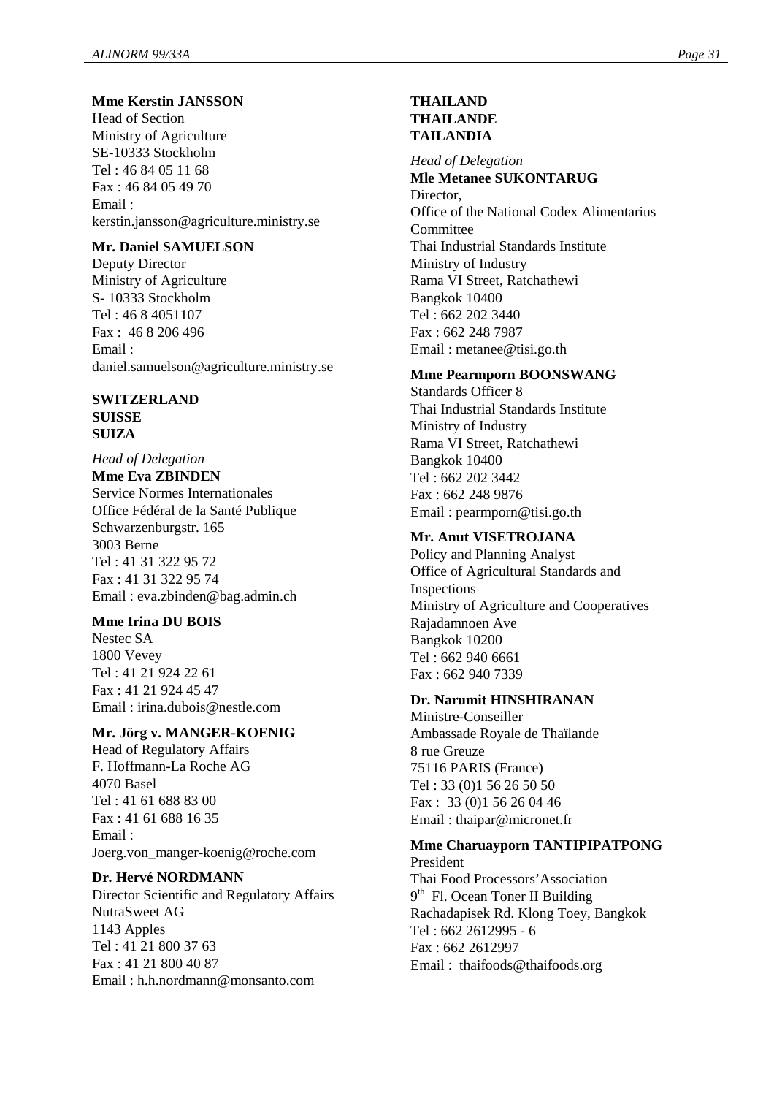# **Mme Kerstin JANSSON**

Head of Section Ministry of Agriculture SE-10333 Stockholm Tel : 46 84 05 11 68 Fax : 46 84 05 49 70 Email : kerstin.jansson@agriculture.ministry.se

#### **Mr. Daniel SAMUELSON**

Deputy Director Ministry of Agriculture S- 10333 Stockholm Tel : 46 8 4051107 Fax : 46 8 206 496 Email : daniel.samuelson@agriculture.ministry.se

# **SWITZERLAND SUISSE**

**SUIZA**

*Head of Delegation* **Mme Eva ZBINDEN** Service Normes Internationales Office Fédéral de la Santé Publique Schwarzenburgstr. 165 3003 Berne Tel : 41 31 322 95 72 Fax : 41 31 322 95 74 Email : eva.zbinden@bag.admin.ch

#### **Mme Irina DU BOIS**

Nestec SA 1800 Vevey Tel : 41 21 924 22 61 Fax : 41 21 924 45 47 Email : irina.dubois@nestle.com

#### **Mr. Jörg v. MANGER-KOENIG**

Head of Regulatory Affairs F. Hoffmann-La Roche AG 4070 Basel Tel : 41 61 688 83 00 Fax : 41 61 688 16 35 Email : Joerg.von\_manger-koenig@roche.com

#### **Dr. Hervé NORDMANN**

Director Scientific and Regulatory Affairs NutraSweet AG 1143 Apples Tel : 41 21 800 37 63 Fax : 41 21 800 40 87 Email : h.h.nordmann@monsanto.com

#### **THAILAND THAILANDE TAILANDIA**

*Head of Delegation* **Mle Metanee SUKONTARUG** Director. Office of the National Codex Alimentarius Committee Thai Industrial Standards Institute Ministry of Industry Rama VI Street, Ratchathewi Bangkok 10400 Tel : 662 202 3440 Fax : 662 248 7987 Email : metanee@tisi.go.th

#### **Mme Pearmporn BOONSWANG**

Standards Officer 8 Thai Industrial Standards Institute Ministry of Industry Rama VI Street, Ratchathewi Bangkok 10400 Tel : 662 202 3442 Fax : 662 248 9876 Email : pearmporn@tisi.go.th

#### **Mr. Anut VISETROJANA**

Policy and Planning Analyst Office of Agricultural Standards and Inspections Ministry of Agriculture and Cooperatives Rajadamnoen Ave Bangkok 10200 Tel : 662 940 6661 Fax : 662 940 7339

#### **Dr. Narumit HINSHIRANAN**

Ministre-Conseiller Ambassade Royale de Thaïlande 8 rue Greuze 75116 PARIS (France) Tel : 33 (0)1 56 26 50 50 Fax : 33 (0)1 56 26 04 46 Email : thaipar@micronet.fr

#### **Mme Charuayporn TANTIPIPATPONG** President

Thai Food Processors'Association 9<sup>th</sup> Fl. Ocean Toner II Building Rachadapisek Rd. Klong Toey, Bangkok Tel : 662 2612995 - 6 Fax : 662 2612997 Email : thaifoods@thaifoods.org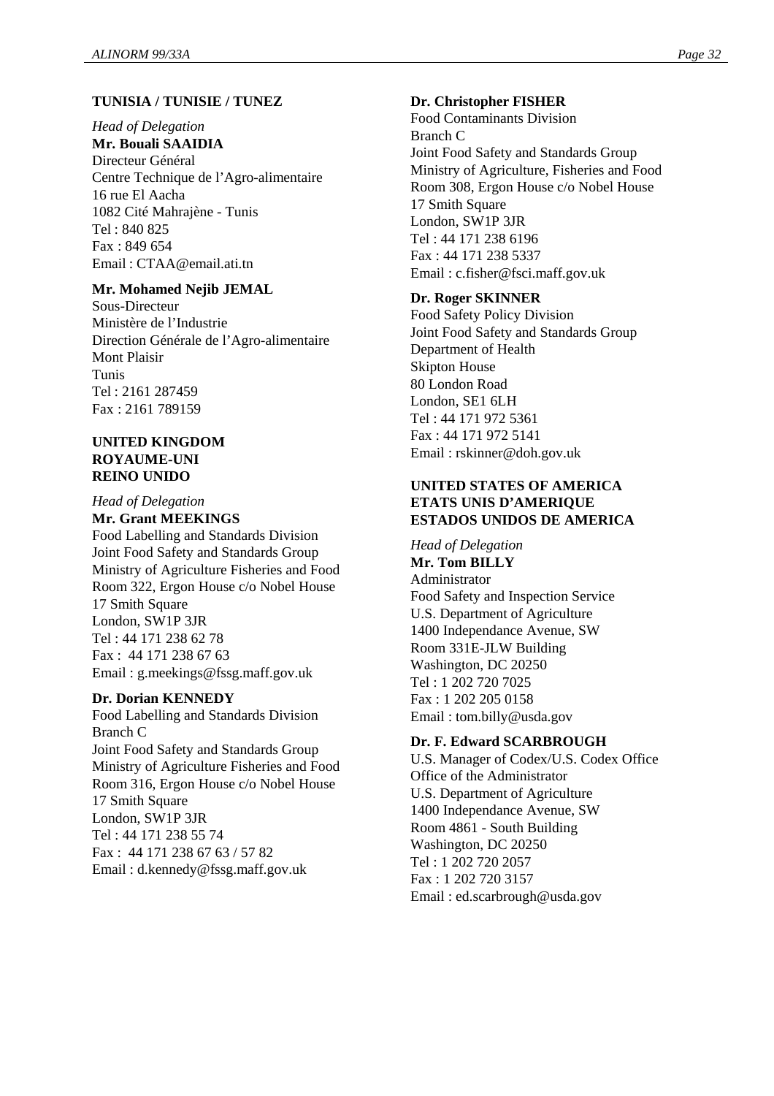#### **TUNISIA / TUNISIE / TUNEZ**

*Head of Delegation*

**Mr. Bouali SAAIDIA**

Directeur Général Centre Technique de l'Agro-alimentaire 16 rue El Aacha 1082 Cité Mahrajène - Tunis Tel : 840 825 Fax : 849 654 Email : CTAA@email.ati.tn

#### **Mr. Mohamed Nejib JEMAL**

Sous-Directeur Ministère de l'Industrie Direction Générale de l'Agro-alimentaire Mont Plaisir Tunis Tel : 2161 287459 Fax : 2161 789159

#### **UNITED KINGDOM ROYAUME-UNI REINO UNIDO**

*Head of Delegation*

**Mr. Grant MEEKINGS**

Food Labelling and Standards Division Joint Food Safety and Standards Group Ministry of Agriculture Fisheries and Food Room 322, Ergon House c/o Nobel House 17 Smith Square London, SW1P 3JR Tel : 44 171 238 62 78 Fax : 44 171 238 67 63 Email : g.meekings@fssg.maff.gov.uk

#### **Dr. Dorian KENNEDY**

Food Labelling and Standards Division Branch C Joint Food Safety and Standards Group Ministry of Agriculture Fisheries and Food Room 316, Ergon House c/o Nobel House 17 Smith Square London, SW1P 3JR Tel : 44 171 238 55 74 Fax : 44 171 238 67 63 / 57 82 Email : d.kennedy@fssg.maff.gov.uk

#### **Dr. Christopher FISHER**

Food Contaminants Division Branch C Joint Food Safety and Standards Group Ministry of Agriculture, Fisheries and Food Room 308, Ergon House c/o Nobel House 17 Smith Square London, SW1P 3JR Tel : 44 171 238 6196 Fax : 44 171 238 5337 Email : c.fisher@fsci.maff.gov.uk

#### **Dr. Roger SKINNER**

Food Safety Policy Division Joint Food Safety and Standards Group Department of Health Skipton House 80 London Road London, SE1 6LH Tel : 44 171 972 5361 Fax : 44 171 972 5141 Email : rskinner@doh.gov.uk

#### **UNITED STATES OF AMERICA ETATS UNIS D'AMERIQUE ESTADOS UNIDOS DE AMERICA**

*Head of Delegation* **Mr. Tom BILLY** Administrator Food Safety and Inspection Service U.S. Department of Agriculture 1400 Independance Avenue, SW Room 331E-JLW Building Washington, DC 20250 Tel : 1 202 720 7025 Fax : 1 202 205 0158 Email : tom.billy@usda.gov

#### **Dr. F. Edward SCARBROUGH**

U.S. Manager of Codex/U.S. Codex Office Office of the Administrator U.S. Department of Agriculture 1400 Independance Avenue, SW Room 4861 - South Building Washington, DC 20250 Tel : 1 202 720 2057 Fax : 1 202 720 3157 Email : ed.scarbrough@usda.gov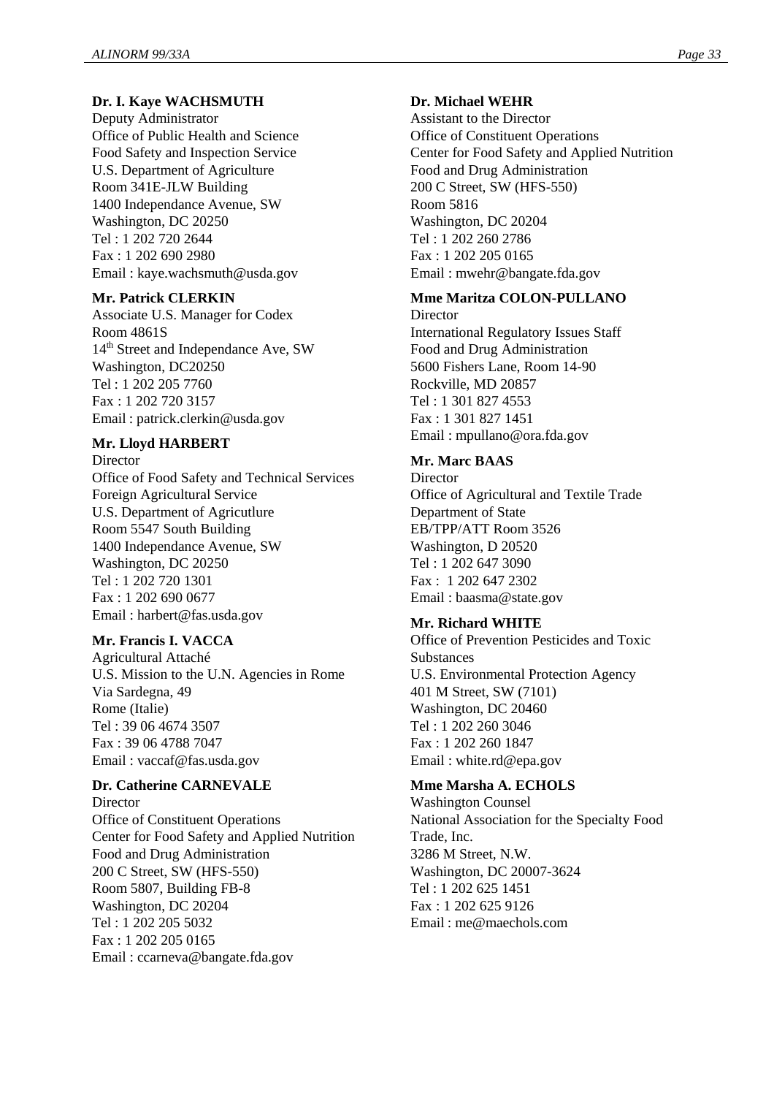# **Dr. I. Kaye WACHSMUTH**

Deputy Administrator Office of Public Health and Science Food Safety and Inspection Service U.S. Department of Agriculture Room 341E-JLW Building 1400 Independance Avenue, SW Washington, DC 20250 Tel : 1 202 720 2644 Fax : 1 202 690 2980 Email : kaye.wachsmuth@usda.gov

#### **Mr. Patrick CLERKIN**

Associate U.S. Manager for Codex Room 4861S 14<sup>th</sup> Street and Independance Ave, SW Washington, DC20250 Tel : 1 202 205 7760 Fax : 1 202 720 3157 Email : patrick.clerkin@usda.gov

#### **Mr. Lloyd HARBERT**

Director Office of Food Safety and Technical Services Foreign Agricultural Service U.S. Department of Agricutlure Room 5547 South Building 1400 Independance Avenue, SW Washington, DC 20250 Tel : 1 202 720 1301 Fax : 1 202 690 0677 Email : harbert@fas.usda.gov

#### **Mr. Francis I. VACCA**

Agricultural Attaché U.S. Mission to the U.N. Agencies in Rome Via Sardegna, 49 Rome (Italie) Tel : 39 06 4674 3507 Fax : 39 06 4788 7047 Email : vaccaf@fas.usda.gov

#### **Dr. Catherine CARNEVALE**

**Director** Office of Constituent Operations Center for Food Safety and Applied Nutrition Food and Drug Administration 200 C Street, SW (HFS-550) Room 5807, Building FB-8 Washington, DC 20204 Tel : 1 202 205 5032 Fax : 1 202 205 0165 Email : ccarneva@bangate.fda.gov

#### **Dr. Michael WEHR**

Assistant to the Director Office of Constituent Operations Center for Food Safety and Applied Nutrition Food and Drug Administration 200 C Street, SW (HFS-550) Room 5816 Washington, DC 20204 Tel : 1 202 260 2786 Fax : 1 202 205 0165 Email : mwehr@bangate.fda.gov

# **Mme Maritza COLON-PULLANO**

Director International Regulatory Issues Staff Food and Drug Administration 5600 Fishers Lane, Room 14-90 Rockville, MD 20857 Tel : 1 301 827 4553 Fax : 1 301 827 1451 Email : mpullano@ora.fda.gov

#### **Mr. Marc BAAS**

**Director** Office of Agricultural and Textile Trade Department of State EB/TPP/ATT Room 3526 Washington, D 20520 Tel : 1 202 647 3090 Fax : 1 202 647 2302 Email : baasma@state.gov

#### **Mr. Richard WHITE**

Office of Prevention Pesticides and Toxic **Substances** U.S. Environmental Protection Agency 401 M Street, SW (7101) Washington, DC 20460 Tel : 1 202 260 3046 Fax : 1 202 260 1847 Email : white.rd@epa.gov

#### **Mme Marsha A. ECHOLS**

Washington Counsel National Association for the Specialty Food Trade, Inc. 3286 M Street, N.W. Washington, DC 20007-3624 Tel : 1 202 625 1451 Fax : 1 202 625 9126 Email : me@maechols.com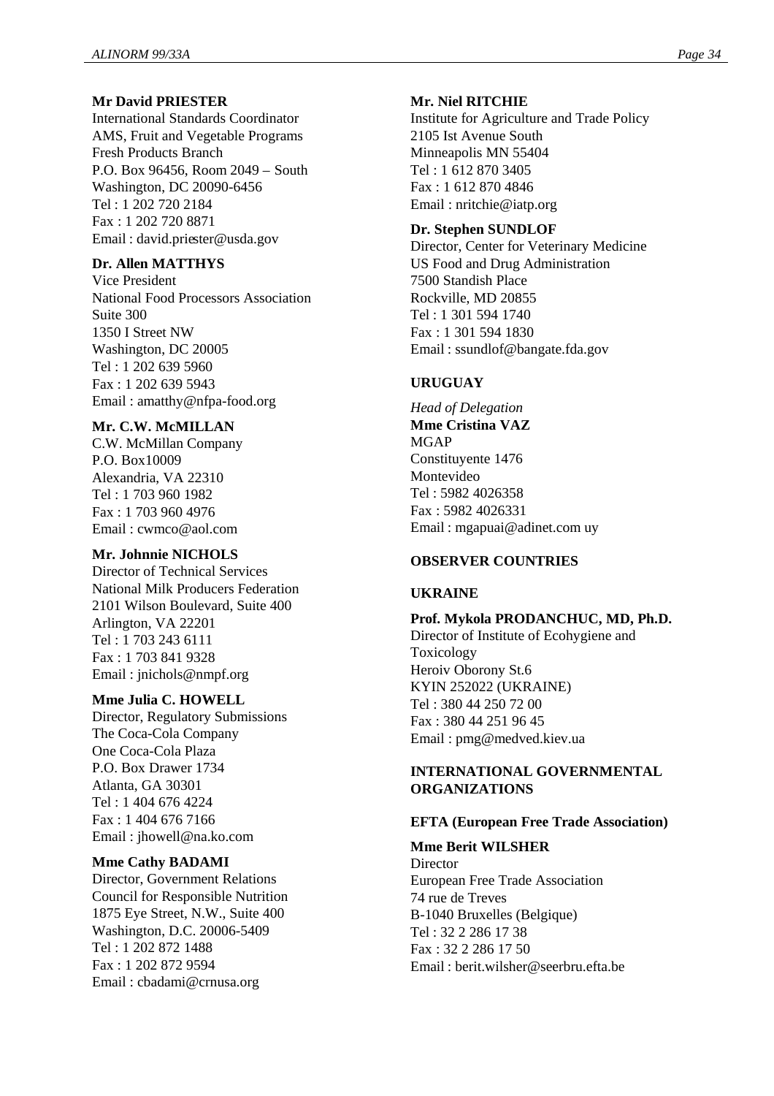#### **Mr David PRIESTER**

International Standards Coordinator AMS, Fruit and Vegetable Programs Fresh Products Branch P.O. Box 96456, Room 2049 – South Washington, DC 20090-6456 Tel : 1 202 720 2184 Fax : 1 202 720 8871 Email : david.priester@usda.gov

#### **Dr. Allen MATTHYS**

Vice President National Food Processors Association Suite 300 1350 I Street NW Washington, DC 20005 Tel : 1 202 639 5960 Fax : 1 202 639 5943 Email : amatthy@nfpa-food.org

#### **Mr. C.W. McMILLAN**

C.W. McMillan Company P.O. Box10009 Alexandria, VA 22310 Tel : 1 703 960 1982 Fax : 1 703 960 4976 Email : cwmco@aol.com

#### **Mr. Johnnie NICHOLS**

Director of Technical Services National Milk Producers Federation 2101 Wilson Boulevard, Suite 400 Arlington, VA 22201 Tel : 1 703 243 6111 Fax : 1 703 841 9328 Email : jnichols@nmpf.org

#### **Mme Julia C. HOWELL**

Director, Regulatory Submissions The Coca-Cola Company One Coca-Cola Plaza P.O. Box Drawer 1734 Atlanta, GA 30301 Tel : 1 404 676 4224 Fax : 1 404 676 7166 Email : jhowell@na.ko.com

#### **Mme Cathy BADAMI**

Director, Government Relations Council for Responsible Nutrition 1875 Eye Street, N.W., Suite 400 Washington, D.C. 20006-5409 Tel : 1 202 872 1488 Fax : 1 202 872 9594 Email : cbadami@crnusa.org

#### **Mr. Niel RITCHIE**

Institute for Agriculture and Trade Policy 2105 Ist Avenue South Minneapolis MN 55404 Tel : 1 612 870 3405 Fax : 1 612 870 4846 Email : nritchie@iatp.org

#### **Dr. Stephen SUNDLOF**

Director, Center for Veterinary Medicine US Food and Drug Administration 7500 Standish Place Rockville, MD 20855 Tel : 1 301 594 1740 Fax : 1 301 594 1830 Email : ssundlof@bangate.fda.gov

#### **URUGUAY**

*Head of Delegation* **Mme Cristina VAZ** MGAP Constituyente 1476 Montevideo Tel : 5982 4026358 Fax : 5982 4026331 Email : mgapuai@adinet.com uy

# **OBSERVER COUNTRIES**

#### **UKRAINE**

#### **Prof. Mykola PRODANCHUC, MD, Ph.D.**

Director of Institute of Ecohygiene and Toxicology Heroiv Oborony St.6 KYIN 252022 (UKRAINE) Tel : 380 44 250 72 00 Fax : 380 44 251 96 45 Email : pmg@medved.kiev.ua

#### **INTERNATIONAL GOVERNMENTAL ORGANIZATIONS**

#### **EFTA (European Free Trade Association)**

#### **Mme Berit WILSHER**

**Director** European Free Trade Association 74 rue de Treves B-1040 Bruxelles (Belgique) Tel : 32 2 286 17 38 Fax : 32 2 286 17 50 Email : berit.wilsher@seerbru.efta.be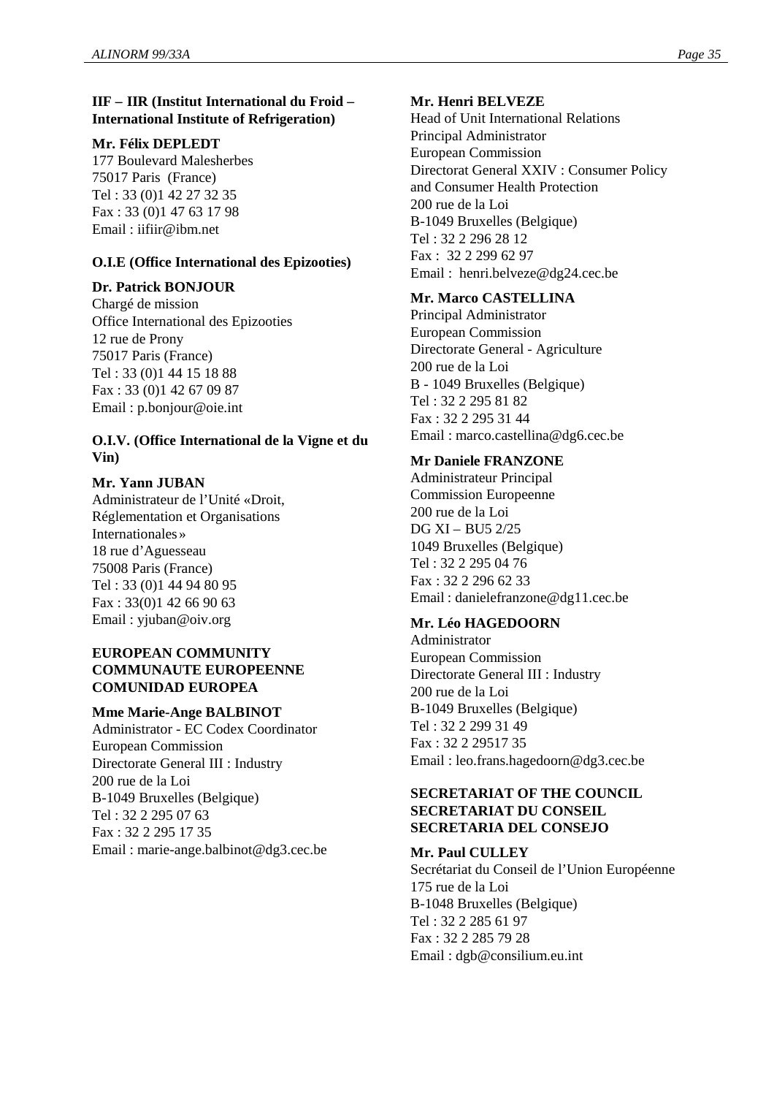# **IIF – IIR (Institut International du Froid – International Institute of Refrigeration)**

#### **Mr. Félix DEPLEDT**

177 Boulevard Malesherbes 75017 Paris (France) Tel : 33 (0)1 42 27 32 35 Fax : 33 (0)1 47 63 17 98 Email : iifiir@ibm.net

#### **O.I.E (Office International des Epizooties)**

#### **Dr. Patrick BONJOUR**

Chargé de mission Office International des Epizooties 12 rue de Prony 75017 Paris (France) Tel : 33 (0)1 44 15 18 88 Fax : 33 (0)1 42 67 09 87 Email : p.bonjour@oie.int

#### **O.I.V. (Office International de la Vigne et du Vin)**

#### **Mr. Yann JUBAN**

Administrateur de l'Unité « Droit, Réglementation et Organisations Internationales » 18 rue d'Aguesseau 75008 Paris (France) Tel : 33 (0)1 44 94 80 95 Fax : 33(0)1 42 66 90 63 Email : yjuban@oiv.org

#### **EUROPEAN COMMUNITY COMMUNAUTE EUROPEENNE COMUNIDAD EUROPEA**

#### **Mme Marie-Ange BALBINOT**

Administrator - EC Codex Coordinator European Commission Directorate General III : Industry 200 rue de la Loi B-1049 Bruxelles (Belgique) Tel : 32 2 295 07 63 Fax : 32 2 295 17 35 Email : marie-ange.balbinot@dg3.cec.be

### **Mr. Henri BELVEZE**

Head of Unit International Relations Principal Administrator European Commission Directorat General XXIV : Consumer Policy and Consumer Health Protection 200 rue de la Loi B-1049 Bruxelles (Belgique) Tel : 32 2 296 28 12 Fax : 32 2 299 62 97 Email : henri.belveze@dg24.cec.be

#### **Mr. Marco CASTELLINA**

Principal Administrator European Commission Directorate General - Agriculture 200 rue de la Loi B - 1049 Bruxelles (Belgique) Tel : 32 2 295 81 82 Fax : 32 2 295 31 44 Email : marco.castellina@dg6.cec.be

#### **Mr Daniele FRANZONE**

Administrateur Principal Commission Europeenne 200 rue de la Loi DG XI – BU5 2/25 1049 Bruxelles (Belgique) Tel : 32 2 295 04 76 Fax : 32 2 296 62 33 Email : danielefranzone@dg11.cec.be

#### **Mr. Léo HAGEDOORN**

Administrator European Commission Directorate General III : Industry 200 rue de la Loi B-1049 Bruxelles (Belgique) Tel : 32 2 299 31 49 Fax : 32 2 29517 35 Email : leo.frans.hagedoorn@dg3.cec.be

#### **SECRETARIAT OF THE COUNCIL SECRETARIAT DU CONSEIL SECRETARIA DEL CONSEJO**

#### **Mr. Paul CULLEY**

Secrétariat du Conseil de l'Union Européenne 175 rue de la Loi B-1048 Bruxelles (Belgique) Tel : 32 2 285 61 97 Fax : 32 2 285 79 28 Email : dgb@consilium.eu.int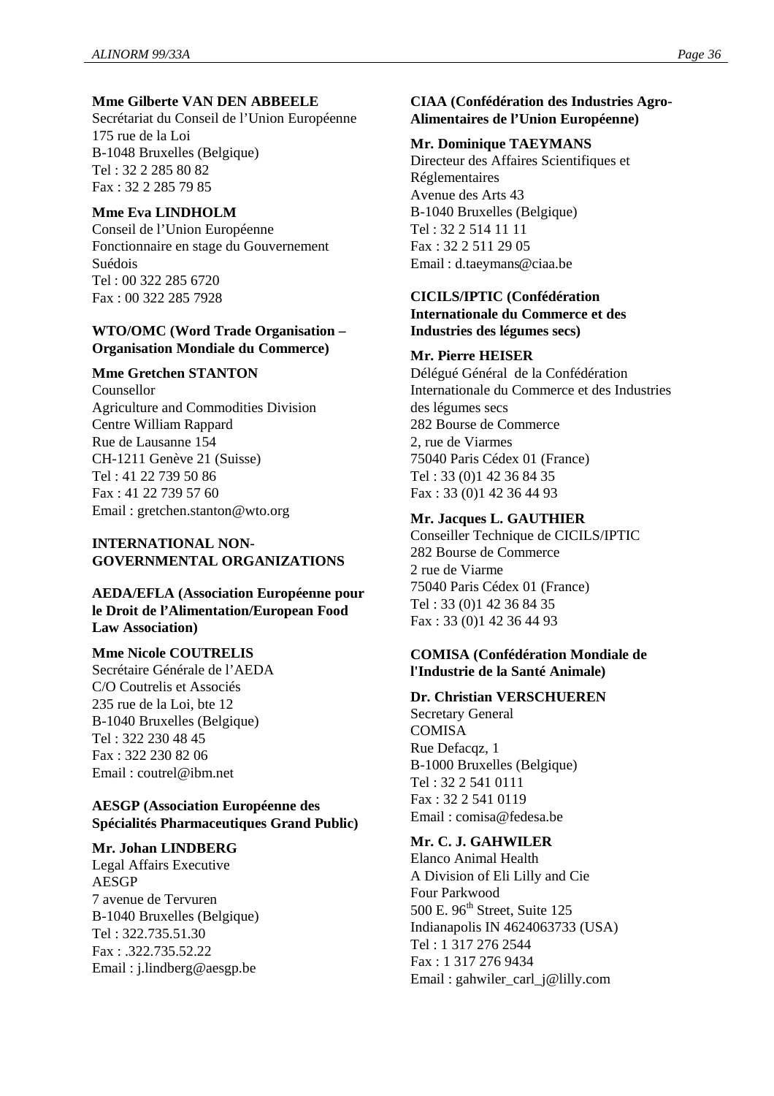#### **Mme Gilberte VAN DEN ABBEELE**

Secrétariat du Conseil de l'Union Européenne 175 rue de la Loi B-1048 Bruxelles (Belgique) Tel : 32 2 285 80 82 Fax : 32 2 285 79 85

#### **Mme Eva LINDHOLM**

Conseil de l'Union Européenne Fonctionnaire en stage du Gouvernement Suédois Tel : 00 322 285 6720 Fax : 00 322 285 7928

#### **WTO/OMC (Word Trade Organisation – Organisation Mondiale du Commerce)**

#### **Mme Gretchen STANTON**

Counsellor Agriculture and Commodities Division Centre William Rappard Rue de Lausanne 154 CH-1211 Genève 21 (Suisse) Tel : 41 22 739 50 86 Fax : 41 22 739 57 60 Email : gretchen.stanton@wto.org

#### **INTERNATIONAL NON-GOVERNMENTAL ORGANIZATIONS**

# **AEDA/EFLA (Association Européenne pour le Droit de l'Alimentation/European Food Law Association)**

#### **Mme Nicole COUTRELIS**

Secrétaire Générale de l'AEDA C/O Coutrelis et Associés 235 rue de la Loi, bte 12 B-1040 Bruxelles (Belgique) Tel : 322 230 48 45 Fax : 322 230 82 06 Email : coutrel@ibm.net

#### **AESGP (Association Européenne des Spécialités Pharmaceutiques Grand Public)**

#### **Mr. Johan LINDBERG**

Legal Affairs Executive AESGP 7 avenue de Tervuren B-1040 Bruxelles (Belgique) Tel : 322.735.51.30 Fax : .322.735.52.22 Email : j.lindberg@aesgp.be

# **CIAA (Confédération des Industries Agro-Alimentaires de l'Union Européenne)**

#### **Mr. Dominique TAEYMANS**

Directeur des Affaires Scientifiques et Réglementaires Avenue des Arts 43 B-1040 Bruxelles (Belgique) Tel : 32 2 514 11 11 Fax : 32 2 511 29 05 Email : d.taeymans@ciaa.be

#### **CICILS/IPTIC (Confédération**

**Internationale du Commerce et des Industries des légumes secs)**

#### **Mr. Pierre HEISER**

Délégué Général de la Confédération Internationale du Commerce et des Industries des légumes secs 282 Bourse de Commerce 2, rue de Viarmes 75040 Paris Cédex 01 (France) Tel : 33 (0)1 42 36 84 35 Fax : 33 (0)1 42 36 44 93

#### **Mr. Jacques L. GAUTHIER**

Conseiller Technique de CICILS/IPTIC 282 Bourse de Commerce 2 rue de Viarme 75040 Paris Cédex 01 (France) Tel : 33 (0)1 42 36 84 35 Fax : 33 (0)1 42 36 44 93

#### **COMISA (Confédération Mondiale de l'Industrie de la Santé Animale)**

#### **Dr. Christian VERSCHUEREN**

Secretary General **COMISA** Rue Defacqz, 1 B-1000 Bruxelles (Belgique) Tel : 32 2 541 0111 Fax : 32 2 541 0119 Email : comisa@fedesa.be

# **Mr. C. J. GAHWILER**

Elanco Animal Health A Division of Eli Lilly and Cie Four Parkwood 500 E. 96<sup>th</sup> Street, Suite 125 Indianapolis IN 4624063733 (USA) Tel : 1 317 276 2544 Fax : 1 317 276 9434 Email : gahwiler\_carl\_j@lilly.com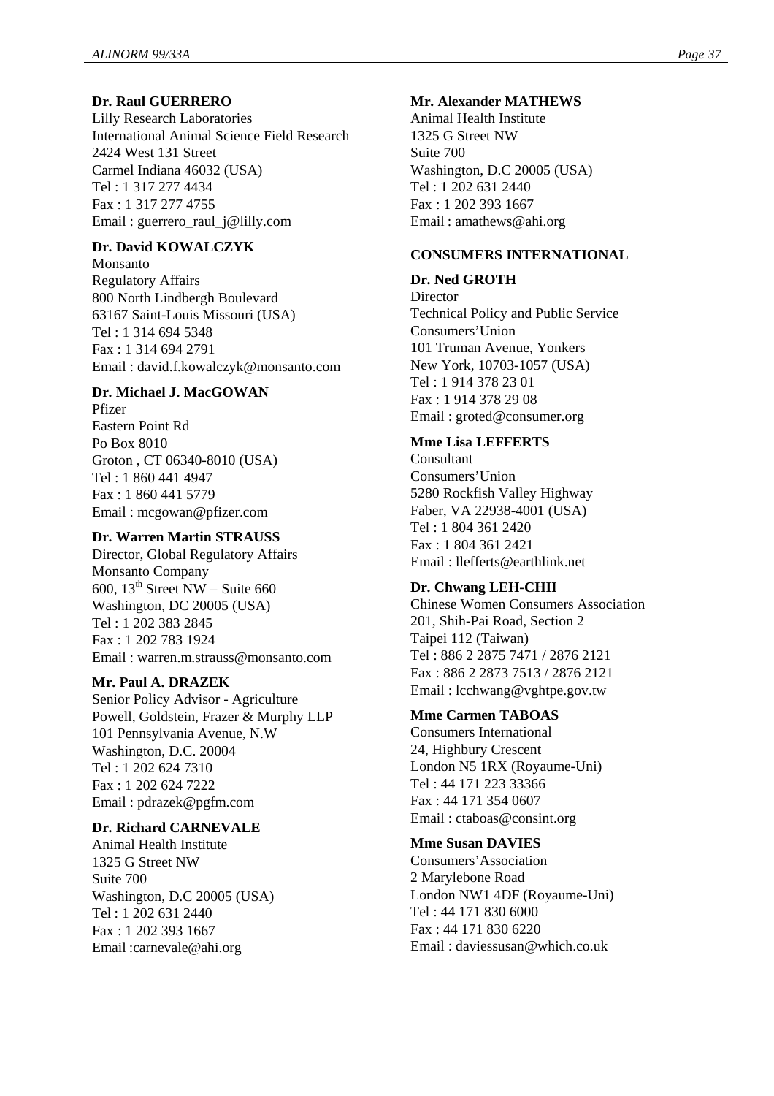# **Dr. Raul GUERRERO**

Lilly Research Laboratories International Animal Science Field Research 2424 West 131 Street Carmel Indiana 46032 (USA) Tel : 1 317 277 4434 Fax : 1 317 277 4755 Email : guerrero\_raul\_j@lilly.com

# **Dr. David KOWALCZYK**

Monsanto Regulatory Affairs 800 North Lindbergh Boulevard 63167 Saint-Louis Missouri (USA) Tel : 1 314 694 5348 Fax : 1 314 694 2791 Email : david.f.kowalczyk@monsanto.com

#### **Dr. Michael J. MacGOWAN**

Pfizer Eastern Point Rd Po Box 8010 Groton , CT 06340-8010 (USA) Tel : 1 860 441 4947 Fax : 1 860 441 5779 Email : mcgowan@pfizer.com

#### **Dr. Warren Martin STRAUSS**

Director, Global Regulatory Affairs Monsanto Company 600,  $13<sup>th</sup>$  Street NW – Suite 660 Washington, DC 20005 (USA) Tel : 1 202 383 2845 Fax : 1 202 783 1924 Email : warren.m.strauss@monsanto.com

#### **Mr. Paul A. DRAZEK**

Senior Policy Advisor - Agriculture Powell, Goldstein, Frazer & Murphy LLP 101 Pennsylvania Avenue, N.W Washington, D.C. 20004 Tel : 1 202 624 7310 Fax : 1 202 624 7222 Email : pdrazek@pgfm.com

#### **Dr. Richard CARNEVALE**

Animal Health Institute 1325 G Street NW Suite 700 Washington, D.C 20005 (USA) Tel : 1 202 631 2440 Fax : 1 202 393 1667 Email :carnevale@ahi.org

#### **Mr. Alexander MATHEWS**

Animal Health Institute 1325 G Street NW Suite 700 Washington, D.C 20005 (USA) Tel : 1 202 631 2440 Fax : 1 202 393 1667 Email : amathews@ahi.org

#### **CONSUMERS INTERNATIONAL**

# **Dr. Ned GROTH**

**Director** Technical Policy and Public Service Consumers'Union 101 Truman Avenue, Yonkers New York, 10703-1057 (USA) Tel : 1 914 378 23 01 Fax : 1 914 378 29 08 Email : groted@consumer.org

#### **Mme Lisa LEFFERTS**

Consultant Consumers'Union 5280 Rockfish Valley Highway Faber, VA 22938-4001 (USA) Tel : 1 804 361 2420 Fax : 1 804 361 2421 Email : llefferts@earthlink.net

#### **Dr. Chwang LEH-CHII**

Chinese Women Consumers Association 201, Shih-Pai Road, Section 2 Taipei 112 (Taiwan) Tel : 886 2 2875 7471 / 2876 2121 Fax : 886 2 2873 7513 / 2876 2121 Email : lcchwang@vghtpe.gov.tw

#### **Mme Carmen TABOAS**

Consumers International 24, Highbury Crescent London N5 1RX (Royaume-Uni) Tel : 44 171 223 33366 Fax : 44 171 354 0607 Email : ctaboas@consint.org

#### **Mme Susan DAVIES**

Consumers'Association 2 Marylebone Road London NW1 4DF (Royaume-Uni) Tel : 44 171 830 6000 Fax : 44 171 830 6220 Email : daviessusan@which.co.uk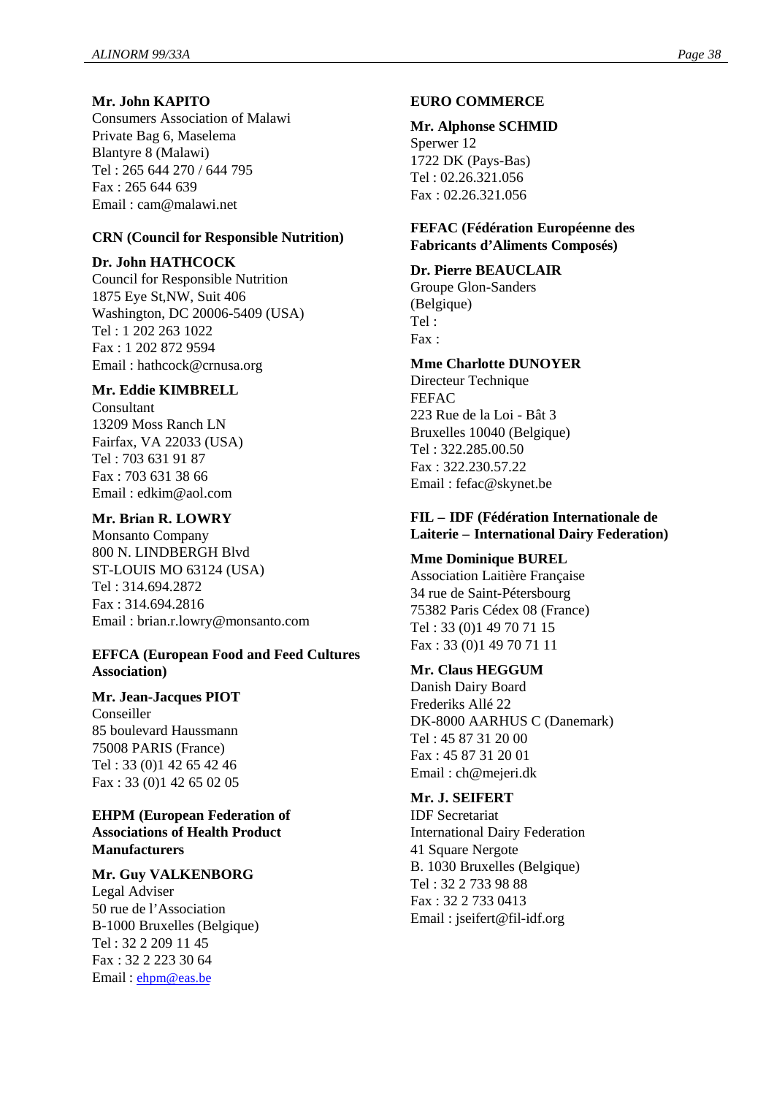#### **Mr. John KAPITO**

Consumers Association of Malawi Private Bag 6, Maselema Blantyre 8 (Malawi) Tel : 265 644 270 / 644 795 Fax : 265 644 639 Email : cam@malawi.net

#### **CRN (Council for Responsible Nutrition)**

#### **Dr. John HATHCOCK**

Council for Responsible Nutrition 1875 Eye St,NW, Suit 406 Washington, DC 20006-5409 (USA) Tel : 1 202 263 1022 Fax : 1 202 872 9594 Email : hathcock@crnusa.org

#### **Mr. Eddie KIMBRELL**

Consultant 13209 Moss Ranch LN Fairfax, VA 22033 (USA) Tel : 703 631 91 87 Fax : 703 631 38 66 Email : edkim@aol.com

#### **Mr. Brian R. LOWRY**

Monsanto Company 800 N. LINDBERGH Blvd ST-LOUIS MO 63124 (USA) Tel : 314.694.2872 Fax : 314.694.2816 Email : brian.r.lowry@monsanto.com

#### **EFFCA (European Food and Feed Cultures Association)**

#### **Mr. Jean-Jacques PIOT**

Conseiller 85 boulevard Haussmann 75008 PARIS (France) Tel : 33 (0)1 42 65 42 46 Fax : 33 (0)1 42 65 02 05

#### **EHPM (European Federation of Associations of Health Product Manufacturers**

#### **Mr. Guy VALKENBORG**

Legal Adviser 50 rue de l'Association B-1000 Bruxelles (Belgique) Tel : 32 2 209 11 45 Fax : 32 2 223 30 64 Email : ehpm@eas.be

#### **EURO COMMERCE**

#### **Mr. Alphonse SCHMID**

Sperwer 12 1722 DK (Pays-Bas) Tel : 02.26.321.056 Fax : 02.26.321.056

#### **FEFAC (Fédération Européenne des Fabricants d'Aliments Composés)**

#### **Dr. Pierre BEAUCLAIR**

Groupe Glon-Sanders (Belgique) Tel : Fax :

# **Mme Charlotte DUNOYER**

Directeur Technique FEFAC 223 Rue de la Loi - Bât 3 Bruxelles 10040 (Belgique) Tel : 322.285.00.50 Fax : 322.230.57.22 Email : fefac@skynet.be

#### **FIL – IDF (Fédération Internationale de Laiterie – International Dairy Federation)**

#### **Mme Dominique BUREL**

Association Laitière Française 34 rue de Saint-Pétersbourg 75382 Paris Cédex 08 (France) Tel : 33 (0)1 49 70 71 15 Fax : 33 (0)1 49 70 71 11

#### **Mr. Claus HEGGUM**

Danish Dairy Board Frederiks Allé 22 DK-8000 AARHUS C (Danemark) Tel : 45 87 31 20 00 Fax : 45 87 31 20 01 Email : ch@mejeri.dk

# **Mr. J. SEIFERT**

IDF Secretariat International Dairy Federation 41 Square Nergote B. 1030 Bruxelles (Belgique) Tel : 32 2 733 98 88 Fax : 32 2 733 0413 Email : jseifert@fil-idf.org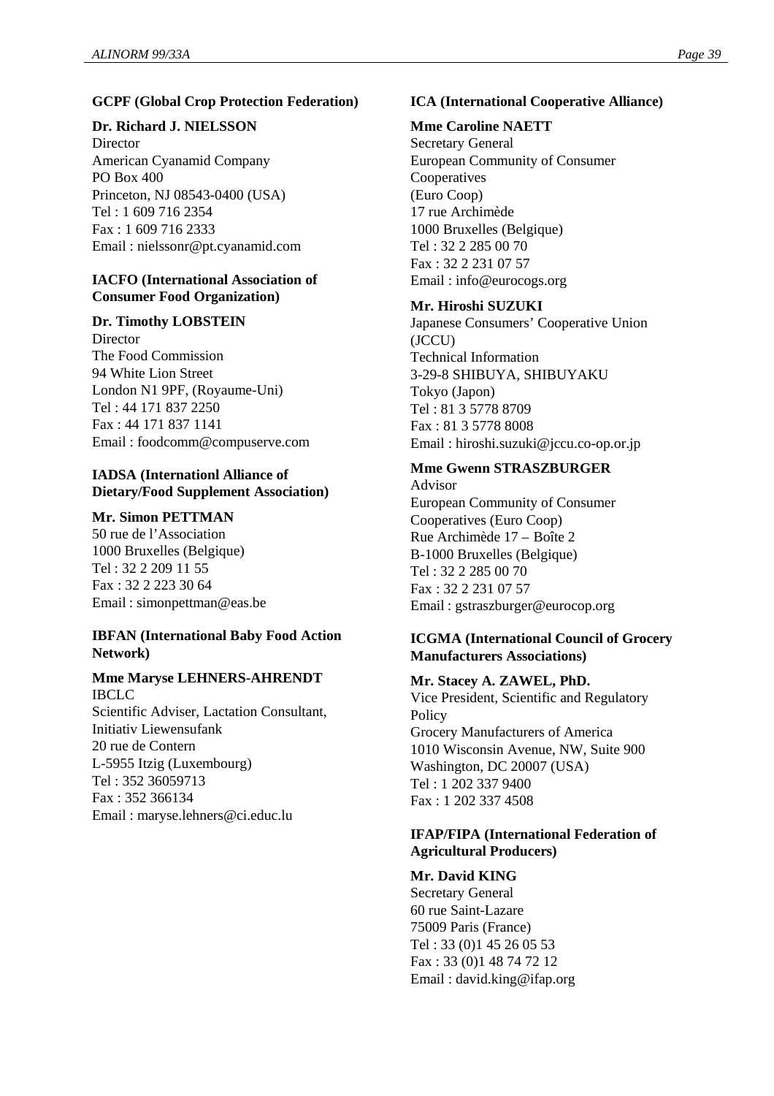### **GCPF (Global Crop Protection Federation)**

#### **Dr. Richard J. NIELSSON**

**Director** American Cyanamid Company PO Box 400 Princeton, NJ 08543-0400 (USA) Tel : 1 609 716 2354 Fax : 1 609 716 2333 Email : nielssonr@pt.cyanamid.com

#### **IACFO (International Association of Consumer Food Organization)**

#### **Dr. Timothy LOBSTEIN**

Director The Food Commission 94 White Lion Street London N1 9PF, (Royaume-Uni) Tel : 44 171 837 2250 Fax : 44 171 837 1141 Email : foodcomm@compuserve.com

#### **IADSA (Internationl Alliance of Dietary/Food Supplement Association)**

#### **Mr. Simon PETTMAN**

50 rue de l'Association 1000 Bruxelles (Belgique) Tel : 32 2 209 11 55 Fax : 32 2 223 30 64 Email : simonpettman@eas.be

# **IBFAN (International Baby Food Action Network)**

#### **Mme Maryse LEHNERS-AHRENDT** IBCLC

Scientific Adviser, Lactation Consultant, Initiativ Liewensufank 20 rue de Contern L-5955 Itzig (Luxembourg) Tel : 352 36059713 Fax : 352 366134 Email : maryse.lehners@ci.educ.lu

# **ICA (International Cooperative Alliance)**

# **Mme Caroline NAETT**

Secretary General European Community of Consumer Cooperatives (Euro Coop) 17 rue Archimède 1000 Bruxelles (Belgique) Tel : 32 2 285 00 70 Fax : 32 2 231 07 57 Email : info@eurocogs.org

# **Mr. Hiroshi SUZUKI**

Japanese Consumers' Cooperative Union (JCCU) Technical Information 3-29-8 SHIBUYA, SHIBUYAKU Tokyo (Japon) Tel : 81 3 5778 8709 Fax : 81 3 5778 8008 Email : hiroshi.suzuki@jccu.co-op.or.jp

# **Mme Gwenn STRASZBURGER**

Advisor European Community of Consumer Cooperatives (Euro Coop) Rue Archimède 17 – Boîte 2 B-1000 Bruxelles (Belgique) Tel : 32 2 285 00 70 Fax : 32 2 231 07 57 Email : gstraszburger@eurocop.org

#### **ICGMA (International Council of Grocery Manufacturers Associations)**

#### **Mr. Stacey A. ZAWEL, PhD.**

Vice President, Scientific and Regulatory **Policy** Grocery Manufacturers of America 1010 Wisconsin Avenue, NW, Suite 900 Washington, DC 20007 (USA) Tel : 1 202 337 9400 Fax : 1 202 337 4508

#### **IFAP/FIPA (International Federation of Agricultural Producers)**

#### **Mr. David KING**

Secretary General 60 rue Saint-Lazare 75009 Paris (France) Tel : 33 (0)1 45 26 05 53 Fax : 33 (0)1 48 74 72 12 Email : david.king@ifap.org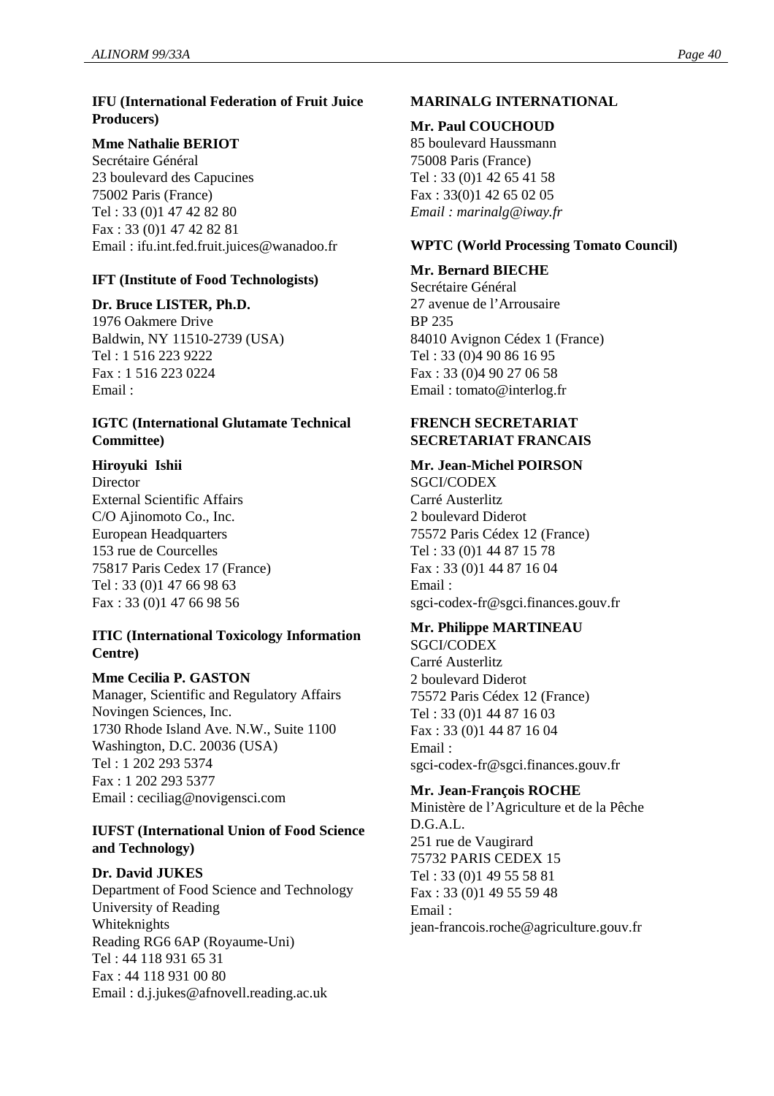# **IFU (International Federation of Fruit Juice Producers)**

# **Mme Nathalie BERIOT**

Secrétaire Général 23 boulevard des Capucines 75002 Paris (France) Tel : 33 (0)1 47 42 82 80 Fax : 33 (0)1 47 42 82 81 Email : ifu.int.fed.fruit.juices@wanadoo.fr

# **IFT (Institute of Food Technologists)**

# **Dr. Bruce LISTER, Ph.D.**

1976 Oakmere Drive Baldwin, NY 11510-2739 (USA) Tel : 1 516 223 9222 Fax : 1 516 223 0224 Email :

#### **IGTC (International Glutamate Technical Committee)**

# **Hiroyuki Ishii**

**Director** External Scientific Affairs C/O Ajinomoto Co., Inc. European Headquarters 153 rue de Courcelles 75817 Paris Cedex 17 (France) Tel : 33 (0)1 47 66 98 63 Fax : 33 (0)1 47 66 98 56

# **ITIC (International Toxicology Information Centre)**

#### **Mme Cecilia P. GASTON**

Manager, Scientific and Regulatory Affairs Novingen Sciences, Inc. 1730 Rhode Island Ave. N.W., Suite 1100 Washington, D.C. 20036 (USA) Tel : 1 202 293 5374 Fax : 1 202 293 5377 Email : ceciliag@novigensci.com

#### **IUFST (International Union of Food Science and Technology)**

# **Dr. David JUKES**

Department of Food Science and Technology University of Reading Whiteknights Reading RG6 6AP (Royaume-Uni) Tel : 44 118 931 65 31 Fax : 44 118 931 00 80 Email : d.j.jukes@afnovell.reading.ac.uk

# **MARINALG INTERNATIONAL**

#### **Mr. Paul COUCHOUD**

85 boulevard Haussmann 75008 Paris (France) Tel : 33 (0)1 42 65 41 58 Fax : 33(0)1 42 65 02 05 *Email : marinalg@iway.fr*

#### **WPTC (World Processing Tomato Council)**

#### **Mr. Bernard BIECHE**

Secrétaire Général 27 avenue de l'Arrousaire BP 235 84010 Avignon Cédex 1 (France) Tel : 33 (0)4 90 86 16 95 Fax : 33 (0)4 90 27 06 58 Email : tomato@interlog.fr

# **FRENCH SECRETARIAT SECRETARIAT FRANCAIS**

# **Mr. Jean-Michel POIRSON**

SGCI/CODEX Carré Austerlitz 2 boulevard Diderot 75572 Paris Cédex 12 (France) Tel : 33 (0)1 44 87 15 78 Fax : 33 (0)1 44 87 16 04 Email : sgci-codex-fr@sgci.finances.gouv.fr

# **Mr. Philippe MARTINEAU**

SGCI/CODEX Carré Austerlitz 2 boulevard Diderot 75572 Paris Cédex 12 (France) Tel : 33 (0)1 44 87 16 03 Fax : 33 (0)1 44 87 16 04 Email : sgci-codex-fr@sgci.finances.gouv.fr

#### **Mr. Jean-François ROCHE**

Ministère de l'Agriculture et de la Pêche D.G.A.L. 251 rue de Vaugirard 75732 PARIS CEDEX 15 Tel : 33 (0)1 49 55 58 81 Fax : 33 (0)1 49 55 59 48 Email : jean-francois.roche@agriculture.gouv.fr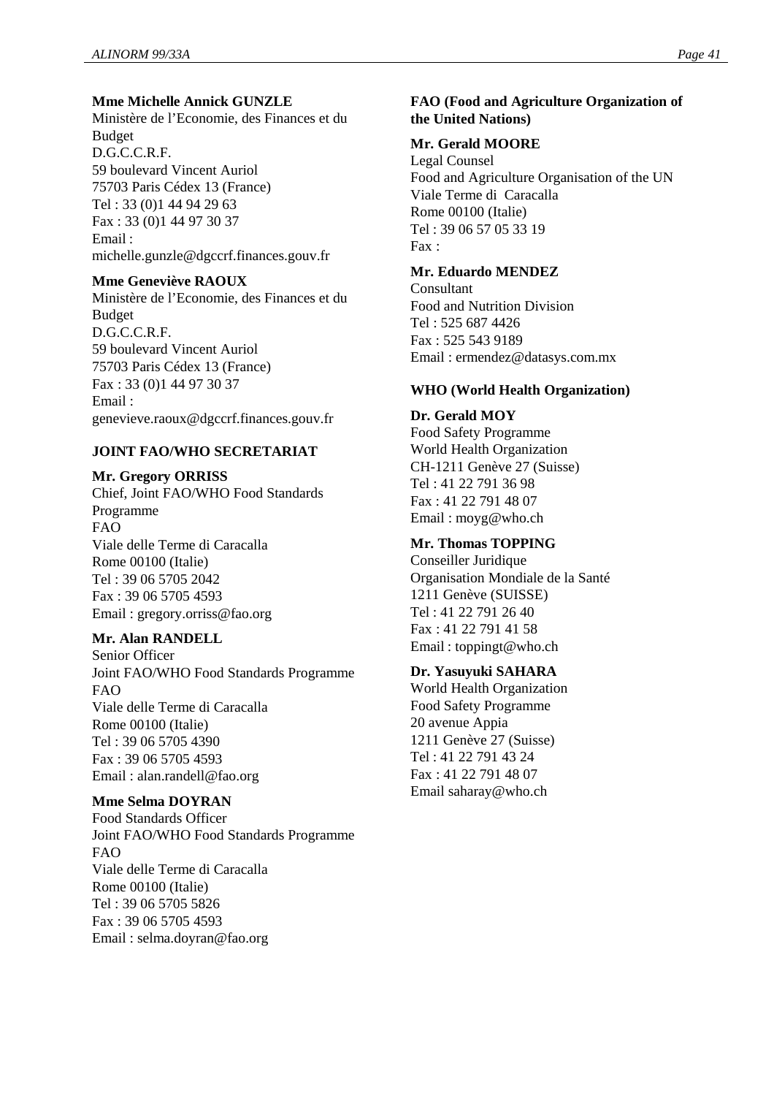#### **Mme Michelle Annick GUNZLE**

Ministère de l'Economie, des Finances et du Budget D.G.C.C.R.F. 59 boulevard Vincent Auriol 75703 Paris Cédex 13 (France) Tel : 33 (0)1 44 94 29 63 Fax : 33 (0)1 44 97 30 37 Email : michelle.gunzle@dgccrf.finances.gouv.fr

#### **Mme Geneviève RAOUX**

Ministère de l'Economie, des Finances et du Budget D.G.C.C.R.F. 59 boulevard Vincent Auriol 75703 Paris Cédex 13 (France) Fax : 33 (0)1 44 97 30 37 Email : genevieve.raoux@dgccrf.finances.gouv.fr

#### **JOINT FAO/WHO SECRETARIAT**

#### **Mr. Gregory ORRISS**

Chief, Joint FAO/WHO Food Standards Programme FAO Viale delle Terme di Caracalla Rome 00100 (Italie) Tel : 39 06 5705 2042 Fax : 39 06 5705 4593 Email : gregory.orriss@fao.org

#### **Mr. Alan RANDELL**

Senior Officer Joint FAO/WHO Food Standards Programme FAO Viale delle Terme di Caracalla Rome 00100 (Italie) Tel : 39 06 5705 4390 Fax : 39 06 5705 4593 Email : alan.randell@fao.org

#### **Mme Selma DOYRAN**

Food Standards Officer Joint FAO/WHO Food Standards Programme  $FAO$ Viale delle Terme di Caracalla Rome 00100 (Italie) Tel : 39 06 5705 5826 Fax : 39 06 5705 4593 Email : selma.doyran@fao.org

# **FAO (Food and Agriculture Organization of the United Nations)**

#### **Mr. Gerald MOORE**

Legal Counsel Food and Agriculture Organisation of the UN Viale Terme di Caracalla Rome 00100 (Italie) Tel : 39 06 57 05 33 19  $Fax$ .

# **Mr. Eduardo MENDEZ**

**Consultant** Food and Nutrition Division Tel : 525 687 4426 Fax : 525 543 9189 Email : ermendez@datasys.com.mx

#### **WHO (World Health Organization)**

**Dr. Gerald MOY** Food Safety Programme World Health Organization CH-1211 Genève 27 (Suisse) Tel : 41 22 791 36 98 Fax : 41 22 791 48 07 Email : moyg@who.ch

# **Mr. Thomas TOPPING**

Conseiller Juridique Organisation Mondiale de la Santé 1211 Genève (SUISSE) Tel : 41 22 791 26 40 Fax : 41 22 791 41 58 Email : toppingt@who.ch

#### **Dr. Yasuyuki SAHARA**

World Health Organization Food Safety Programme 20 avenue Appia 1211 Genève 27 (Suisse) Tel : 41 22 791 43 24 Fax : 41 22 791 48 07 Email saharay@who.ch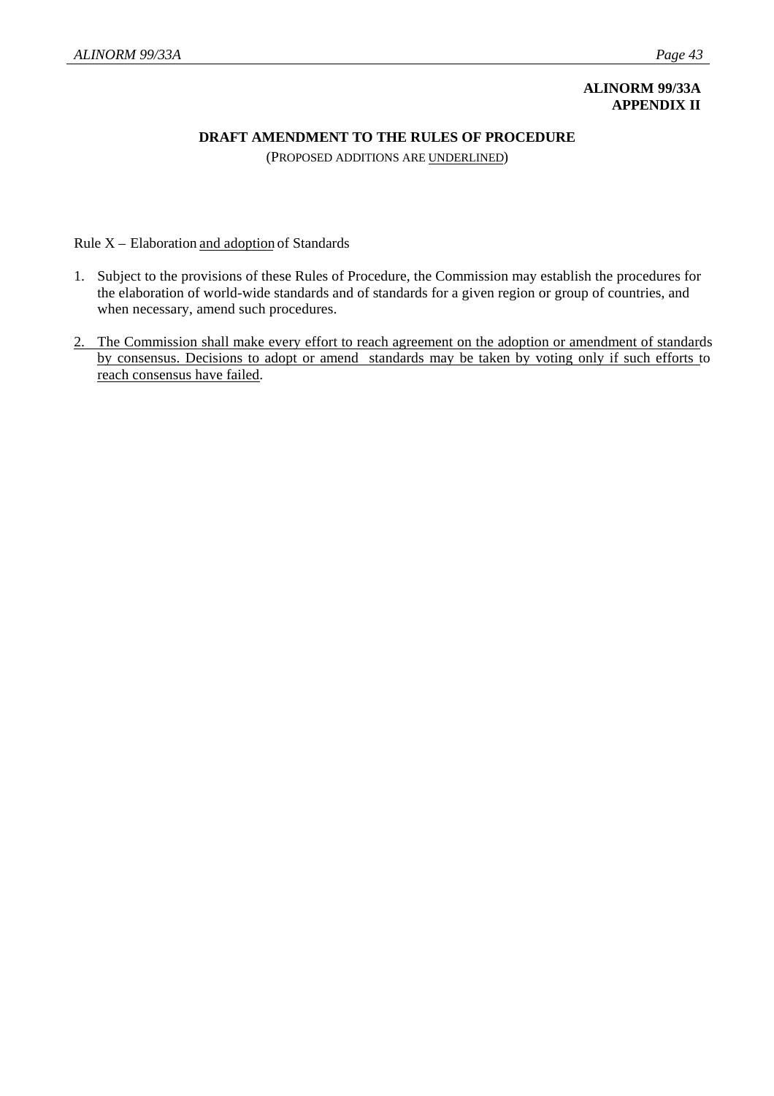# **ALINORM 99/33A APPENDIX II**

## **DRAFT AMENDMENT TO THE RULES OF PROCEDURE**

(PROPOSED ADDITIONS ARE UNDERLINED)

Rule X – Elaboration and adoption of Standards

- 1. Subject to the provisions of these Rules of Procedure, the Commission may establish the procedures for the elaboration of world-wide standards and of standards for a given region or group of countries, and when necessary, amend such procedures.
- 2. The Commission shall make every effort to reach agreement on the adoption or amendment of standards by consensus. Decisions to adopt or amend standards may be taken by voting only if such efforts to reach consensus have failed.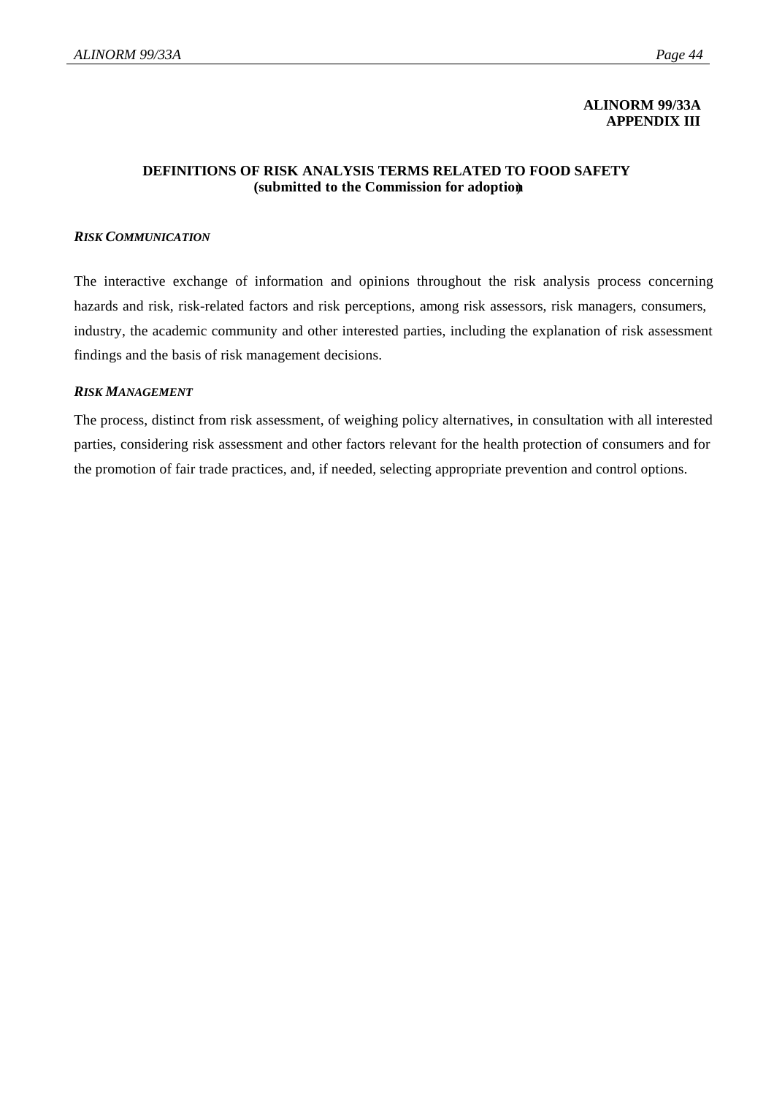#### **ALINORM 99/33A APPENDIX III**

#### **DEFINITIONS OF RISK ANALYSIS TERMS RELATED TO FOOD SAFETY (submitted to the Commission for adoption**)

#### *RISK COMMUNICATION*

The interactive exchange of information and opinions throughout the risk analysis process concerning hazards and risk, risk-related factors and risk perceptions, among risk assessors, risk managers, consumers, industry, the academic community and other interested parties, including the explanation of risk assessment findings and the basis of risk management decisions.

#### *RISK MANAGEMENT*

The process, distinct from risk assessment, of weighing policy alternatives, in consultation with all interested parties, considering risk assessment and other factors relevant for the health protection of consumers and for the promotion of fair trade practices, and, if needed, selecting appropriate prevention and control options.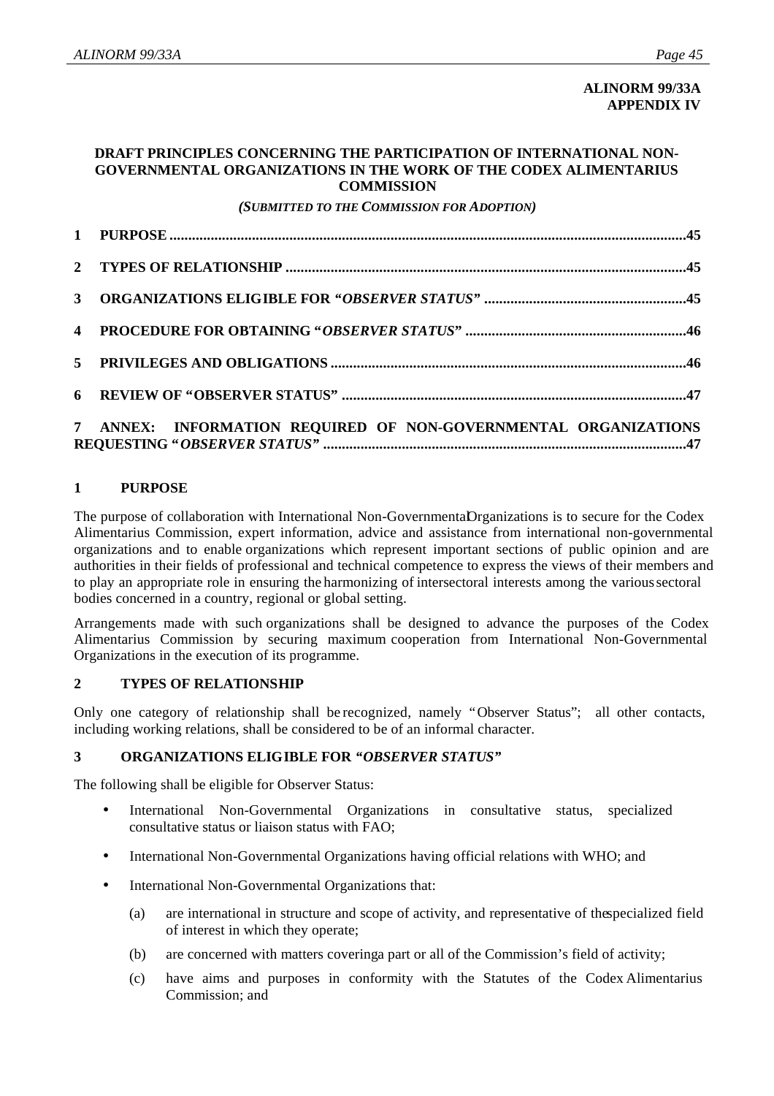## **ALINORM 99/33A APPENDIX IV**

#### **DRAFT PRINCIPLES CONCERNING THE PARTICIPATION OF INTERNATIONAL NON-GOVERNMENTAL ORGANIZATIONS IN THE WORK OF THE CODEX ALIMENTARIUS COMMISSION**

*(SUBMITTED TO THE COMMISSION FOR ADOPTION)*

| 7 ANNEX: INFORMATION REQUIRED OF NON-GOVERNMENTAL ORGANIZATIONS |
|-----------------------------------------------------------------|

# **1 PURPOSE**

The purpose of collaboration with International Non-GovernmentaDrganizations is to secure for the Codex Alimentarius Commission, expert information, advice and assistance from international non-governmental organizations and to enable organizations which represent important sections of public opinion and are authorities in their fields of professional and technical competence to express the views of their members and to play an appropriate role in ensuring the harmonizing of intersectoral interests among the various sectoral bodies concerned in a country, regional or global setting.

Arrangements made with such organizations shall be designed to advance the purposes of the Codex Alimentarius Commission by securing maximum cooperation from International Non-Governmental Organizations in the execution of its programme.

#### **2 TYPES OF RELATIONSHIP**

Only one category of relationship shall be recognized, namely "Observer Status"; all other contacts, including working relations, shall be considered to be of an informal character.

#### **3 ORGANIZATIONS ELIGIBLE FOR** *"OBSERVER STATUS"*

The following shall be eligible for Observer Status:

- International Non-Governmental Organizations in consultative status, specialized consultative status or liaison status with FAO;
- International Non-Governmental Organizations having official relations with WHO; and
- International Non-Governmental Organizations that:
	- (a) are international in structure and scope of activity, and representative of the specialized field of interest in which they operate;
	- (b) are concerned with matters covering a part or all of the Commission's field of activity;
	- (c) have aims and purposes in conformity with the Statutes of the Codex Alimentarius Commission; and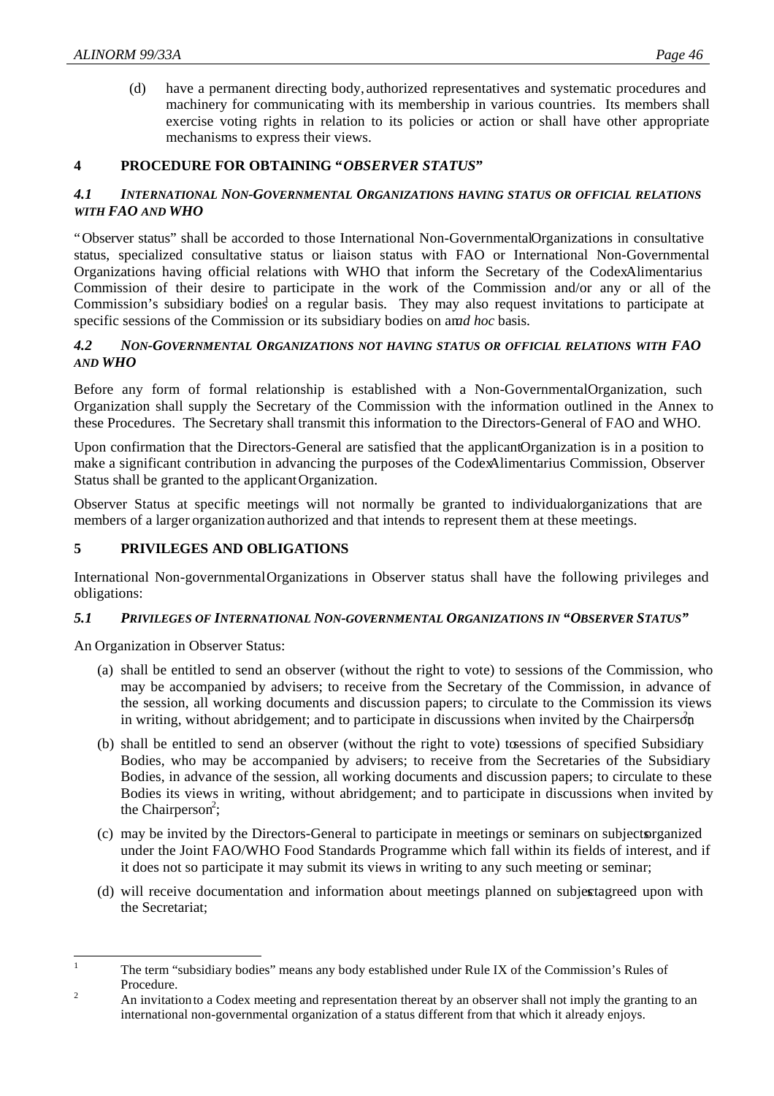(d) have a permanent directing body, authorized representatives and systematic procedures and machinery for communicating with its membership in various countries. Its members shall exercise voting rights in relation to its policies or action or shall have other appropriate mechanisms to express their views.

#### **4 PROCEDURE FOR OBTAINING "***OBSERVER STATUS***"**

#### *4.1 INTERNATIONAL NON-GOVERNMENTAL ORGANIZATIONS HAVING STATUS OR OFFICIAL RELATIONS WITH FAO AND WHO*

"Observer status" shall be accorded to those International Non-Governmental Organizations in consultative status, specialized consultative status or liaison status with FAO or International Non-Governmental Organizations having official relations with WHO that inform the Secretary of the CodexAlimentarius Commission of their desire to participate in the work of the Commission and/or any or all of the Commission's subsidiary bodies on a regular basis. They may also request invitations to participate at specific sessions of the Commission or its subsidiary bodies on and hoc basis.

#### *4.2 NON-GOVERNMENTAL ORGANIZATIONS NOT HAVING STATUS OR OFFICIAL RELATIONS WITH FAO AND WHO*

Before any form of formal relationship is established with a Non-GovernmentalOrganization, such Organization shall supply the Secretary of the Commission with the information outlined in the Annex to these Procedures. The Secretary shall transmit this information to the Directors-General of FAO and WHO.

Upon confirmation that the Directors-General are satisfied that the applicant Organization is in a position to make a significant contribution in advancing the purposes of the Codex Alimentarius Commission, Observer Status shall be granted to the applicant Organization.

Observer Status at specific meetings will not normally be granted to individualorganizations that are members of a larger organization authorized and that intends to represent them at these meetings.

#### **5 PRIVILEGES AND OBLIGATIONS**

International Non-governmentalOrganizations in Observer status shall have the following privileges and obligations:

#### *5.1 PRIVILEGES OF INTERNATIONAL NON-GOVERNMENTAL ORGANIZATIONS IN "OBSERVER STATUS"*

An Organization in Observer Status:

- (a) shall be entitled to send an observer (without the right to vote) to sessions of the Commission, who may be accompanied by advisers; to receive from the Secretary of the Commission, in advance of the session, all working documents and discussion papers; to circulate to the Commission its views in writing, without abridgement; and to participate in discussions when invited by the Chairperson
- (b) shall be entitled to send an observer (without the right to vote) to sessions of specified Subsidiary Bodies, who may be accompanied by advisers; to receive from the Secretaries of the Subsidiary Bodies, in advance of the session, all working documents and discussion papers; to circulate to these Bodies its views in writing, without abridgement; and to participate in discussions when invited by the Chairperson<sup>2</sup>;
- (c) may be invited by the Directors-General to participate in meetings or seminars on subjects organized under the Joint FAO/WHO Food Standards Programme which fall within its fields of interest, and if it does not so participate it may submit its views in writing to any such meeting or seminar;
- (d) will receive documentation and information about meetings planned on subjectagreed upon with the Secretariat;

 $\mathbf{1}$ <sup>1</sup> The term "subsidiary bodies" means any body established under Rule IX of the Commission's Rules of Procedure.

<sup>&</sup>lt;sup>2</sup> An invitation to a Codex meeting and representation thereat by an observer shall not imply the granting to an international non-governmental organization of a status different from that which it already enjoys.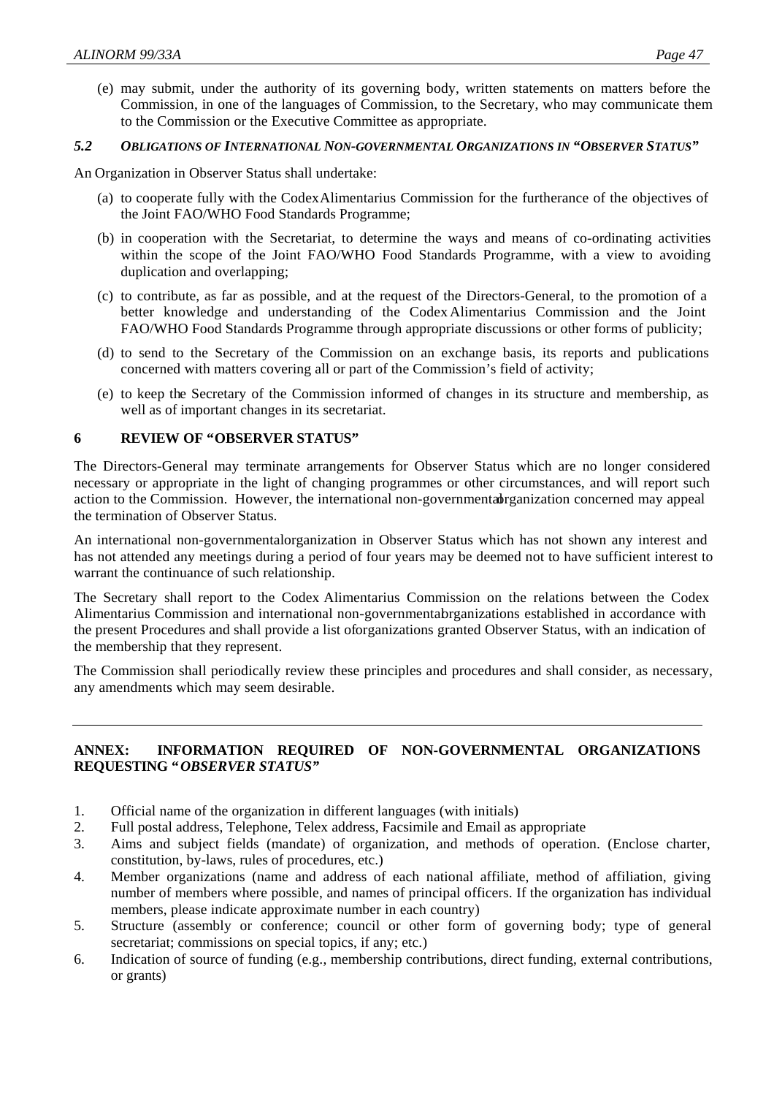(e) may submit, under the authority of its governing body, written statements on matters before the Commission, in one of the languages of Commission, to the Secretary, who may communicate them to the Commission or the Executive Committee as appropriate.

#### *5.2 OBLIGATIONS OF INTERNATIONAL NON-GOVERNMENTAL ORGANIZATIONS IN "OBSERVER STATUS"*

An Organization in Observer Status shall undertake:

- (a) to cooperate fully with the Codex Alimentarius Commission for the furtherance of the objectives of the Joint FAO/WHO Food Standards Programme;
- (b) in cooperation with the Secretariat, to determine the ways and means of co-ordinating activities within the scope of the Joint FAO/WHO Food Standards Programme, with a view to avoiding duplication and overlapping;
- (c) to contribute, as far as possible, and at the request of the Directors-General, to the promotion of a better knowledge and understanding of the Codex Alimentarius Commission and the Joint FAO/WHO Food Standards Programme through appropriate discussions or other forms of publicity;
- (d) to send to the Secretary of the Commission on an exchange basis, its reports and publications concerned with matters covering all or part of the Commission's field of activity;
- (e) to keep the Secretary of the Commission informed of changes in its structure and membership, as well as of important changes in its secretariat.

#### **6 REVIEW OF "OBSERVER STATUS"**

The Directors-General may terminate arrangements for Observer Status which are no longer considered necessary or appropriate in the light of changing programmes or other circumstances, and will report such action to the Commission. However, the international non-governmental reganization concerned may appeal the termination of Observer Status.

An international non-governmentalorganization in Observer Status which has not shown any interest and has not attended any meetings during a period of four years may be deemed not to have sufficient interest to warrant the continuance of such relationship.

The Secretary shall report to the Codex Alimentarius Commission on the relations between the Codex Alimentarius Commission and international non-governmentabrganizations established in accordance with the present Procedures and shall provide a list of organizations granted Observer Status, with an indication of the membership that they represent.

The Commission shall periodically review these principles and procedures and shall consider, as necessary, any amendments which may seem desirable.

#### **ANNEX: INFORMATION REQUIRED OF NON-GOVERNMENTAL ORGANIZATIONS REQUESTING "***OBSERVER STATUS"*

- 1. Official name of the organization in different languages (with initials)
- 2. Full postal address, Telephone, Telex address, Facsimile and Email as appropriate
- 3. Aims and subject fields (mandate) of organization, and methods of operation. (Enclose charter, constitution, by-laws, rules of procedures, etc.)
- 4. Member organizations (name and address of each national affiliate, method of affiliation, giving number of members where possible, and names of principal officers. If the organization has individual members, please indicate approximate number in each country)
- 5. Structure (assembly or conference; council or other form of governing body; type of general secretariat; commissions on special topics, if any; etc.)
- 6. Indication of source of funding (e.g., membership contributions, direct funding, external contributions, or grants)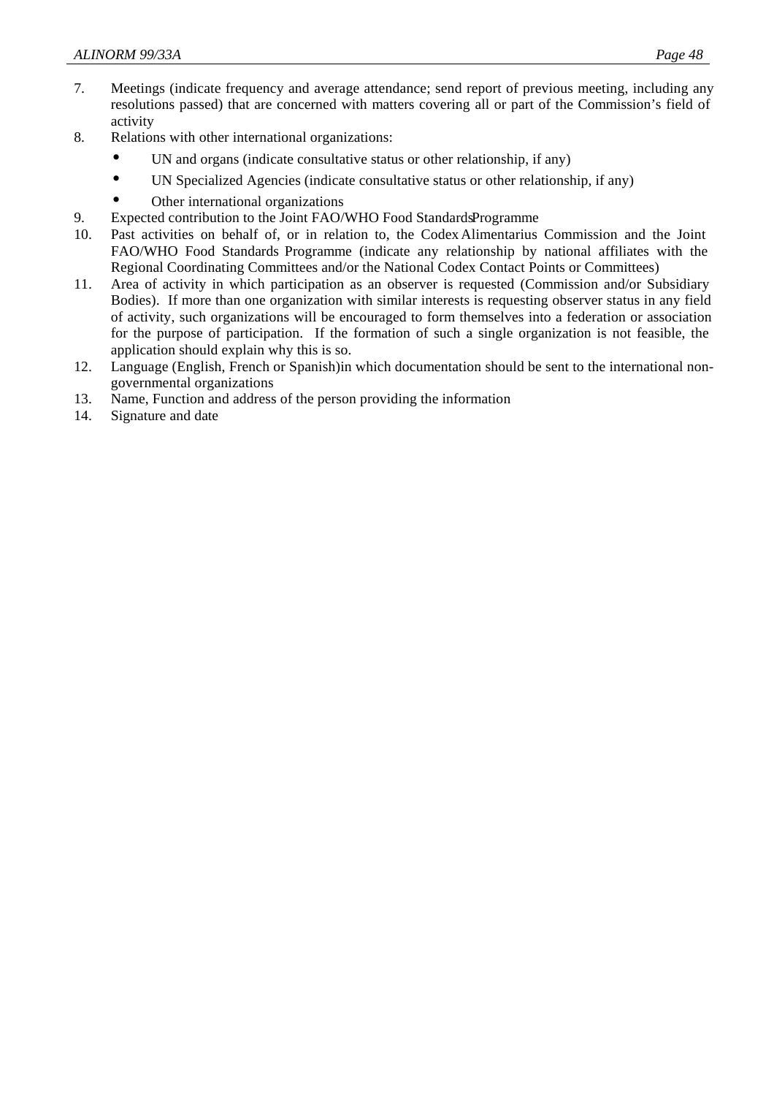- 7. Meetings (indicate frequency and average attendance; send report of previous meeting, including any resolutions passed) that are concerned with matters covering all or part of the Commission's field of activity
- 8. Relations with other international organizations:
	- UN and organs (indicate consultative status or other relationship, if any)
	- UN Specialized Agencies (indicate consultative status or other relationship, if any)
	- Other international organizations
- 9. Expected contribution to the Joint FAO/WHO Food Standards Programme
- 10. Past activities on behalf of, or in relation to, the Codex Alimentarius Commission and the Joint FAO/WHO Food Standards Programme (indicate any relationship by national affiliates with the Regional Coordinating Committees and/or the National Codex Contact Points or Committees)
- 11. Area of activity in which participation as an observer is requested (Commission and/or Subsidiary Bodies). If more than one organization with similar interests is requesting observer status in any field of activity, such organizations will be encouraged to form themselves into a federation or association for the purpose of participation. If the formation of such a single organization is not feasible, the application should explain why this is so.
- 12. Language (English, French or Spanish)in which documentation should be sent to the international nongovernmental organizations
- 13. Name, Function and address of the person providing the information
- 14. Signature and date